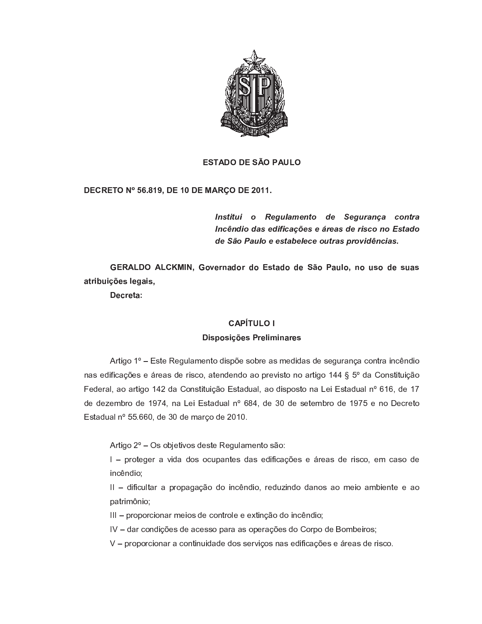

# **ESTADO DE SÃO PAULO**

# DECRETO Nº 56.819, DE 10 DE MARÇO DE 2011.

Institui o Regulamento de Segurança contra Incêndio das edificações e áreas de risco no Estado de São Paulo e estabelece outras providências.

GERALDO ALCKMIN, Governador do Estado de São Paulo, no uso de suas atribuições legais,

Decreta:

# **CAPÍTULO I**

# Disposições Preliminares

Artigo 1º - Este Regulamento dispõe sobre as medidas de segurança contra incêndio nas edificações e áreas de risco, atendendo ao previsto no artigo 144 § 5º da Constituição Federal, ao artigo 142 da Constituição Estadual, ao disposto na Lei Estadual nº 616, de 17 de dezembro de 1974, na Lei Estadual nº 684, de 30 de setembro de 1975 e no Decreto Estadual nº 55.660, de 30 de março de 2010.

Artigo 2º - Os objetivos deste Regulamento são:

I - proteger a vida dos ocupantes das edificações e áreas de risco, em caso de incêndio:

II - dificultar a propagação do incêndio, reduzindo danos ao meio ambiente e ao patrimônio;

III - proporcionar meios de controle e extinção do incêndio;

IV - dar condições de acesso para as operações do Corpo de Bombeiros;

V - proporcionar a continuidade dos serviços nas edificações e áreas de risco.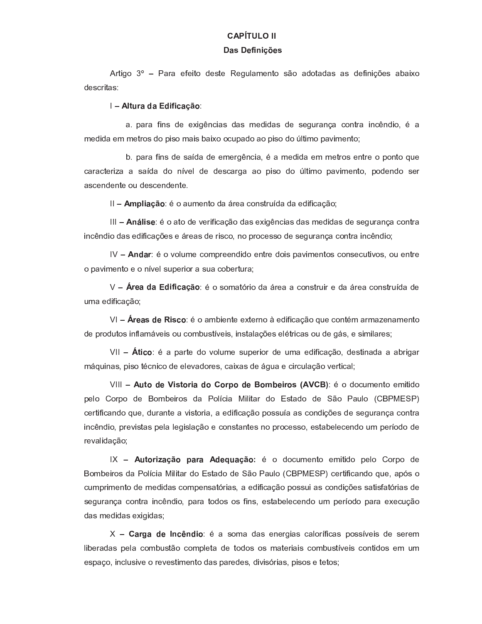# ---------

#### - - - - -

Artigo 3º - Para efeito deste Regulamento são adotadas as definições abaixo descritas:

### <sup>W</sup> <sup>D</sup> <sup>A</sup> <sup>C</sup> <sup>&</sup>lt; <sup>&</sup>gt; ? <sup>&</sup>gt; ? <sup>E</sup> <sup>E</sup> <sup>J</sup> <sup>&</sup>gt; <sup>G</sup> <sup>B</sup> <sup>9</sup>

^ <sup>|</sup> <sup>b</sup> ^ <sup>P</sup> ^ <sup>h</sup> R ` <sup>Y</sup> <sup>a</sup> <sup>Z</sup> <sup>Z</sup> R S <sup>g</sup> ` <sup>f</sup> R ^ <sup>Y</sup> <sup>a</sup> ^ <sup>Y</sup> \_ <sup>Z</sup> <sup>a</sup> R a ^ <sup>Y</sup> <sup>a</sup> <sup>Z</sup> <sup>Y</sup> <sup>Z</sup> <sup>S</sup> \ <sup>P</sup> ^ ` <sup>e</sup> ^ <sup>f</sup> <sup>T</sup> ` <sup>Q</sup> <sup>P</sup> ^ R ` <sup>f</sup> <sup>g</sup> ` <sup>a</sup> R T <sup>j</sup> - ^ medida em metros do piso mais baixo ocupado ao piso do último pavimento;

caracteriza a saída do nível de descarga ao piso do último pavimento, podendo ser a scendente ou descendente.

 $M$  is the set of the set of the set of the set of the set of the set of the set of the set of the set of the set of the set of the set of the set of the set of the set of the set of the set of the set of the set of the s

 $\mathcal{P} \colon \mathcal{P} \colon \mathcal{P} \colon \mathcal{P} \colon \mathcal{P} \colon \mathcal{P} \colon \mathcal{P} \colon \mathcal{P} \colon \mathcal{P} \colon \mathcal{P} \colon \mathcal{P} \colon \mathcal{P} \colon \mathcal{P} \colon \mathcal{P} \colon \mathcal{P} \colon \mathcal{P} \colon \mathcal{P} \colon \mathcal{P} \colon \mathcal{P} \colon \mathcal{P} \colon \mathcal{P} \colon \mathcal{P} \colon \mathcal{P} \colon \mathcal{P} \colon \mathcal{P} \colon \mathcal{P} \colon \mathcal{P} \colon \mathcal{$ incêndio das edificações e áreas de risco, no processo de segurança contra incêndio;

 <sup>W</sup> <sup>=</sup> ? <sup>&</sup>gt; <sup>&</sup>lt; - <sup>T</sup> <sup>k</sup> <sup>T</sup> ] \ \_ <sup>Z</sup> <sup>f</sup> <sup>T</sup> \_ <sup>b</sup> <sup>P</sup> <sup>Z</sup> <sup>Z</sup> ` <sup>a</sup> R a <sup>T</sup> <sup>Z</sup> ` <sup>Q</sup> <sup>P</sup> <sup>Z</sup> <sup>a</sup> <sup>T</sup> R Y <sup>b</sup> ^ <sup>k</sup> R \_ <sup>Z</sup> ` <sup>Q</sup> <sup>T</sup> <sup>Y</sup> <sup>f</sup> <sup>T</sup> ` <sup>Y</sup> <sup>Z</sup> <sup>f</sup> \ <sup>Q</sup> R k <sup>T</sup> <sup>Y</sup> <sup>j</sup> <sup>T</sup> \ <sup>Z</sup> ` <sup>Q</sup> <sup>P</sup> <sup>Z</sup> o pavimento e o nível superior a sua cobertura;

 <sup>W</sup> <sup>&</sup>lt; ; <sup>&</sup>gt; ? <sup>&</sup>gt; ? <sup>E</sup> <sup>E</sup> <sup>J</sup> <sup>&</sup>gt; <sup>G</sup> <sup>B</sup> <sup>9</sup> - <sup>T</sup> <sup>Y</sup> <sup>T</sup> \_ ^ <sup>Q</sup> <sup>P</sup> R T <sup>a</sup> ^ <sup>i</sup> <sup>P</sup> <sup>Z</sup> ^ ^ <sup>f</sup> <sup>T</sup> ` <sup>Y</sup> <sup>Q</sup> <sup>P</sup> \ R P <sup>Z</sup> <sup>a</sup> ^ <sup>i</sup> <sup>P</sup> <sup>Z</sup> ^ <sup>f</sup> <sup>T</sup> ` <sup>Y</sup> <sup>Q</sup> <sup>P</sup> \ <sup>a</sup> ^ <sup>a</sup> <sup>Z</sup> uma edificação;

<sup>W</sup> <sup>&</sup>lt; ; <sup>&</sup>gt; @ ? ; <sup>E</sup> @ <sup>J</sup> <sup>9</sup> - <sup>T</sup> ^ \_ <sup>d</sup> R Z ` <sup>Q</sup> <sup>Z</sup> <sup>Z</sup> <sup>Q</sup> <sup>Z</sup> <sup>P</sup> ` <sup>T</sup> <sup>Z</sup> <sup>a</sup> R h R f ^ <sup>e</sup> <sup>p</sup> <sup>T</sup> \ <sup>Z</sup> <sup>f</sup> <sup>T</sup> ` <sup>Q</sup> - \_ ^ <sup>P</sup> \_ ^ <sup>v</sup> <sup>Z</sup> ` ^ \_ <sup>Z</sup> ` <sup>Q</sup> <sup>T</sup>

. A set of the set of the set of the set of the set of the property of the property of the property of the pro

 <sup>W</sup> <sup>C</sup> <sup>A</sup> <sup>9</sup> ? ; <sup>E</sup> @ <sup>A</sup> <sup>9</sup> <sup>&</sup>lt; <sup>E</sup> <sup>&</sup>gt; ? <sup>9</sup> <sup>9</sup> <sup>&</sup>lt; <sup>M</sup> <sup>9</sup> ? ; <sup>9</sup> <sup>N</sup> <sup>F</sup> ; <sup>E</sup> <sup>&</sup>lt; <sup>9</sup> @  - <sup>T</sup> <sup>a</sup> <sup>T</sup> <sup>f</sup> \ \_ <sup>Z</sup> ` <sup>Q</sup> <sup>T</sup> <sup>Z</sup> \_ R Q R a <sup>T</sup> pelo Corpo de Bombeiros da Polícia Militar do Estado de São Paulo (CBPMESP) certificando que, durante a vistoria, a edificação possuía as condições de segurança contra incêndio, previstas pela legislação e constantes no processo, estabelecendo um período de r evalidação:

 <sup>W</sup> <sup>C</sup> <sup>A</sup> <sup>9</sup> <sup>&</sup>lt; <sup>E</sup> <sup>&</sup>gt; <sup>G</sup> <sup>B</sup> <sup>9</sup> <sup>M</sup> <sup>&</sup>gt; <sup>&</sup>lt; <sup>&</sup>gt; ? ; <sup>C</sup> <sup>&</sup>gt; <sup>G</sup> <sup>B</sup> <sup>9</sup> <sup>K</sup> - <sup>T</sup> <sup>a</sup> <sup>T</sup> <sup>f</sup> \ \_ <sup>Z</sup> ` <sup>Q</sup> <sup>T</sup> <sup>Z</sup> \_ R Q R a <sup>T</sup> <sup>b</sup> <sup>Z</sup> ] <sup>T</sup> <sup>o</sup> <sup>T</sup> <sup>P</sup> <sup>b</sup> <sup>T</sup> <sup>a</sup> <sup>Z</sup> Bombeiros da Polícia Militar do Estado de São Paulo (CBPMESP) certificando que, após o cumprimento de medidas compensatórias, a edificação possui as condições satisfatórias de segurança contra incêndio, para todos os fins, estabelecendo um período para execução das medidas exigidas;

 <sup>W</sup> <sup>&</sup>gt; <sup>&</sup>lt; <sup>I</sup> <sup>&</sup>gt; ? ; <sup>8</sup> <sup>=</sup> <sup>J</sup> <sup>=</sup> ? <sup>E</sup> <sup>9</sup> - ^ <sup>Y</sup> <sup>T</sup> \_ ^ <sup>a</sup> ^ <sup>Y</sup> <sup>Z</sup> ` <sup>Z</sup> <sup>P</sup> <sup>S</sup> R ^ <sup>Y</sup> <sup>f</sup> ^ ] <sup>T</sup> <sup>P</sup> <sup>h</sup> R f ^ <sup>Y</sup> <sup>b</sup> <sup>T</sup> <sup>Y</sup> <sup>Y</sup> <sup>k</sup> <sup>Z</sup> R Y <sup>a</sup> <sup>Z</sup> <sup>Y</sup> <sup>Z</sup> <sup>P</sup> <sup>Z</sup> \_ liberadas pela combustão completa de todos os materiais combustíveis contidos em um espaço, inclusive o revestimento das paredes, divisórias, pisos e tetos;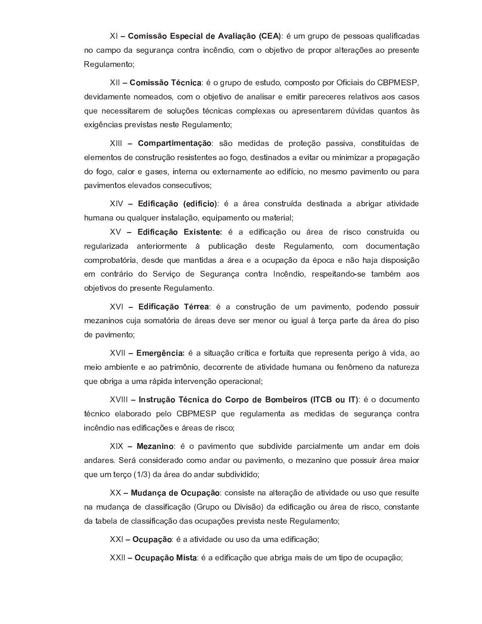$\mathcal{S}^{(1)}$  is the second interval of the second interval  $\mathcal{S}^{(2)}$  is the second interval of  $\mathcal{S}^{(3)}$  is the second interval of  $\mathcal{S}^{(3)}$  is the second interval of  $\mathcal{S}^{(3)}$  is the second interval of  $\mathcal{S$ no campo da segurança contra incêndio, com o objetivo de propor alterações ao presente Regulamento;

 <sup>W</sup> <sup>9</sup> <sup>N</sup> <sup>E</sup> @ @ <sup>B</sup> <sup>9</sup> - <sup>J</sup> <sup>=</sup> <sup>E</sup> <sup>J</sup> <sup>&</sup>gt; - <sup>T</sup> <sup>S</sup> <sup>P</sup> \ <sup>b</sup> <sup>T</sup> <sup>a</sup> <sup>Z</sup> <sup>Z</sup> <sup>Y</sup> <sup>Q</sup> \ <sup>a</sup> <sup>T</sup> <sup>j</sup> <sup>f</sup> <sup>T</sup> \_ <sup>b</sup> <sup>T</sup> <sup>Y</sup> <sup>Q</sup> <sup>T</sup> <sup>b</sup> <sup>T</sup> <sup>P</sup> } <sup>h</sup> R f R ^ R Y <sup>a</sup> <sup>T</sup> <sup>o</sup> <sup>X</sup> <sup>j</sup> devidamente nomeados, com o objetivo de analisar e emitir pareceres relativos aos casos exigências previstas neste Regulamento;

 <sup>W</sup> <sup>9</sup> <sup>N</sup> <sup>M</sup> <sup>&</sup>gt; <sup>&</sup>lt; <sup>A</sup> <sup>E</sup> <sup>N</sup> ; <sup>=</sup> <sup>A</sup> <sup>&</sup>gt; <sup>G</sup> <sup>B</sup> <sup>9</sup> <sup>Y</sup> <sup>p</sup> <sup>T</sup> \_ <sup>Z</sup> <sup>a</sup> R a ^ <sup>Y</sup> <sup>a</sup> <sup>Z</sup> <sup>b</sup> <sup>P</sup> <sup>T</sup> <sup>Q</sup> <sup>Z</sup> <sup>e</sup> <sup>p</sup> <sup>T</sup> <sup>b</sup> ^ <sup>Y</sup> <sup>Y</sup> R k ^ <sup>j</sup> <sup>f</sup> <sup>T</sup> ` <sup>Y</sup> <sup>Q</sup> R Q \ <sup>a</sup> ^ <sup>Y</sup> <sup>a</sup> <sup>Z</sup> elementos de construção resistentes ao fogo, destinados a evitar ou minimizar a propagação do fogo, calor e gases, interna ou externamente ao edifício, no mesmo pavimento ou para p a vimentos elevados consecutivos;

 <sup>W</sup> ? <sup>E</sup> <sup>E</sup> <sup>J</sup> <sup>&</sup>gt; <sup>G</sup> <sup>B</sup> <sup>9</sup>  ; ? <sup>E</sup> <sup>J</sup> <sup>E</sup> <sup>9</sup> - ^ <sup>i</sup> <sup>P</sup> <sup>Z</sup> ^ <sup>f</sup> <sup>T</sup> ` <sup>Y</sup> <sup>Q</sup> <sup>P</sup> \ <sup>a</sup> ^ <sup>a</sup> <sup>Z</sup> <sup>Y</sup> <sup>Q</sup> R ` ^ <sup>a</sup> ^ ^ ^ <sup>d</sup> <sup>P</sup> R S ^ <sup>P</sup> ^ <sup>Q</sup> R k R a ^ <sup>a</sup> <sup>Z</sup> - \ \_ ^ ` ^ <sup>T</sup> \ \ ^ ] \ <sup>Z</sup> <sup>P</sup> R ` <sup>Y</sup> <sup>Q</sup> ^ ] ^ <sup>e</sup> <sup>p</sup> <sup>T</sup> <sup>j</sup> <sup>Z</sup> \ R b ^ \_ <sup>Z</sup> ` <sup>Q</sup> <sup>T</sup> <sup>T</sup> \ \_ ^ <sup>Q</sup> <sup>Z</sup> <sup>P</sup> R ^ ]

 <sup>W</sup> ? <sup>E</sup> <sup>E</sup> <sup>J</sup> <sup>&</sup>gt; <sup>G</sup> <sup>B</sup> <sup>9</sup> <sup>E</sup> @ <sup>A</sup> ; <sup>=</sup> <sup>A</sup> ; <sup>K</sup> - ^ <sup>Z</sup> <sup>a</sup> R h R f ^ <sup>e</sup> <sup>p</sup> <sup>T</sup> <sup>T</sup> \ <sup>i</sup> <sup>P</sup> <sup>Z</sup> ^ <sup>a</sup> <sup>Z</sup> <sup>P</sup> R Y <sup>f</sup> <sup>T</sup> <sup>f</sup> <sup>T</sup> ` <sup>Y</sup> <sup>Q</sup> <sup>P</sup> \ <sup>a</sup> ^ <sup>T</sup> \ regularizada anteriormente à publicação deste Regulamento, com documentação لغا الله عليه الله عليه الله عليه الله عليه الله عليه الله عليه الله عليه الله عليه الله عليه الله عليه الله ع  $Z$  is the total contract the transformation of the first contract  $\mathcal{A}$  and  $\mathcal{A}$  are the  $\mathcal{A}$  discrete  $\mathcal{A}$  and  $\mathcal{A}$  and  $\mathcal{A}$  are the  $\mathcal{A}$  and  $\mathcal{A}$  are the  $\mathcal{A}$  and  $\mathcal{A}$  are the  $\math$ objetivos do presente Regulamento.

 <sup>W</sup> ? <sup>E</sup> <sup>E</sup> <sup>J</sup> <sup>&</sup>gt; <sup>G</sup> <sup>B</sup> <sup>9</sup> - <sup>&</sup>lt; <sup>&</sup>lt; ; <sup>&</sup>gt; - ^ <sup>f</sup> <sup>T</sup> ` <sup>Y</sup> <sup>Q</sup> <sup>P</sup> \ <sup>e</sup> <sup>p</sup> <sup>T</sup> <sup>a</sup> <sup>Z</sup> \ \_ <sup>b</sup> ^ <sup>k</sup> R \_ <sup>Z</sup> ` <sup>Q</sup> <sup>T</sup> <sup>j</sup> <sup>b</sup> <sup>T</sup> <sup>a</sup> <sup>Z</sup> ` <sup>a</sup> <sup>T</sup> <sup>b</sup> <sup>T</sup> <sup>Y</sup> <sup>Y</sup> \ R P mezaninos cuja somatória de áreas deve ser menor ou igual à terça parte da área do piso de pavimento;

 $\mathcal{M}$  , the property is the property of the property of the property is the property of the property of the property of the property of the property of the property of the property of the property of the property of th  $\bm{Z} = \bm{Z} - \bm{Z} - \bm{Z}$  and  $\bm{Z} = \bm{Z} - \bm{Z}$  and  $\bm{Z} = \bm{Z} - \bm{Z}$  and  $\bm{Z} = \bm{Z} - \bm{Z}$  . Then  $\bm{Z} = \bm{Z} - \bm{Z}$  and  $\bm{Z} = \bm{Z} - \bm{Z}$  and  $\bm{Z} = \bm{Z} - \bm{Z}$  . Then  $\bm{Z} = \bm{Z} - \bm{Z}$ que obriga a uma rápida intervenção operacional;

 <sup>W</sup> <sup>8</sup> <sup>=</sup> @ <sup>A</sup> <sup>&</sup>lt; <sup>C</sup> <sup>G</sup> <sup>B</sup> <sup>9</sup> - <sup>J</sup> <sup>=</sup> <sup>E</sup> <sup>J</sup> <sup>&</sup>gt; ? <sup>9</sup> <sup>9</sup> <sup>&</sup>lt; <sup>M</sup> <sup>9</sup> ? ; <sup>9</sup> <sup>N</sup> <sup>F</sup> ; <sup>E</sup> <sup>&</sup>lt; <sup>9</sup> @  <sup>8</sup> - <sup>9</sup> <sup>C</sup> <sup>8</sup> - - <sup>T</sup> <sup>a</sup> <sup>T</sup> <sup>f</sup> \ \_ <sup>Z</sup> ` <sup>Q</sup> <sup>T</sup> <sup>Q</sup> - <sup>f</sup> ` R f <sup>T</sup> <sup>Z</sup> ] ^ <sup>d</sup> <sup>T</sup> <sup>P</sup> ^ <sup>a</sup> <sup>T</sup> <sup>b</sup> <sup>Z</sup> ] <sup>T</sup> <sup>o</sup> <sup>X</sup> \ <sup>Z</sup> <sup>P</sup> <sup>Z</sup> <sup>S</sup> \ ] ^ \_ <sup>Z</sup> ` <sup>Q</sup> ^ ^ <sup>Y</sup> \_ <sup>Z</sup> <sup>a</sup> R a ^ <sup>Y</sup> <sup>a</sup> <sup>Z</sup> <sup>Y</sup> <sup>Z</sup> <sup>S</sup> \ <sup>P</sup> ^ ` <sup>e</sup> ^ <sup>f</sup> <sup>T</sup> ` <sup>Q</sup> <sup>P</sup> ^ incêndio nas edificações e áreas de risco;

 $\mathbf{F}$  , and the set of the results of the results of the results of the results of the results of the results of the results of the results of the results of the results of the results of the results of the results of andares. Será considerado como andar ou pavimento, o mezanino que possuir área maior que um terço (1/3) da área do andar subdividido;

 $\mathcal{L}$  , and the set of the set of the problem in the problem in the problem in the problem in the set of the problem in the set of the set of the set of the set of the set of the set of the set of the set of the set of na mudança de classificação (Grupo ou Divisão) da edificação ou área de risco, constante da tabela de classificação das ocupações prevista neste Regulamento;

<sup>W</sup> <sup>J</sup> <sup>C</sup> <sup>M</sup> <sup>&</sup>gt; <sup>G</sup> <sup>B</sup> <sup>9</sup> - ^ ^ <sup>Q</sup> R k R a ^ <sup>a</sup> <sup>Z</sup> <sup>T</sup> \ \ <sup>Y</sup> <sup>T</sup> <sup>a</sup> ^ \ \_ ^ <sup>Z</sup> <sup>a</sup> R h R f ^ <sup>e</sup> <sup>p</sup> <sup>T</sup>

 $\mathcal{L}$  , and the position of the problem and the problem of the problem and the problem and the problem and the problem and the problem and the problem and the problem and the problem and the problem and the problem and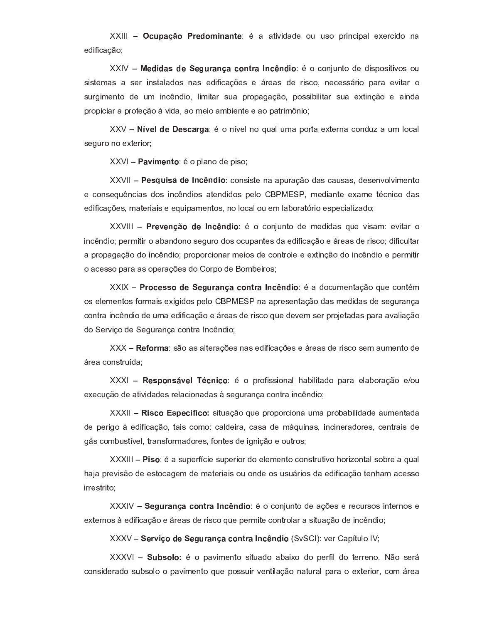<sup>W</sup> <sup>J</sup> <sup>C</sup> <sup>M</sup> <sup>&</sup>gt; <sup>G</sup> <sup>B</sup> <sup>9</sup> <sup>&</sup>lt; ; ? <sup>9</sup> <sup>N</sup> <sup>E</sup> <sup>=</sup> <sup>&</sup>gt; <sup>=</sup> <sup>A</sup> ; - ^ ^ <sup>Q</sup> R k R a ^ <sup>a</sup> <sup>Z</sup> <sup>T</sup> \ \ <sup>Y</sup> <sup>T</sup> <sup>b</sup> <sup>P</sup> R ` <sup>f</sup> R b ^ ] <sup>Z</sup> <sup>Z</sup> <sup>P</sup> <sup>f</sup> R a <sup>T</sup> ` ^ e dificação,

 <sup>W</sup> ; ? <sup>E</sup> ? <sup>&</sup>gt; @ ? ; ; <sup>I</sup> <sup>C</sup> <sup>&</sup>lt; <sup>&</sup>gt; <sup>=</sup> <sup>G</sup> <sup>&</sup>gt; <sup>J</sup> <sup>9</sup> <sup>=</sup> <sup>A</sup> <sup>&</sup>lt; <sup>&</sup>gt; <sup>8</sup> <sup>=</sup> <sup>J</sup> <sup>=</sup> ? <sup>E</sup> <sup>9</sup> - <sup>T</sup> <sup>f</sup> <sup>T</sup> ` <sup>~</sup> \ ` <sup>Q</sup> <sup>T</sup> <sup>a</sup> <sup>Z</sup> <sup>a</sup> R Y <sup>b</sup> <sup>T</sup> <sup>Y</sup> R Q R k <sup>T</sup> <sup>Y</sup> <sup>T</sup> \ sistemas a ser instalados nas edificações e áreas de risco, necessário para evitar o surgimento de um incêndio, limitar sua propagação, possibilitar sua extinção e ainda propiciar a proteção à vida, ao meio ambiente e ao patrimônio;

 $\blacksquare$ seguro no exterior;

<sup>W</sup> <sup>&</sup>gt; : <sup>E</sup> <sup>N</sup> ; <sup>=</sup> <sup>A</sup> <sup>9</sup> - <sup>T</sup> <sup>b</sup> ] ^ ` <sup>T</sup> <sup>a</sup> <sup>Z</sup> <sup>b</sup> R Y <sup>T</sup>

 <sup>W</sup> ; @ <sup>C</sup> <sup>E</sup> @ <sup>&</sup>gt; ? ; <sup>8</sup> <sup>=</sup> <sup>J</sup> <sup>=</sup> ? <sup>E</sup> <sup>9</sup> <sup>f</sup> <sup>T</sup> ` <sup>Y</sup> R Y <sup>Q</sup> <sup>Z</sup> ` ^ ^ <sup>b</sup> \ <sup>P</sup> ^ <sup>e</sup> <sup>p</sup> <sup>T</sup> <sup>a</sup> ^ <sup>Y</sup> <sup>f</sup> ^ \ <sup>Y</sup> ^ <sup>Y</sup> <sup>j</sup> <sup>a</sup> <sup>Z</sup> <sup>Y</sup> <sup>Z</sup> ` <sup>k</sup> <sup>T</sup> ] <sup>k</sup> R \_ <sup>Z</sup> ` <sup>Q</sup> <sup>T</sup> edificações, materiais e equipamentos, no local ou em laboratório especializado;

 <sup>W</sup> <sup>&</sup>lt; ; : ; <sup>=</sup> <sup>G</sup> <sup>B</sup> <sup>9</sup> ? ; <sup>8</sup> <sup>=</sup> <sup>J</sup> <sup>=</sup> ? <sup>E</sup> <sup>9</sup> - <sup>T</sup> <sup>f</sup> <sup>T</sup> ` <sup>~</sup> \ ` <sup>Q</sup> <sup>T</sup> <sup>a</sup> <sup>Z</sup> \_ <sup>Z</sup> <sup>a</sup> R a ^ <sup>Y</sup> \ <sup>Z</sup> <sup>k</sup> R Y ^ \_ <sup>Z</sup> <sup>k</sup> R Q ^ <sup>P</sup> <sup>T</sup> incêndio; permitir o abandono seguro dos ocupantes da edificação e áreas de risco; dificultar a propagação do incêndio; proporcionar meios de controle e extinção do incêndio e permitir o acesso para as operações do Corpo de Bombeiros;

where  $\alpha$  is a set of  $\alpha$  is a set of  $\alpha$  is a set of  $\alpha$  e product  $\alpha$  of  $\alpha$  e products of  $\alpha$  e products of  $\alpha$ os elementos formais exigidos pelo CBPMESP na apresentação das medidas de segurança contra incêndio de uma edificação e áreas de risco que devem ser projetadas para avaliação do Serviço de Segurança contra Incêndio;

 $; \; \alpha \; \nu \; \bar{\nu} \; \bar{\nu} \; \bar{\nu} \; \bar{\nu} \; \bar{\nu} \; \bar{\nu} \; \bar{\nu} \; \bar{\nu} \; \bar{\nu} \; \bar{\nu} \; \bar{\nu} \; \bar{\nu} \; \bar{\nu} \; \bar{\nu} \; \bar{\nu} \; \bar{\nu} \; \bar{\nu} \; \bar{\nu} \; \bar{\nu} \; \bar{\nu} \; \bar{\nu} \; \bar{\nu} \; \bar{\nu} \; \bar{\nu} \; \bar{\nu} \; \bar{\nu} \; \bar{\nu} \; \bar{\nu} \; \bar{\nu} \; \bar{\nu} \$ área construída;

 <sup>W</sup> ; @ <sup>M</sup> <sup>9</sup> <sup>=</sup> @ : ; <sup>D</sup> - <sup>J</sup> <sup>=</sup> <sup>E</sup> <sup>J</sup> <sup>9</sup> - <sup>T</sup> <sup>b</sup> <sup>P</sup> <sup>T</sup> <sup>h</sup> R Y <sup>Y</sup> R T ` ^ ] - ^ <sup>d</sup> R ] R Q ^ <sup>a</sup> <sup>T</sup> <sup>b</sup> ^ <sup>P</sup> ^ <sup>Z</sup> ] ^ <sup>d</sup> <sup>T</sup> <sup>P</sup> ^ <sup>e</sup> <sup>p</sup> <sup>T</sup> <sup>Z</sup> <sup>T</sup> \ execução de atividades relacionadas à segurança contra incêndio;

 $\mathcal{L}_1$  , and the property of the property of the property of the property of the property of the property of the property of the property of the property of the property of the property of the property of the property de perigo à edificação, tais como: caldeira, casa de máquinas, incineradores, centrais de gás combustível, transformadores, fontes de ignição e outros;

 <sup>W</sup> <sup>E</sup> @ <sup>9</sup> - ^ <sup>Y</sup> \ <sup>b</sup> <sup>Z</sup> <sup>P</sup> <sup>h</sup> <sup>f</sup> R Z <sup>Y</sup> \ <sup>b</sup> <sup>Z</sup> <sup>P</sup> R T <sup>P</sup> <sup>a</sup> <sup>T</sup> <sup>Z</sup> ] <sup>Z</sup> \_ <sup>Z</sup> ` <sup>Q</sup> <sup>T</sup> <sup>f</sup> <sup>T</sup> ` <sup>Y</sup> <sup>Q</sup> <sup>P</sup> \ <sup>Q</sup> R k <sup>T</sup> - <sup>T</sup> <sup>P</sup> R v <sup>T</sup> ` <sup>Q</sup> ^ ] <sup>Y</sup> <sup>T</sup> <sup>d</sup> <sup>P</sup> <sup>Z</sup> ^ \ ^ ] - ^ <sup>~</sup> ^ <sup>b</sup> <sup>P</sup> <sup>Z</sup> <sup>k</sup> R Y <sup>p</sup> <sup>T</sup> <sup>a</sup> <sup>Z</sup> <sup>Z</sup> <sup>Y</sup> <sup>Q</sup> <sup>T</sup> <sup>f</sup> ^ <sup>S</sup> <sup>Z</sup> \_ <sup>a</sup> <sup>Z</sup> \_ ^ <sup>Q</sup> <sup>Z</sup> <sup>P</sup> R ^ R Y <sup>T</sup> \ <sup>T</sup> ` <sup>a</sup> <sup>Z</sup> <sup>T</sup> <sup>Y</sup> \ <sup>Y</sup> \ <sup>i</sup> <sup>P</sup> R T <sup>Y</sup> <sup>a</sup> ^ <sup>Z</sup> <sup>a</sup> R h R f ^ <sup>e</sup> <sup>p</sup> <sup>T</sup> <sup>Q</sup> <sup>Z</sup> ` - ^ \_ ^ <sup>f</sup> <sup>Z</sup> <sup>Y</sup> <sup>Y</sup> <sup>T</sup> irrestrito:

where  $\mathcal{S}$  is the state  $\mathcal{S}$  and  $\mathcal{S}$  for a state  $\mathcal{S}$  and  $\mathcal{S}$  are the contract of  $\mathcal{S}$  and  $\mathcal{S}$  are the contract of  $\mathcal{S}$  and  $\mathcal{S}$  are the contract of  $\mathcal{S}$  and  $\mathcal{S}$  are the con externos à edificação e áreas de risco que permite controlar a situação de incêndio;

 $\mathcal{L}(\mathcal{U},\mathcal{U},\mathcal{U})=\mathcal{L}(\mathcal{U},\mathcal{U})=\mathcal{U}(\mathcal{U},\mathcal{U})=\mathcal{U}(\mathcal{U},\mathcal{U})=\mathcal{U}(\mathcal{U},\mathcal{U})=\mathcal{U}(\mathcal{U},\mathcal{U})=\mathcal{U}(\mathcal{U},\mathcal{U})=\mathcal{U}(\mathcal{U},\mathcal{U})=\mathcal{U}(\mathcal{U},\mathcal{U})=\mathcal{U}(\mathcal{U},\mathcal{U})=\mathcal{U}(\mathcal{U},\mathcal{U})=\mathcal{U}(\mathcal{U},\mathcal{$ 

w 2002 . In the contract of the contract of the Contract of the T and the T and the T and the Contract of the considerado subsolo o pavimento que possuir ventilação natural para o exterior, com área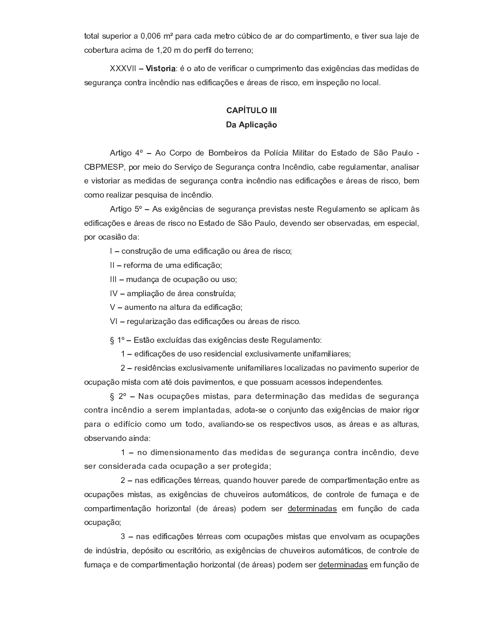total superior a  $0.006$  m<sup>2</sup> para cada metro cúbico de ar do compartimento, e tiver sua laje de cobertura acima de 1,20 m do perfil do terreno;

 $\sim$  . The set of the set of the set of the set of the set of the set of the set of the set of the set of the set of the set of the set of the set of the set of the set of the set of the set of the set of the set of the s segurança contra incêndio nas edificações e áreas de risco, em inspeção no local.

# -----------

### - - - - -

Artigo 4º - Ao Corpo de Bombeiros da Polícia Militar do Estado de São Paulo -CBPMESP, por meio do Serviço de Segurança contra Incêndio, cabe regulamentar, analisar e vistoriar as medidas de segurança contra incêndio nas edificações e áreas de risco, bem como realizar pesquisa de incêndio.

Artigo  $5^\circ$  – As exigências de segurança previstas neste Regulamento se aplicam às edificações e áreas de risco no Estado de São Paulo, devendo ser observadas, em especial, por ocasião da:

I - construção de uma edificação ou área de risco;

II - reforma de uma edificação;

III - mudança de ocupação ou uso;

 $IV -$  ampliação de área construída;

 $V - a$  umento na altura da edificação;

VI - regularização das edificações ou áreas de risco.

 $\S$  1° – Estão excluídas das exigências deste Regulamento:

1 – edificações de uso residencial exclusivamente unifamiliares;

2 - residências exclusivamente unifamiliares localizadas no pavimento superior de

 $\S$  2° - Nas ocupações mistas, para determinação das medidas de segurança contra incêndio a serem implantadas, adota-se o conjunto das exigências de maior rigor para o edifício como um todo, avaliando-se os respectivos usos, as áreas e as alturas, observando ainda:

 $1 -$  no dimensionamento das medidas de seguranca contra incêndio, deve ser considerada cada ocupação a ser protegida;

r where  $\alpha$  is the contract of the contract of the contract of the position of the position of the position of the position of the position of the position of the position of the position of the position of the position ocupação;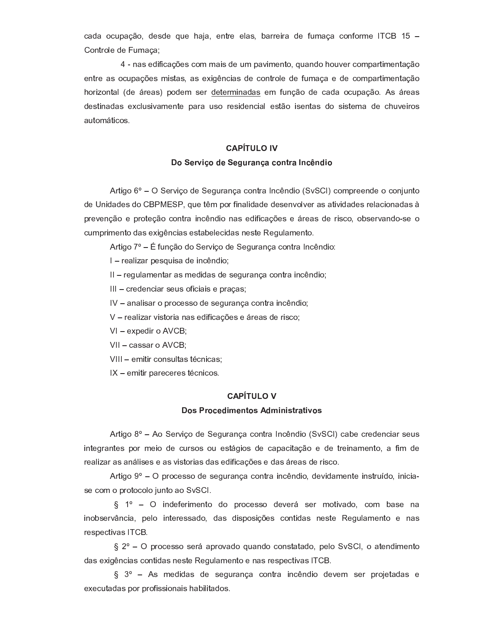$\bm{r} = \bm{r} - \bm{r} - \bm{r} - \bm{r} - \bm{r} - \bm{r} - \bm{r} - \bm{r} - \bm{r} - \bm{r} - \bm{r} - \bm{r} - \bm{r} - \bm{r} - \bm{r} - \bm{r} - \bm{r} - \bm{r} - \bm{r} - \bm{r} - \bm{r} - \bm{r} - \bm{r} - \bm{r} - \bm{r} - \bm{r} - \bm{r} - \bm{r} - \bm{r} - \bm{r} - \bm{r} - \bm{r} - \bm{r} - \bm{r} - \bm{r} - \bm{r$ Controle de Fumaça;

entre as ocupações mistas, as exigências de controle de fumaça e de compartimentação - T P R v T a Z i P a Z i P a Z i P a Z f a Z f a z i p t a z f a z f a z f a z f a z f a z f a z f a z f a z automáticos.

### ---------

#### <sup>9</sup> ; <sup>&</sup>lt; : <sup>E</sup> <sup>G</sup> <sup>9</sup> ? ; ; <sup>I</sup> <sup>C</sup> <sup>&</sup>lt; <sup>&</sup>gt; <sup>=</sup> <sup>G</sup> <sup>&</sup>gt; <sup>J</sup> <sup>9</sup> <sup>=</sup> <sup>A</sup> <sup>&</sup>lt; <sup>&</sup>gt; <sup>8</sup> <sup>=</sup> <sup>J</sup> <sup>=</sup> ? <sup>E</sup> <sup>9</sup>

Artigo 6° – O Serviço de Segurança contra Incêndio (SvSCI) compreende o conjunto de Unidades do CBPMESP, que têm por finalidade desenvolver as atividades relacionadas à prevenção e proteção contra incêndio nas edificações e áreas de risco, observando-se o cumprimento das exigências estabelecidas neste Regulamento.

 $\mathcal{L}$  and the p  $\mathcal{L}$  expected in the p  $\mathcal{L}$  expected in  $\mathcal{L}$  and  $\mathcal{L}$  and  $\mathcal{L}$  and  $\mathcal{L}$  are  $\mathcal{L}$ 

 $I$  – realizar pesquisa de incêndio;

 $II$  – regulamentar as medidas de segurança contra incêndio;

 $III -$  credenciar seus oficiais e praças;

 $IV -$  analisar o processo de segurança contra incêndio;

V - realizar vistoria nas edificações e áreas de risco;

 $VI -$  expedir o  $AVCB$ ;

VII - cassar o AVCB;

#### ---------

#### <sup>9</sup> @ <sup>&</sup>lt; <sup>9</sup> <sup>J</sup> ; ? <sup>E</sup> <sup>N</sup> ; <sup>=</sup> <sup>A</sup> <sup>9</sup> @ ? <sup>N</sup> <sup>E</sup> <sup>=</sup> <sup>E</sup> @ <sup>A</sup> <sup>&</sup>lt; <sup>&</sup>gt; <sup>A</sup> <sup>E</sup> : <sup>9</sup> @

Artigo  $8^\circ$  – Ao Servico de Seguranca contra Incêndio (SvSCI) cabe credenciar seus integrantes por meio de cursos ou estágios de capacitação e de treinamento, a fim de realizar as análises e as vistorias das edificações e das áreas de risco.

Artigo  $9^\circ$  – O processo de segurança contra incêndio, devidamente instruído, iniciase com o protocolo junto ao SvSCI.

 $\S$  1° - O indeferimento do processo deverá ser motivado, com base na inobservância, pelo interessado, das disposições contidas neste Regulamento e nas respectivas ITCB.

 $\S$  2° – O processo será aprovado quando constatado, pelo SvSCI, o atendimento das exigências contidas neste Regulamento e nas respectivas ITCB.

 $\S$  3° - As medidas de segurança contra incêndio devem ser projetadas e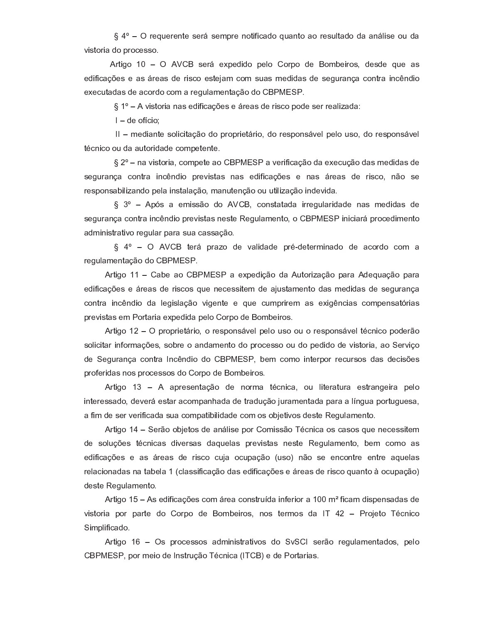$\S$  4° – O requerente será sempre notificado quanto ao resultado da análise ou da vistoria do processo.

Artigo 10 – O AVCB será expedido pelo Corpo de Bombeiros, desde que as edificações e as áreas de risco estejam com suas medidas de segurança contra incêndio executadas de acordo com a regulamentação do CBPMESP.

 $\S$  1° – A vistoria nas edificações e áreas de risco pode ser realizada:

 $I$  – de ofício;

II - mediante solicitação do proprietário, do responsável pelo uso, do responsável <sup>Q</sup> - <sup>f</sup> ` R f <sup>T</sup> <sup>T</sup> \ <sup>a</sup> ^ ^ \ <sup>Q</sup> <sup>T</sup> <sup>P</sup> R a ^ <sup>a</sup> <sup>Z</sup> <sup>f</sup> <sup>T</sup> \_ <sup>b</sup> <sup>Z</sup> <sup>Q</sup> <sup>Z</sup> ` <sup>Q</sup> <sup>Z</sup> <sup>|</sup>

 $\S$  2 $^{\circ}$  – na vistoria, compete ao CBPMESP a verificação da execução das medidas de segurança contra incêndio previstas nas edificações e nas áreas de risco, não se responsabilizando pela instalação, manutenção ou utilização indevida.

 $\S$  3° - Após a emissão do AVCB, constatada irregularidade nas medidas de segurança contra incêndio previstas neste Regulamento, o CBPMESP iniciará procedimento a dministrativo regular para sua cassação.

requlamentação do CBPMESP.

Artigo 11 - Cabe ao CBPMESP a expedição da Autorização para Adequação para edificações e áreas de riscos que necessitem de ajustamento das medidas de segurança contra incêndio da legislação vigente e que cumprirem as exigências compensatórias previstas em Portaria expedida pelo Corpo de Bombeiros.

solicitar informações, sobre o andamento do processo ou do pedido de vistoria, ao Serviço de Segurança contra Incêndio do CBPMESP, bem como interpor recursos das decisões proferidas nos processos do Corpo de Bombeiros.

 $R$  . The property is the property of the property in the property of the property of the property of the property of the property of the property of the property of the property of the property of the property of the pro a fim de ser verificada sua compatibilidade com os objetivos deste Regulamento.

<sup>a</sup> <sup>Z</sup> <sup>Y</sup> <sup>T</sup> ] \ <sup>e</sup> <sup>c</sup> <sup>Z</sup> <sup>Y</sup> <sup>Q</sup> - <sup>f</sup> ` R f ^ <sup>Y</sup> <sup>a</sup> R k <sup>Z</sup> <sup>P</sup> <sup>Y</sup> ^ <sup>Y</sup> <sup>a</sup> ^ \ <sup>Z</sup> ] ^ <sup>Y</sup> <sup>b</sup> <sup>P</sup> <sup>Z</sup> <sup>k</sup> R Y <sup>Q</sup> ^ <sup>Y</sup> ` <sup>Z</sup> <sup>Y</sup> <sup>Q</sup> <sup>Z</sup> [ <sup>Z</sup> <sup>S</sup> \ ] ^ \_ <sup>Z</sup> ` <sup>Q</sup> <sup>T</sup> <sup>j</sup> <sup>d</sup> <sup>Z</sup> \_ <sup>f</sup> <sup>T</sup> \_ <sup>T</sup> ^ <sup>Y</sup> edificações e as áreas de risco cuja ocupação (uso) não se encontre entre aquelas relacionadas na tabela 1 (classificação das edificações e áreas de risco quanto à ocupação) deste Regulamento.

Artigo 15 – As edificações com área construída inferior a 100 m<sup>2</sup> ficam dispensadas de Simplificado.

Artigo 16 - Os processos administrativos do SvSCI serão regulamentados, pelo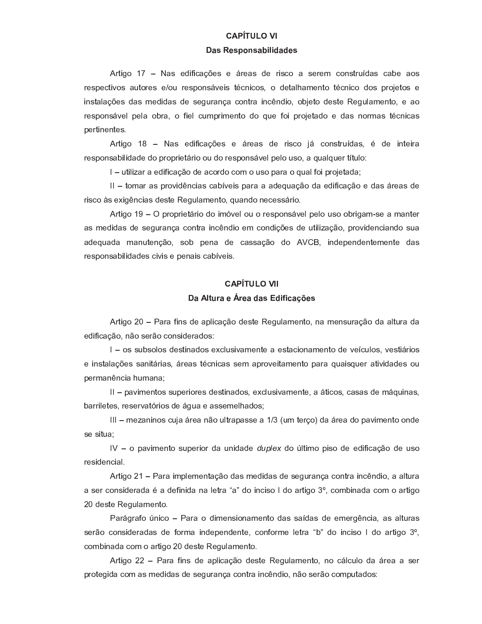### ----------

#### <sup>&</sup>gt; @ ; @ <sup>M</sup> <sup>9</sup> <sup>=</sup> @ <sup>&</sup>gt; <sup>F</sup> <sup>E</sup> <sup>D</sup> <sup>E</sup> ? <sup>&</sup>gt; ? ; @

Artigo 17 - Nas edificações e áreas de risco a serem construídas cabe aos  $P$   $\rightarrow$   $P$   $\rightarrow$   $P$   $\rightarrow$   $P$   $\rightarrow$   $P$   $\rightarrow$   $P$   $\rightarrow$   $P$   $\rightarrow$   $P$   $\rightarrow$   $P$   $\rightarrow$   $P$   $\rightarrow$   $P$   $\rightarrow$   $P$   $\rightarrow$   $P$   $\rightarrow$   $P$   $\rightarrow$   $P$   $\rightarrow$   $P$   $\rightarrow$   $P$   $\rightarrow$   $P$   $\rightarrow$   $P$   $\rightarrow$   $P$   $\rightarrow$   $P$   $\rightarrow$   $P$   $\rightarrow$   $P$   $\rightarrow$   $P$   $\rightarrow$   $P$  instalações das medidas de segurança contra incêndio, objeto deste Regulamento, e ao pertinentes.

responsabilidade do proprietário ou do responsável pelo uso, a qualquer título:

I – utilizar a edificação de acordo com o uso para o qual foi projetada;

II - tomar as providências cabíveis para a adequação da edificação e das áreas de risco às exigências deste Regulamento, quando necessário.

Artigo 19 – O proprietário do imóvel ou o responsável pelo uso obrigam-se a manter as medidas de segurança contra incêndio em condições de utilização, providenciando sua a dequada manutenção, sob pena de cassação do AVCB, independentemente das responsabilidades civis e penais cabíveis.

# -----------<sup>&</sup>gt; <sup>D</sup> <sup>A</sup> <sup>C</sup> <sup>&</sup>lt; <sup>&</sup>gt; ; <sup>&</sup>lt; ; <sup>&</sup>gt; ? <sup>&</sup>gt; @ ? <sup>E</sup> <sup>E</sup> <sup>J</sup> <sup>&</sup>gt; <sup>G</sup> <sup>H</sup> ; @

Artigo 20 – Para fins de aplicação deste Regulamento, na mensuração da altura da e dificação, não serão considerados:

 $I -$  os subsolos destinados exclusivamente a estacionamento de veículos, vestiários  $\mathcal{L}$  and  $\mathcal{L}$  and  $\mathcal{L}$  for  $\mathcal{L}$  for  $\mathcal{L}$  and  $\mathcal{L}$  for  $\mathcal{L}$  and  $\mathcal{L}$ 

 $II$  – pavimentos superiores destinados, exclusivamente, a áticos, casas de máquinas, <sup>d</sup> ^ <sup>P</sup> <sup>P</sup> R ] <sup>Z</sup> <sup>Q</sup> <sup>Z</sup> <sup>Y</sup> <sup>j</sup> <sup>P</sup> <sup>Z</sup> <sup>Y</sup> <sup>Z</sup> <sup>P</sup> <sup>k</sup> ^ <sup>Q</sup> <sup>P</sup> R T <sup>Y</sup> <sup>a</sup> <sup>Z</sup> <sup>i</sup> <sup>S</sup> \ ^ <sup>Z</sup> ^ <sup>Y</sup> <sup>Y</sup> <sup>Z</sup> \_ <sup>Z</sup> ] - ^ <sup>a</sup> <sup>T</sup> <sup>Y</sup>

III - mezaninos cuja área não ultrapasse a 1/3 (um terço) da área do pavimento onde se situa:

residencial.

Artigo 21 – Para implementação das medidas de segurança contra incêndio, a altura 20 deste Requlamento.

Parágrafo único – Para o dimensionamento das saídas de emergência, as alturas serão consideradas de forma independente, conforme letra "b" do inciso I do artigo 3º, combinada com o artigo 20 deste Regulamento.

Artigo 22 - Para fins de aplicação deste Regulamento, no cálculo da área a ser protegida com as medidas de segurança contra incêndio, não serão computados: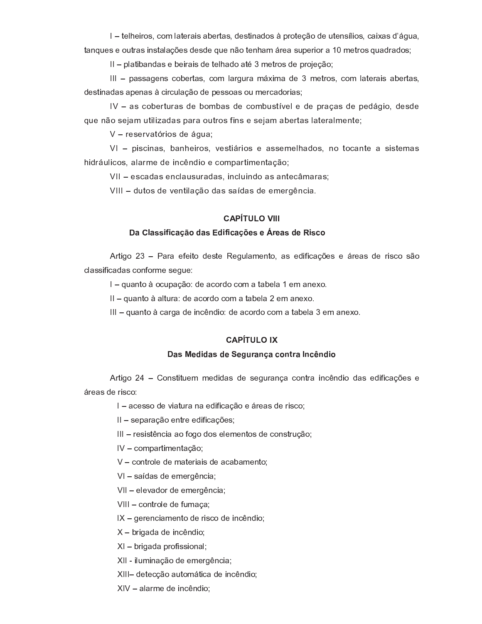$\mathcal{P}$  is the set of the set of the set of the problem  $\mathcal{P}$  and  $\mathcal{P}$  is the problem  $\mathcal{P}$  in the problem  $\mathcal{P}$  is the problem  $\mathcal{P}$  in  $\mathcal{P}$  and  $\mathcal{P}$  is the problem  $\mathcal{P}$  in  $\mathcal{P}$  is the pr

 $\mathbf{B}$  , and  $\mathbf{B}$  are the Z d  $\mathbf{B}$  and  $\mathbf{B}$  and  $\mathbf{B}$  are the problem  $\mathbf{B}$  . The problem  $\mathbf{B}$ 

III - passagens cobertas, com largura máxima de 3 metros, com laterais abertas, destinadas apenas à circulação de pessoas ou mercadorias;

IV - as coberturas de bombas de combustível e de praças de pedágio, desde que não sejam utilizadas para outros fins e sejam abertas lateralmente;

 $V$  – reservatórios de água;

- R a <sup>P</sup> <sup>i</sup> \ ] R f <sup>T</sup> <sup>Y</sup> <sup>j</sup> ^ ] ^ <sup>P</sup> \_ <sup>Z</sup> <sup>a</sup> <sup>Z</sup> R ` <sup>f</sup> <sup>g</sup> ` <sup>a</sup> R T <sup>Z</sup> <sup>f</sup> <sup>T</sup> \_ <sup>b</sup> ^ <sup>P</sup> <sup>Q</sup> R \_ <sup>Z</sup> ` <sup>Q</sup> ^ <sup>e</sup> <sup>p</sup> <sup>T</sup>

VII - escadas enclausuradas, incluindo as antecâmaras;

VIII - dutos de ventilação das saídas de emergência.

### -----------

#### <sup>&</sup>gt; <sup>D</sup> <sup>&</sup>gt; @ @ <sup>E</sup> <sup>E</sup> <sup>J</sup> <sup>&</sup>gt; <sup>G</sup> <sup>B</sup> <sup>9</sup> ? <sup>&</sup>gt; @ ? <sup>E</sup> <sup>E</sup> <sup>J</sup> <sup>&</sup>gt; <sup>G</sup> <sup>H</sup> ; @ ; <sup>&</sup>lt; ; <sup>&</sup>gt; @ ? ; <sup>E</sup> @ <sup>J</sup> <sup>9</sup>

Artigo 23 - Para efeito deste Regulamento, as edificações e áreas de risco são classificadas conforme seque:

 $\vert$  – quanto à ocupação: de acordo com a tabela 1 em anexo.

 $II -$  quanto à altura: de acordo com a tabela 2 em anexo.

 $\mathbb{H}$  – quanto à carga de incêndio: de acordo com a tabela 3 em anexo.

### ---------

#### <sup>&</sup>gt; @ ; ? <sup>E</sup> ? <sup>&</sup>gt; @ ? ; ; <sup>I</sup> <sup>C</sup> <sup>&</sup>lt; <sup>&</sup>gt; <sup>=</sup> <sup>G</sup> <sup>&</sup>gt; <sup>J</sup> <sup>9</sup> <sup>=</sup> <sup>A</sup> <sup>&</sup>lt; <sup>&</sup>gt; <sup>8</sup> <sup>=</sup> <sup>J</sup> <sup>=</sup> ? <sup>E</sup> <sup>9</sup>

Artigo 24 - Constituem medidas de seguranca contra incêndio das edificações e áreas de risco:

I - acesso de viatura na edificação e áreas de risco;

II - separação entre edificações;

III - resistência ao fogo dos elementos de construção:

 $IV -$  compartimentação;

 $V$  – controle de materiais de acabamento;

VI - saídas de emergência;

VII - elevador de emergência;

VIII - controle de fumaça;

 $IX - ger$  expremisamento de risco de incêndio;

 $X$  – brigada de incêndio;

 $X I - b$  rigada profissional;

XII - iluminação de emergência;

XIII- detecção automática de incêndio;

 $X IV -$  alarme de incêndio;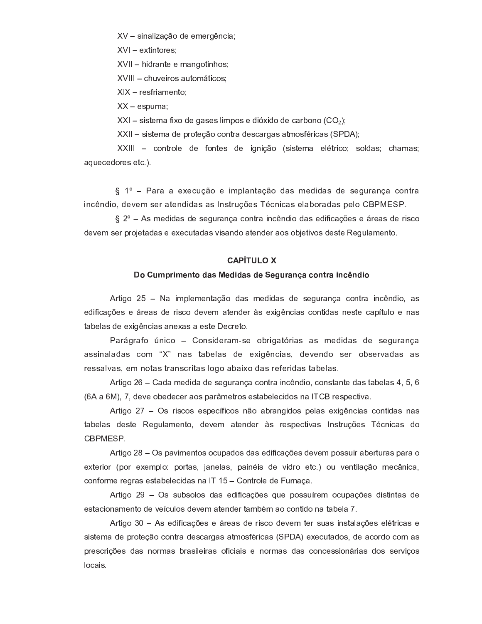$XV -$  sinalização de emergência;

 $XVI -$  extintores;

 $\blacksquare$  . The property of the property of the property of the property of the property of the property of the property of the property of the property of the property of the property of the property of the property of the

 $\bullet$  . As a real particle in the following the following the following the following the following the following the following the following the following the following the following the following the following the follow

 $X$   $X$  – resfriamento;

 $XX - e$ spuma;

 $XXI - s$  istema fixo de gases limpos e dióxido de carbono (CO<sub>2</sub>);

we find that the contract the problem of the problem of the problem of the problem of the problem of the problem of the problem of the problem of the problem of the problem of the problem of the problem of the problem of a que cedores etc.).

 $\S$  1° - Para a execução e implantação das medidas de segurança contra

 $\S$  2° – As medidas de segurança contra incêndio das edificações e áreas de risco devem ser projetadas e executadas visando atender aos objetivos deste Regulamento.

### -----------

#### <sup>9</sup> <sup>C</sup> <sup>N</sup> <sup>M</sup> <sup>&</sup>lt; <sup>E</sup> <sup>N</sup> ; <sup>=</sup> <sup>A</sup> <sup>9</sup> ? <sup>&</sup>gt; @ ; ? <sup>E</sup> ? <sup>&</sup>gt; @ ? ; ; <sup>I</sup> <sup>C</sup> <sup>&</sup>lt; <sup>&</sup>gt; <sup>=</sup> <sup>G</sup> <sup>&</sup>gt; <sup>J</sup> <sup>9</sup> <sup>=</sup> <sup>A</sup> <sup>&</sup>lt; <sup>&</sup>gt; <sup>E</sup> <sup>=</sup> <sup>J</sup> <sup>=</sup> ? <sup>E</sup> <sup>9</sup>

Artigo 25 - Na implementação das medidas de segurança contra incêndio, as edificações e áreas de risco devem atender às exigências contidas neste capítulo e nas tabelas de exigências anexas a este Decreto.

Parágrafo único - Consideram-se obrigatórias as medidas de segurança assinaladas com "X" nas tabelas de exigências, devendo ser observadas as ressalvas, em notas transcritas logo abaixo das referidas tabelas.

Artigo 26 – Cada medida de seguranca contra incêndio, constante das tabelas 4, 5, 6 (6A a 6M), 7, deve obedecer aos parâmetros estabelecidos na ITCB respectiva.

Artigo 27 - Os riscos específicos não abrangidos pelas exigências contidas nas CBPMESP.

Artigo 28 - Os pavimentos ocupados das edificações devem possuir aberturas para o conforme regras estabelecidas na IT 15 - Controle de Fumaça.

Artigo 29 - Os subsolos das edificações que possuírem ocupações distintas de

prescrições das normas brasileiras oficiais e normas das concessionárias dos serviços locais.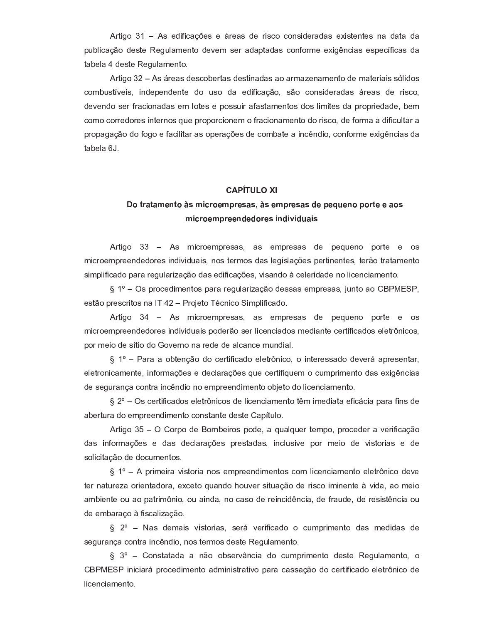Artigo 31 - As edificações e áreas de risco consideradas existentes na data da publicação deste Regulamento devem ser adaptadas conforme exigências específicas da tabela 4 deste Regulamento.

Artigo 32 - As áreas descobertas destinadas ao armazenamento de materiais sólidos combustíveis, independente do uso da edificação, são consideradas áreas de risco, devendo ser fracionadas em lotes e possuir afastamentos dos limites da propriedade, bem como corredores internos que proporcionem o fracionamento do risco, de forma a dificultar a propagação do fogo e facilitar as operações de combate a incêndio, conforme exigências da tabela 6J.

#### $-$

# <sup>9</sup> <sup>A</sup> <sup>&</sup>lt; <sup>&</sup>gt; <sup>A</sup> <sup>&</sup>gt; <sup>N</sup> ; <sup>=</sup> <sup>A</sup> <sup>9</sup> @ <sup>N</sup> <sup>E</sup> <sup>J</sup> <sup>&</sup>lt; <sup>9</sup> ; <sup>N</sup> <sup>M</sup> <sup>&</sup>lt; ; @ <sup>&</sup>gt; @ @ ; <sup>N</sup> <sup>M</sup> <sup>&</sup>lt; ; @ <sup>&</sup>gt; @ ? ; <sup>M</sup> ; <sup>C</sup> ; <sup>=</sup> <sup>9</sup> <sup>M</sup> <sup>9</sup> <sup>&</sup>lt; <sup>A</sup> ; ; <sup>&</sup>gt; <sup>9</sup> @ <sup>N</sup> <sup>E</sup> <sup>J</sup> <sup>&</sup>lt; <sup>9</sup> ; <sup>N</sup> <sup>M</sup> <sup>&</sup>lt; ; ; <sup>=</sup> ? ; ? <sup>9</sup> <sup>&</sup>lt; ; @ <sup>E</sup> <sup>=</sup> ? <sup>E</sup> : <sup>E</sup> ? <sup>C</sup> <sup>&</sup>gt; <sup>E</sup> @

Artigo 33  $-$  As microempresas, as empresas de pequeno porte e os microempreendedores individuais, nos termos das legislações pertinentes, terão tratamento simplificado para regularização das edificações, visando à celeridade no licenciamento.

§ 1º – Os procedimentos para regularização dessas empresas, junto ao CBPMESP,

Artigo 34 - As microempresas, as empresas de pequeno porte e os microempreendedores individuais poderão ser licenciados mediante certificados eletrônicos, por meio de sítio do Governo na rede de alcance mundial.

 $\S$  1° – Para a obtenção do certificado eletrônico, o interessado deverá apresentar, eletronicamente, informações e declarações que certifiquem o cumprimento das exigências de segurança contra incêndio no empreendimento objeto do licenciamento.

 $\S 2^{\circ}$  – Os certificados eletrônicos de licenciamento têm imediata eficácia para fins de abertura do empreendimento constante deste Capítulo.

Artigo 35 – O Corpo de Bombeiros pode, a qualquer tempo, proceder a verificação das informações e das declarações prestadas, inclusive por meio de vistorias e de solicitação de documentos.

 $\S$  1° – A primeira vistoria nos empreendimentos com licenciamento eletrônico deve ambiente ou ao patrimônio, ou ainda, no caso de reincidência, de fraude, de resistência ou de embaraço à fiscalização.

 $\S$  2° – Nas demais vistorias, será verificado o cumprimento das medidas de segurança contra incêndio, nos termos deste Regulamento.

 $\S$  3° – Constatada a não observância do cumprimento deste Regulamento, o CBPMESP iniciará procedimento administrativo para cassação do certificado eletrônico de licenciamento.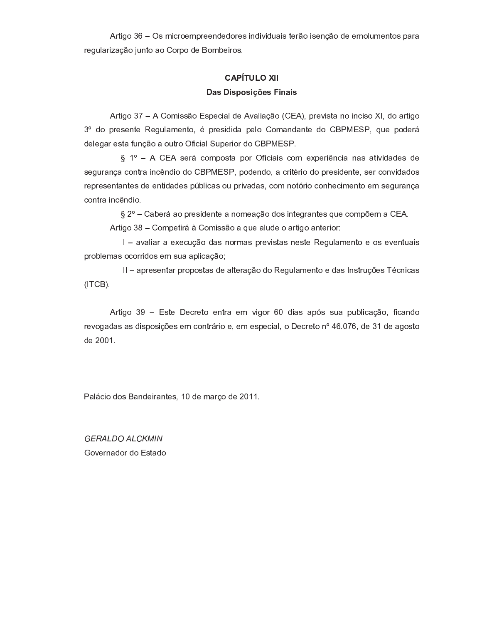Artigo 36 - Os microempreendedores individuais terão isenção de emolumentos para regularização junto ao Corpo de Bombeiros.

# ------------<sup>&</sup>gt; @ <sup>E</sup> @ <sup>M</sup> <sup>9</sup> @ <sup>E</sup> <sup>G</sup> <sup>H</sup> ; @ <sup>E</sup> <sup>=</sup> <sup>&</sup>gt; <sup>E</sup> @

Artigo 37 - A Comissão Especial de Avaliação (CEA), prevista no inciso XI, do artigo <sup>y</sup> <sup>V</sup> <sup>a</sup> <sup>T</sup> <sup>b</sup> <sup>P</sup> <sup>Z</sup> <sup>Y</sup> <sup>Z</sup> ` <sup>Q</sup> <sup>Z</sup> [ <sup>Z</sup> <sup>S</sup> \ ] ^ \_ <sup>Z</sup> ` <sup>Q</sup> <sup>T</sup> <sup>j</sup> - <sup>b</sup> <sup>P</sup> <sup>Z</sup> <sup>Y</sup> R a R a ^ <sup>b</sup> <sup>Z</sup> ] <sup>T</sup> <sup>o</sup> <sup>T</sup> \_ ^ ` <sup>a</sup> ^ ` <sup>Q</sup> <sup>Z</sup> <sup>a</sup> <sup>T</sup> <sup>o</sup> <sup>X</sup> <sup>j</sup> \ <sup>Z</sup> <sup>b</sup> <sup>T</sup> <sup>a</sup> <sup>Z</sup> <sup>P</sup> <sup>i</sup> delegar esta função a outro Oficial Superior do CBPMESP.

 $\S$  1° - A CEA será composta por Oficiais com experiência nas atividades de contra incêndio.

 $\S$  2° – Caberá ao presidente a nomeação dos integrantes que compõem a CEA.

Artigo 38 – Competirá à Comissão a que alude o artigo anterior:

I - avaliar a execução das normas previstas neste Regulamento e os eventuais problemas ocorridos em sua aplicação;

 $(ITCB).$ 

Artigo 39 - Este Decreto entra em vigor 60 dias após sua publicação, ficando revogadas as disposições em contrário e, em especial, o Decreto nº 46.076, de 31 de agosto de 2001.

Palácio dos Bandeirantes, 10 de março de 2011.

----------------Governador do Estado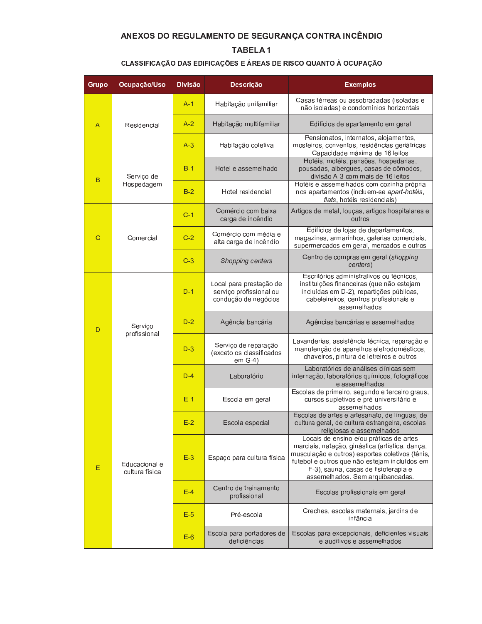# ANEXOS DO REGULAMENTO DE SEGURANÇA CONTRA INCÊNDIO

# **TABELA1**

# CLASSIFICAÇÃO DAS EDIFICAÇÕES E ÁREAS DE RISCO QUANTO À OCUPAÇÃO

| Grupo | Ocupação/Uso                                                                                         | <b>Divisão</b> | Descrição                                                                  | <b>Exemplos</b>                                                                                                                                                                                                                                                            |
|-------|------------------------------------------------------------------------------------------------------|----------------|----------------------------------------------------------------------------|----------------------------------------------------------------------------------------------------------------------------------------------------------------------------------------------------------------------------------------------------------------------------|
|       |                                                                                                      | $A-1$          | Habitação unifamiliar                                                      | Casas térreas ou assobradadas (isoladas e<br>não isoladas) e condomínios horizontais                                                                                                                                                                                       |
| Α     | Residencial                                                                                          | $A-2$          | Habitação multifamiliar                                                    | Edifícios de apartamento em geral                                                                                                                                                                                                                                          |
|       | $A-3$<br>$B-1$<br>Serviço de<br>Hospedagem<br>$B-2$<br>$C-1$<br>$C-2$<br>Comercial<br>$C-3$<br>$D-1$ |                | Habitação coletiva                                                         | Pensionatos, internatos, alojamentos,<br>mosteiros, conventos, residências geriátricas.<br>Capacidade máxima de 16 leitos                                                                                                                                                  |
| в     |                                                                                                      |                | Hotel e assemelhado                                                        | Hotéis, motéis, pensões, hospedarias,<br>pousadas, albergues, casas de cômodos,<br>divisão A-3 com mais de 16 leitos                                                                                                                                                       |
|       |                                                                                                      |                | Hotel residencial                                                          | Hotéis e assemelhados com cozinha própria<br>nos apartamentos (incluem-se apart-hotéis,<br>flats, hotéis residenciais)                                                                                                                                                     |
|       |                                                                                                      |                | Comércio com baixa<br>carga de incêndio                                    | Artigos de metal, louças, artigos hospitalares e<br>outros                                                                                                                                                                                                                 |
| C     |                                                                                                      |                | Comércio com média e<br>alta carga de incêndio                             | Edifícios de lojas de departamentos,<br>magazines, armarinhos, galerias comerciais,<br>supermercados em geral, mercados e outros                                                                                                                                           |
|       |                                                                                                      |                | Shopping centers                                                           | Centro de compras em geral (shopping<br>centers)                                                                                                                                                                                                                           |
|       |                                                                                                      |                | Local para prestação de<br>serviço profissional ou<br>condução de negócios | Escritórios administrativos ou técnicos,<br>instituições financeiras (que não estejam<br>incluídas em D-2), repartições públicas,<br>cabeleireiros, centros profissionais e<br>assemelhados                                                                                |
| D     | Serviço                                                                                              | $D-2$          | Agência bancária                                                           | Agências bancárias e assemelhados                                                                                                                                                                                                                                          |
|       | profissional                                                                                         | $D-3$          | Serviço de reparação<br>(exceto os classificados<br>$em$ G-4)              | Lavanderias, assistência técnica, reparação e<br>manutenção de aparelhos eletrodomésticos,<br>chaveiros, pintura de letreiros e outros                                                                                                                                     |
|       |                                                                                                      | $D-4$          | Laboratório                                                                | Laboratórios de análises clínicas sem<br>internação, laboratórios químicos, fotográficos<br>e assemelhados                                                                                                                                                                 |
|       |                                                                                                      | $E-1$          | Escola em geral                                                            | Escolas de primeiro, segundo e terceiro graus,<br>cursos supletivos e pré-universitário e<br>assemelhados                                                                                                                                                                  |
|       |                                                                                                      | $E-2$          | Escola especial                                                            | Escolas de artes e artesanato, de línguas, de<br>cultura geral, de cultura estrangeira, escolas<br>religiosas e assemelhados                                                                                                                                               |
| E     | Educacional e<br>cultura física                                                                      | $E-3$          | Espaço para cultura física                                                 | Locais de ensino e/ou práticas de artes<br>marciais, natação, ginástica (artística, dança,<br>musculação e outros) esportes coletivos (tênis,<br>futebol e outros que não estejam incluídos em<br>F-3), sauna, casas de fisioterapia e<br>assemelhados. Sem arquibancadas. |
|       |                                                                                                      | $E-4$          | Centro de treinamento<br>profissional                                      | Escolas profissionais em geral                                                                                                                                                                                                                                             |
|       |                                                                                                      | $E-5$          | Pré-escola                                                                 | Creches, escolas maternais, jardins de<br>infância                                                                                                                                                                                                                         |
|       |                                                                                                      | $E-6$          | Escola para portadores de<br>deficiências                                  | Escolas para excepcionais, deficientes visuais<br>e auditivos e assemelhados                                                                                                                                                                                               |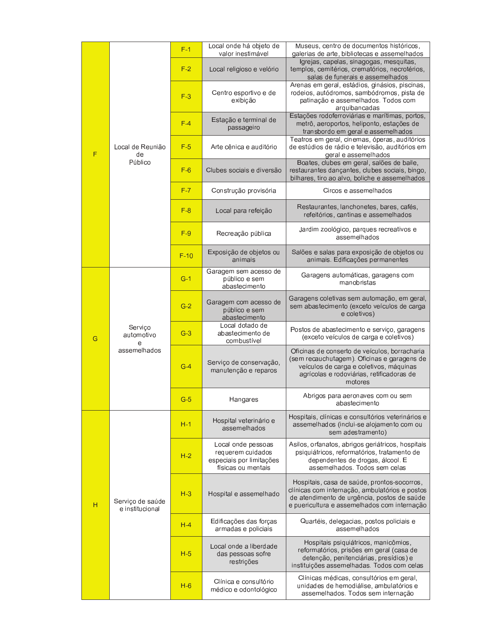|   |                                            | $F-1$  | Local onde há objeto de<br>valor inestimável                                              | Museus, centro de documentos históricos,<br>galerias de arte, bibliotecas e assemelhados                                                                                                        |
|---|--------------------------------------------|--------|-------------------------------------------------------------------------------------------|-------------------------------------------------------------------------------------------------------------------------------------------------------------------------------------------------|
|   |                                            | $F-2$  | Local religioso e velório                                                                 | Igrejas, capelas, sinagogas, mesquitas,<br>templos, cemitérios, crematórios, necrotérios,<br>salas de funerais e assemelhados                                                                   |
|   |                                            | $F-3$  | Centro esportivo e de<br>exibição                                                         | Arenas em geral, estádios, ginásios, piscinas,<br>rodeios, autódromos, sambódromos, pista de<br>patinação e assemelhados. Todos com<br>arquibancadas                                            |
| F |                                            | $F-4$  | Estação e terminal de<br>passageiro                                                       | Estações rodoferroviárias e marítimas, portos,<br>metrô, aeroportos, heliponto, estações de<br>transbordo em geral e assemelhados                                                               |
|   | Local de Reunião<br>de                     | $F-5$  | Arte cênica e auditório                                                                   | Teatros em geral, cinemas, óperas, auditórios<br>de estúdios de rádio e televisão, auditórios em<br>geral e assemelhados                                                                        |
|   | Público                                    | $F-6$  | Clubes sociais e diversão                                                                 | Boates, clubes em geral, salões de baile,<br>restaurantes dançantes, clubes sociais, bingo,<br>bilhares, tiro ao alvo, boliche e assemelhados                                                   |
|   |                                            | $F-7$  | Construção provisória                                                                     | Circos e assemelhados                                                                                                                                                                           |
|   |                                            | $F-8$  | Local para refeição                                                                       | Restaurantes, lanchonetes, bares, cafés,<br>refeitórios, cantinas e assemelhados                                                                                                                |
|   |                                            | $F-9$  | Recreação pública                                                                         | Jardim zoológico, parques recreativos e<br>assemelhados                                                                                                                                         |
|   |                                            | $F-10$ | Exposição de objetos ou<br>animais                                                        | Salões e salas para exposição de objetos ou<br>animais. Edificações permanentes                                                                                                                 |
|   |                                            | $G-1$  | Garagem sem acesso de<br>público e sem<br>abastecimento                                   | Garagens automáticas, garagens com<br>manobristas                                                                                                                                               |
|   | Serviço<br>automotivo<br>e<br>assemelhados | $G-2$  | Garagem com acesso de<br>público e sem<br>abastecimento                                   | Garagens coletivas sem automação, em geral,<br>sem abastecimento (exceto veículos de carga<br>e coletivos)                                                                                      |
| G |                                            | $G-3$  | Local dotado de<br>abastecimento de<br>combustível                                        | Postos de abastecimento e serviço, garagens<br>(exceto veículos de carga e coletivos)                                                                                                           |
|   |                                            | $G-4$  | Serviço de conservação,<br>manutenção e reparos                                           | Oficinas de conserto de veículos, borracharia<br>(sem recauchutagem). Oficinas e garagens de<br>veículos de carga e coletivos, máquinas<br>agrícolas e rodoviárias, retificadoras de<br>motores |
|   |                                            | $G-5$  | Hangares                                                                                  | Abrigos para aeronaves com ou sem<br>abastecimento                                                                                                                                              |
|   |                                            | $H-1$  | Hospital veterinário e<br>assemelhados                                                    | Hospitais, clínicas e consultórios veterinários e<br>assemelhados (inclui-se alojamento com ou<br>sem adestramento)                                                                             |
|   |                                            | $H-2$  | Local onde pessoas<br>requerem cuidados<br>especiais por limitações<br>físicas ou mentais | Asilos, orfanatos, abrigos geriátricos, hospitais<br>psiquiátricos, reformatórios, tratamento de<br>dependentes de drogas, álcool. E<br>assemelhados. Todos sem celas                           |
| Н | Serviço de saúde<br>e institucional        | $H-3$  | Hospital e assemelhado                                                                    | Hospitais, casa de saúde, prontos-socorros,<br>clínicas com internação, ambulatórios e postos<br>de atendimento de urgência, postos de saúde<br>e puericultura e assemelhados com internação    |
|   |                                            | $H-4$  | Edificações das forças<br>armadas e policiais                                             | Quartéis, delegacias, postos policiais e<br>assemelhados                                                                                                                                        |
|   |                                            | $H-5$  | Local onde a liberdade<br>das pessoas sofre<br>restrições                                 | Hospitais psiquiátricos, manicômios,<br>reformatórios, prisões em geral (casa de<br>detenção, penitenciárias, presídios) e<br>instituições assemelhadas. Todos com celas                        |
|   |                                            | $H-6$  | Clínica e consultório<br>médico e odontológico                                            | Clínicas médicas, consultórios em geral,<br>unidades de hemodiálise, ambulatórios e<br>assemelhados. Todos sem internação                                                                       |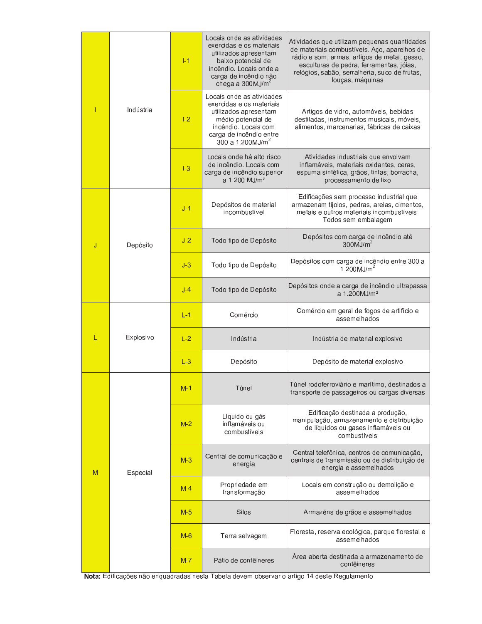|           |           |         | Locais onde as atividades<br>exercidas e os materiais<br>utilizados apresentam<br>baixo potencial de<br>incêndio. Locais onde a<br>carga de incêndio não<br>chega a $300$ MJ/m <sup>2</sup> | Atividades que utilizam pequenas quantidades<br>de materiais combustíveis. Aço, aparelhos de<br>rádio e som, armas, artigos de metal, gesso,<br>esculturas de pedra, ferramentas, jóias,<br>relógios, sabão, serralheria, suco de frutas,<br>louças, máquinas |
|-----------|-----------|---------|---------------------------------------------------------------------------------------------------------------------------------------------------------------------------------------------|---------------------------------------------------------------------------------------------------------------------------------------------------------------------------------------------------------------------------------------------------------------|
| Indústria |           | $ -2 $  | Locais onde as atividades<br>exercidas e os materiais<br>utilizados apresentam<br>médio potencial de<br>incêndio. Locais com<br>carga de incêndio entre<br>300 a 1.200MJ/m <sup>2</sup>     | Artigos de vidro, automóveis, bebidas<br>destiladas, instrumentos musicais, móveis,<br>alimentos, marcenarias, fábricas de caixas                                                                                                                             |
|           |           | $ -3$   | Locais onde há alto risco<br>de incêndio. Locais com<br>carga de incêndio superior<br>a 1.200 MJ/m <sup>2</sup>                                                                             | Atividades industriais que envolvam<br>inflamáveis, materiais oxidantes, ceras,<br>espuma sintética, grãos, tintas, borracha,<br>processamento de lixo                                                                                                        |
|           |           | $J-1$   | Depósitos de material<br>incombustível                                                                                                                                                      | Edificações sem processo industrial que<br>armazenam tijolos, pedras, areias, cimentos,<br>metais e outros materiais incombustíveis.<br>Todos sem embalagem                                                                                                   |
| J         | Depósito  |         | Todo tipo de Depósito                                                                                                                                                                       | Depósitos com carga de incêndio até<br>$300$ MJ/m <sup>2</sup>                                                                                                                                                                                                |
|           |           |         | Todo tipo de Depósito                                                                                                                                                                       | Depósitos com carga de incêndio entre 300 a<br>1.200MJ/ $m^2$                                                                                                                                                                                                 |
|           |           | $J-4$   | Todo tipo de Depósito                                                                                                                                                                       | Depósitos onde a carga de incêndio ultrapassa<br>a 1.200MJ/m <sup>2</sup>                                                                                                                                                                                     |
|           |           |         | Comércio                                                                                                                                                                                    | Comércio em geral de fogos de artifício e<br>assemelhados                                                                                                                                                                                                     |
| L         | Explosivo | $L-2$   | Indústria                                                                                                                                                                                   | Indústria de material explosivo                                                                                                                                                                                                                               |
|           |           | $L-3$   | Depósito                                                                                                                                                                                    | Depósito de material explosivo                                                                                                                                                                                                                                |
|           |           | $M-1$   | Túnel                                                                                                                                                                                       | Túnel rodoferroviário e marítimo, destinados a<br>transporte de passageiros ou cargas diversas                                                                                                                                                                |
|           |           | $M-2$   | Líquido ou gás<br>inflamáveis ou<br>combustíveis                                                                                                                                            | Edificação destinada a produção,<br>manipulação, armazenamento e distribuição<br>de líquidos ou gases inflamáveis ou<br>combustíveis                                                                                                                          |
| M         | Especial  | $M-3$   | Central de comunicação e<br>energia                                                                                                                                                         | Central telefônica, centros de comunicação,<br>centrais de transmissão ou de distribuição de<br>energia e assemelhados                                                                                                                                        |
|           |           | $M-4$   | Propriedade em<br>transformação                                                                                                                                                             | Locais em construção ou demolição e<br>assemelhados                                                                                                                                                                                                           |
|           |           | $M-5$   | Silos                                                                                                                                                                                       | Armazéns de grãos e assemelhados                                                                                                                                                                                                                              |
|           |           | $M-6$   | Terra selvagem                                                                                                                                                                              | Floresta, reserva ecológica, parque florestal e<br>assemelhados                                                                                                                                                                                               |
|           |           | $M - 7$ | Pátio de contêineres                                                                                                                                                                        | Area aberta destinada a armazenamento de<br>contêineres                                                                                                                                                                                                       |

Nota: Edificações não enquadradas nesta Tabela devem observar o artigo 14 deste Regulamento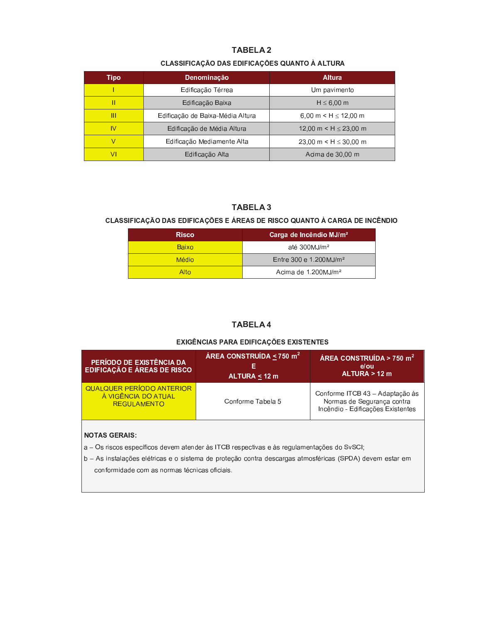# **TABELA 2**

# CLASSIFICAÇÃO DAS EDIFICAÇÕES QUANTO À ALTURA

| Tipo | Denominação                      | <b>Altura</b>                            |
|------|----------------------------------|------------------------------------------|
|      | Edificação Térrea                | Um pavimento                             |
|      | Edificação Baixa                 | $H \leq 6,00$ m                          |
|      | Edificação de Baixa-Média Altura | $6.00 \text{ m} < H \le 12.00 \text{ m}$ |
| IV   | Edificação de Média Altura       | 12.00 m $\leq$ H $\leq$ 23.00 m          |
|      | Edificação Mediamente Alta       | 23,00 m $\leq$ H $\leq$ 30,00 m          |
|      | Edificação Alta                  | Acima de 30,00 m                         |

# **TABELA 3**

# CLASSIFICAÇÃO DAS EDIFICAÇÕES E ÁREAS DE RISCO QUANTO À CARGA DE INCÊNDIO

| <b>Risco</b> | Carga de Incêndio MJ/m <sup>2</sup> |  |  |
|--------------|-------------------------------------|--|--|
| <b>Baixo</b> | até $300$ MJ/m <sup>2</sup>         |  |  |
| <b>Médio</b> | Entre 300 e 1.200MJ/m <sup>2</sup>  |  |  |
| Alto         | Acima de 1.200MJ/m <sup>2</sup>     |  |  |

# **TABELA 4**

### EXIGÊNCIAS PARA EDIFICAÇÕES EXISTENTES

| PERÍODO DE EXISTÊNCIA DA<br><b>EDIFICAÇÃO E ÁREAS DE RISCO</b>         | ÁREA CONSTRUÍDA < 750 m <sup>2</sup><br>ALTURA < 12 m | ÁREA CONSTRUÍDA > 750 m <sup>2</sup><br>e/ou<br>ALTURA > 12 m                                      |  |  |
|------------------------------------------------------------------------|-------------------------------------------------------|----------------------------------------------------------------------------------------------------|--|--|
| QUALQUER PERÍODO ANTERIOR<br>À VIGÊNCIA DO ATUAL<br><b>REGULAMENTO</b> | Conforme Tabela 5                                     | Conforme ITCB 43 - Adaptação às<br>Normas de Segurança contra<br>Incêndio - Edificações Existentes |  |  |

### **NOTAS GERAIS:**

- a Os riscos específicos devem atender às ITCB respectivas e às regulamentações do SvSCI;
- b As instalações elétricas e o sistema de proteção contra descargas atmosféricas (SPDA) devem estar em conformidade com as normas técnicas oficiais.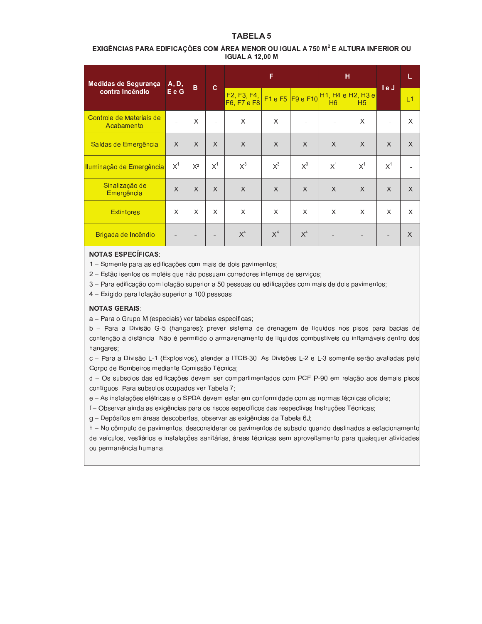# **TABELA 5**

### EXIGÊNCIAS PARA EDIFICAÇÕES COM ÁREA MENOR OU IGUAL A 750 M<sup>2</sup> E ALTURA INFERIOR OU **IGUAL A 12,00 M**

| Medidas de Segurança                   | A, D,          | B.       | $\mathbf{C}$   | F                                                                 |          |                  | н                              |                | le J     | L        |
|----------------------------------------|----------------|----------|----------------|-------------------------------------------------------------------|----------|------------------|--------------------------------|----------------|----------|----------|
| contra Incêndio                        | E e G          |          |                | F <sub>2</sub> , F <sub>3</sub> , F <sub>4</sub> ,<br>F6, F7 e F8 |          | F1 e F5 F9 e F10 | <u>Н1, Н4 е Н2, Н3 е</u><br>H6 | H <sub>5</sub> |          | L1       |
| Controle de Materiais de<br>Acabamento | $\blacksquare$ | X        | $\blacksquare$ | X                                                                 | X        |                  |                                | X              |          | X        |
| Saídas de Emergência                   | $\times$       | $\times$ | X              | $\times$                                                          | $\times$ | X                | $\times$                       | X              | X        | X        |
| Iluminação de Emergência               | $X^1$          | $X^2$    | $X^1$          | $X^3$                                                             | $X^3$    | $X^3$            | $X^1$                          | $X^1$          | $X^1$    |          |
| Sinalização de<br>Emergência           | $\times$       | $\chi$   | $\mathsf{X}$   | $\chi$                                                            | $\times$ | $\chi$           | $\times$                       | $\times$       | $\times$ | X        |
| <b>Extintores</b>                      | X              | X        | X              | $\times$                                                          | $\times$ | X                | $\times$                       | X              | X        | X        |
| Brigada de Incêndio                    |                |          |                | $X^4$                                                             | $X^4$    | $X^4$            |                                |                |          | $\times$ |

#### **NOTAS ESPECÍFICAS:**

1 - Somente para as edificações com mais de dois pavimentos;

2 - Estão isentos os motéis que não possuam corredores internos de serviços;

3 - Para edificação com lotação superior a 50 pessoas ou edificações com mais de dois pavimentos;

4 - Exigido para lotação superior a 100 pessoas.

#### **NOTAS GERAIS:**

a - Para o Grupo M (especiais) ver tabelas específicas;

b - Para a Divisão G-5 (hangares): prever sistema de drenagem de líquidos nos pisos para bacias de contenção à distância. Não é permitido o armazenamento de líquidos combustíveis ou inflamáveis dentro dos hangares;

c - Para a Divisão L-1 (Explosivos), atender a ITCB-30. As Divisões L-2 e L-3 somente serão avaliadas pelo Corpo de Bombeiros mediante Comissão Técnica;

d - Os subsolos das edificações devem ser compartimentados com PCF P-90 em relação aos demais pisos contíguos. Para subsolos ocupados ver Tabela 7;

e - As instalações elétricas e o SPDA devem estar em conformidade com as normas técnicas oficiais;

f - Observar ainda as exigências para os riscos específicos das respectivas Instruções Técnicas;

g - Depósitos em áreas descobertas, observar as exigências da Tabela 6J;

h - No cômputo de pavimentos, desconsiderar os pavimentos de subsolo quando destinados a estacionamento de veículos, vestiários e instalações sanitárias, áreas técnicas sem aproveitamento para quaisquer atividades ou permanência humana.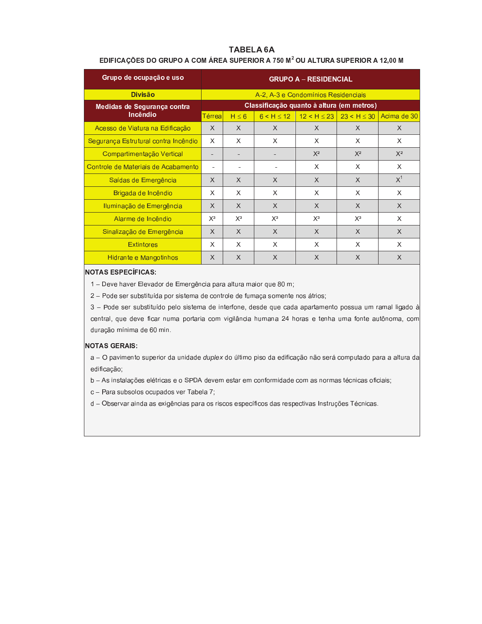### **TABELA 6A**

### EDIFICAÇÕES DO GRUPO A COM ÁREA SUPERIOR A 750 M<sup>2</sup> OU ALTURA SUPERIOR A 12,00 M

| Grupo de ocupação e uso              | <b>GRUPO A - RESIDENCIAL</b> |            |                |                                           |                                   |             |  |  |
|--------------------------------------|------------------------------|------------|----------------|-------------------------------------------|-----------------------------------|-------------|--|--|
| <b>Divisão</b>                       |                              |            |                | A-2, A-3 e Condomínios Residenciais       |                                   |             |  |  |
| Medidas de Segurança contra          |                              |            |                | Classificação quanto à altura (em metros) |                                   |             |  |  |
| Incêndio                             | Térreal                      | $H \leq 6$ | $6 < H \le 12$ |                                           | $12 < H \le 23$   23 < H $\le$ 30 | Acima de 30 |  |  |
| Acesso de Viatura na Edificação      | X                            | X          | $\times$       | $\times$                                  | $\times$                          | X           |  |  |
| Segurança Estrutural contra Incêndio | X                            | X          | X              | X                                         | X                                 | X           |  |  |
| Compartimentação Vertical            | ۰                            | ۰.         |                | $X^2$                                     | $X^2$                             | $X^2$       |  |  |
| Controle de Materiais de Acabamento  |                              |            |                | X                                         | X                                 | X           |  |  |
| Saídas de Emergência                 | $\times$                     | $\times$   | $\times$       | $\times$                                  | $\chi$                            | $X^1$       |  |  |
| Brigada de Incêndio                  | X                            | X          | X              | X                                         | X                                 | X           |  |  |
| Iluminação de Emergência             | $\times$                     | $\times$   | $\mathsf{X}$   | $\mathsf{X}$                              | $\chi$                            | $\times$    |  |  |
| Alarme de Incêndio                   | $X^3$                        | $X^3$      | $X^3$          | $X^3$                                     | $X^3$                             | X           |  |  |
| Sinalização de Emergência            | X                            | X          | X              | $\times$                                  | $\times$                          | X           |  |  |
| <b>Extintores</b>                    | X                            | X          | X              | X                                         | X                                 | X           |  |  |
| Hidrante e Mangotinhos               | $\times$                     | X          | X              | $\times$                                  | X                                 | X           |  |  |

# **NOTAS ESPECÍFICAS:**

1 - Deve haver Elevador de Emergência para altura maior que 80 m;

2 - Pode ser substituída por sistema de controle de fumaça somente nos átrios;

3 - Pode ser substituído pelo sistema de interfone, desde que cada apartamento possua um ramal ligado à central, que deve ficar numa portaria com vigilância humana 24 horas e tenha uma fonte autônoma, com duração mínima de 60 min.

#### **NOTAS GERAIS:**

a - O pavimento superior da unidade duplex do último piso da edificação não será computado para a altura da edificação;

b - As instalações elétricas e o SPDA devem estar em conformidade com as normas técnicas oficiais;

c - Para subsolos ocupados ver Tabela 7;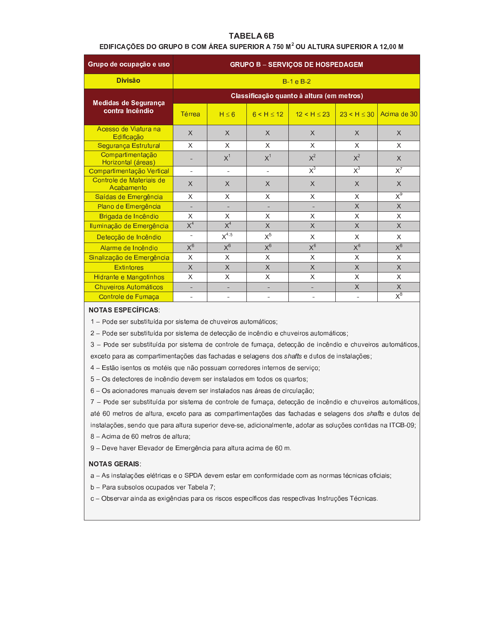### **TABELA 6B**

### EDIFICAÇÕES DO GRUPO B COM ÁREA SUPERIOR A 750 M<sup>2</sup> OU ALTURA SUPERIOR A 12,00 M

| Grupo de ocupação e uso                | <b>GRUPO B - SERVIÇOS DE HOSPEDAGEM</b> |             |                  |                                           |                  |                                      |  |  |  |
|----------------------------------------|-----------------------------------------|-------------|------------------|-------------------------------------------|------------------|--------------------------------------|--|--|--|
| <b>Divisão</b>                         |                                         | $B-1 e B-2$ |                  |                                           |                  |                                      |  |  |  |
| Medidas de Segurança                   |                                         |             |                  | Classificação quanto à altura (em metros) |                  |                                      |  |  |  |
| contra Incêndio                        | Térrea                                  | $H \leq 6$  | 6 < H < 12       | 12 < H < 23                               | 23 < H < 30      | Acima de 30                          |  |  |  |
| Acesso de Viatura na<br>Edificação     | $\chi$                                  | $\times$    | $\times$         | $\times$                                  | $\times$         | $\times$                             |  |  |  |
| Segurança Estrutural                   | X                                       | X           | X                | X                                         | X                | X                                    |  |  |  |
| Compartimentação<br>Horizontal (áreas) |                                         | $X^1$       | X <sup>1</sup>   | $X^2$                                     | $X^2$            | $\times$                             |  |  |  |
| Compartimentação Vertical              | $\sim$                                  |             | ٠                | $\overline{X}^3$                          | $\overline{X}^3$ | $\overline{X}$ <sup>7</sup>          |  |  |  |
| Controle de Materiais de<br>Acabamento | X                                       | $\times$    | $\times$         | $\times$                                  | $\times$         | $\times$                             |  |  |  |
| Saídas de Emergência                   | X                                       | X           | X                | X                                         | X                | $\overline{X^9}$                     |  |  |  |
| Plano de Emergência                    |                                         |             |                  |                                           | X                | $\times$                             |  |  |  |
| Brigada de Incêndio                    | X                                       | X           | X                | X                                         | X                | X                                    |  |  |  |
| Iluminação de Emergência               | $\overline{X}^4$                        | $X^4$       | X                | $\times$                                  | X                | $\times$                             |  |  |  |
| Detecção de Incêndio                   | $\overline{\phantom{a}}$                | $X^{4;5}$   | $X^5$            | $\times$                                  | X                | X                                    |  |  |  |
| Alarme de Incêndio                     | $\overline{X^6}$                        | $X^6$       | $\overline{X^6}$ | $X^6$                                     | $\overline{X^6}$ | $X^6$                                |  |  |  |
| Sinalização de Emergência              | X                                       | X           | X                | $\times$                                  | X                | X                                    |  |  |  |
| <b>Extintores</b>                      | $\times$                                | $\chi$      | $\times$         | $\chi$                                    | $\times$         | X                                    |  |  |  |
| Hidrante e Mangotinhos                 | X                                       | X           | X                | X                                         | X                | X                                    |  |  |  |
| Chuveiros Automáticos                  | ٠                                       |             | ۰                | ٠                                         | X                | $\times$                             |  |  |  |
| Controle de Fumaça                     |                                         |             |                  |                                           |                  | $\overline{\mathsf{x}^{\mathsf{8}}}$ |  |  |  |

### **NOTAS ESPECÍFICAS:**

1 - Pode ser substituída por sistema de chuveiros automáticos;

2 - Pode ser substituída por sistema de detecção de incêndio e chuveiros automáticos;

3 - Pode ser substituída por sistema de controle de fumaça, detecção de incêndio e chuveiros automáticos exceto para as compartimentações das fachadas e selagens dos shafts e dutos de instalações;

- 4 Estão isentos os motéis que não possuam corredores internos de serviço;
- 5 Os detectores de incêndio devem ser instalados em todos os quartos;
- 6 Os acionadores manuais devem ser instalados nas áreas de circulação;

7 - Pode ser substituída por sistema de controle de fumaça, detecção de incêndio e chuveiros automáticos até 60 metros de altura, exceto para as compartimentações das fachadas e selagens dos shafts e dutos de instalações, sendo que para altura superior deve-se, adicionalmente, adotar as soluções contidas na ITCB-09;

8 - Acima de 60 metros de altura;

9 - Deve haver Elevador de Emergência para altura acima de 60 m.

#### **NOTAS GERAIS:**

- a As instalações elétricas e o SPDA devem estar em conformidade com as normas técnicas oficiais;
- b Para subsolos ocupados ver Tabela 7;
- c Observar ainda as exigências para os riscos específicos das respectivas Instruções Técnicas.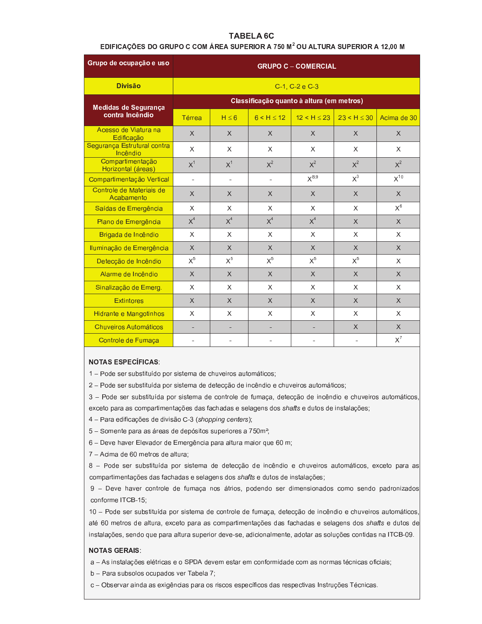### **TABELA 6C**

### EDIFICAÇÕES DO GRUPO C COM ÁREA SUPERIOR A 750 M<sup>2</sup> OU ALTURA SUPERIOR A 12,00 M

| Grupo de ocupação e uso                 | <b>GRUPO C - COMERCIAL</b>                |                |                |                |             |              |  |  |  |
|-----------------------------------------|-------------------------------------------|----------------|----------------|----------------|-------------|--------------|--|--|--|
| <b>Divisão</b>                          |                                           | C-1, C-2 e C-3 |                |                |             |              |  |  |  |
| Medidas de Segurança                    | Classificação quanto à altura (em metros) |                |                |                |             |              |  |  |  |
| contra Incêndio                         | <b>Térrea</b>                             | $H \leq 6$     | 6 < H < 12     | 12 < H < 23    | 23 < H < 30 | Acima de 30  |  |  |  |
| Acesso de Viatura na<br>Edificação      | $\chi$                                    | $\chi$         | $\mathsf{X}$   | $\chi$         | $\times$    | X            |  |  |  |
| Segurança Estrutural contra<br>Incêndio | X                                         | X              | X              | X              | X           | X            |  |  |  |
| Compartimentação<br>Horizontal (áreas)  | X <sup>1</sup>                            | X <sup>1</sup> | $X^2$          | $X^2$          | $X^2$       | $X^2$        |  |  |  |
| Compartimentação Vertical               | $\blacksquare$                            | $\blacksquare$ | $\blacksquare$ | $X^{8,9}$      | $X^3$       | $X^{10}$     |  |  |  |
| Controle de Materiais de<br>Acabamento  | X                                         | X              | $\times$       | $\chi$         | $\times$    | $\times$     |  |  |  |
| Saídas de Emergência                    | X                                         | X              | X              | $\times$       | X           | $X^6$        |  |  |  |
| Plano de Emergência                     | X <sup>4</sup>                            | X <sup>4</sup> | $X^4$          | X <sup>4</sup> | $\times$    | X            |  |  |  |
| Brigada de Incêndio                     | X                                         | X              | X              | X              | X           | X            |  |  |  |
| Iluminação de Emergência                | $\times$                                  | X              | X              | $\chi$         | X           | X            |  |  |  |
| Detecção de Incêndio                    | $X^5$                                     | $X^5$          | $X^5$          | $X^5$          | $X^5$       | X            |  |  |  |
| Alarme de Incêndio                      | $\chi$                                    | $\times$       | $\mathsf{X}$   | $\chi$         | $\times$    | $\mathsf{X}$ |  |  |  |
| Sinalização de Emerg.                   | X                                         | X              | X              | X              | X           | X            |  |  |  |
| <b>Extintores</b>                       | $\times$                                  | X              | $\times$       | $\times$       | X           | $\mathsf{X}$ |  |  |  |
| Hidrante e Mangotinhos                  | X                                         | X              | X              | $\times$       | X           | X            |  |  |  |
| <b>Chuveiros Automáticos</b>            |                                           | ٠              | ÷,             |                | $\times$    | X            |  |  |  |
| Controle de Fumaça                      |                                           |                |                |                |             | $X^7$        |  |  |  |

#### **NOTAS ESPECÍFICAS:**

1 - Pode ser substituído por sistema de chuveiros automáticos;

2 - Pode ser substituída por sistema de detecção de incêndio e chuveiros automáticos;

3 - Pode ser substituída por sistema de controle de fumaça, detecção de incêndio e chuveiros automáticos exceto para as compartimentações das fachadas e selagens dos shafts e dutos de instalações;

4 - Para edificações de divisão C-3 (shopping centers);

5 - Somente para as áreas de depósitos superiores a 750m<sup>2</sup>;

6 - Deve haver Elevador de Emergência para altura maior que 60 m;

7 - Acima de 60 metros de altura;

8 - Pode ser substituída por sistema de detecção de incêndio e chuveiros automáticos, exceto para as compartimentações das fachadas e selagens dos shafts e dutos de instalações;

9 - Deve haver controle de fumaça nos átrios, podendo ser dimensionados como sendo padronizados conforme ITCB-15;

10 - Pode ser substituída por sistema de controle de fumaça, detecção de incêndio e chuveiros automáticos até 60 metros de altura, exceto para as compartimentações das fachadas e selagens dos shafts e dutos de instalações, sendo que para altura superior deve-se, adicionalmente, adotar as soluções contidas na ITCB-09.

### **NOTAS GERAIS:**

a - As instalações elétricas e o SPDA devem estar em conformidade com as normas técnicas oficiais;

b - Para subsolos ocupados ver Tabela 7;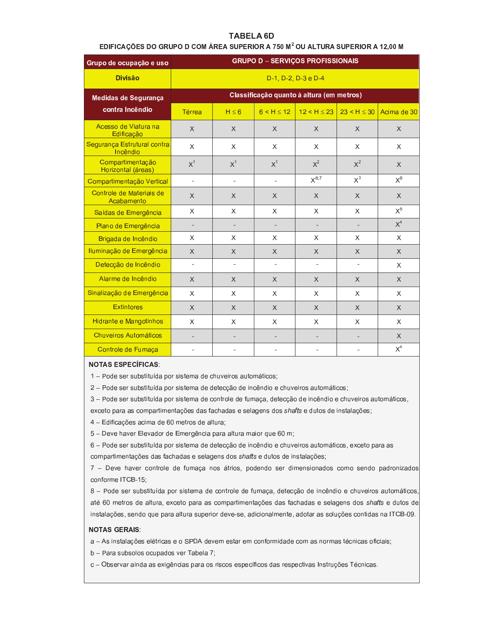### **TABELA 6D**

### EDIFICAÇÕES DO GRUPO D COM ÁREA SUPERIOR A 750 M<sup>2</sup> OU ALTURA SUPERIOR A 12,00 M

| Grupo de ocupação e uso                 | <b>GRUPO D - SERVIÇOS PROFISSIONAIS</b>   |                          |                          |                 |                |                |  |  |  |
|-----------------------------------------|-------------------------------------------|--------------------------|--------------------------|-----------------|----------------|----------------|--|--|--|
| <b>Divisão</b>                          |                                           | D-1, D-2, D-3 e D-4      |                          |                 |                |                |  |  |  |
| Medidas de Segurança                    | Classificação quanto à altura (em metros) |                          |                          |                 |                |                |  |  |  |
| contra Incêndio                         | Térrea                                    | $H \leq 6$               | $6 < H \le 12$           | $12 < H \le 23$ | 23 < H < 30    | Acima de 30    |  |  |  |
| Acesso de Viatura na<br>Edificação      | X                                         | $\mathsf{X}$             | $\times$                 | $\times$        | $\chi$         | $\times$       |  |  |  |
| Segurança Estrutural contra<br>Incêndio | X                                         | X                        | X                        | $\times$        | $\times$       | X              |  |  |  |
| Compartimentação<br>Horizontal (áreas)  | X <sup>1</sup>                            | X <sup>1</sup>           | $X^1$                    | $X^2$           | $X^2$          | X              |  |  |  |
| Compartimentação Vertical               | $\overline{\phantom{a}}$                  | $\overline{\phantom{a}}$ | $\sim$                   | $X^{6;7}$       | $X^3$          | $X^8$          |  |  |  |
| Controle de Materiais de<br>Acabamento  | X                                         | $\times$                 | X                        | $\times$        | $\chi$         | X              |  |  |  |
| Saídas de Emergência                    | X                                         | X                        | X                        | X               | $\chi$         | $X^5$          |  |  |  |
| Plano de Emergência                     | $\overline{\phantom{a}}$                  |                          |                          |                 |                | $\mathsf{X}^4$ |  |  |  |
| Brigada de Incêndio                     | X                                         | X                        | X                        | X               | X              | X              |  |  |  |
| Iluminação de Emergência                | X                                         | $\times$                 | $\chi$                   | $\chi$          | $\chi$         | X              |  |  |  |
| Detecção de Incêndio                    | $\blacksquare$                            | $\blacksquare$           | $\blacksquare$           | ä,              | $\blacksquare$ | X              |  |  |  |
| Alarme de Incêndio                      | $\times$                                  | X                        | $\chi$                   | $\times$        | $\times$       | X              |  |  |  |
| Sinalização de Emergência               | X                                         | X                        | X                        | X               | $\chi$         | X              |  |  |  |
| <b>Extintores</b>                       | X                                         | X                        | $\times$                 | $\chi$          | $\chi$         | X              |  |  |  |
| Hidrante e Mangotinhos                  | X                                         | X.                       | X                        | X               | $\sf X$        | X              |  |  |  |
| <b>Chuveiros Automáticos</b>            | $\overline{\phantom{0}}$                  |                          | $\overline{\phantom{a}}$ |                 |                | X              |  |  |  |
| Controle de Fumaça                      | ä,                                        | ÷,                       | $\blacksquare$           |                 |                | $X^4$          |  |  |  |

# **NOTAS ESPECÍFICAS:**

1 - Pode ser substituída por sistema de chuveiros automáticos;

2 - Pode ser substituída por sistema de detecção de incêndio e chuveiros automáticos;

3 - Pode ser substituída por sistema de controle de fumaça, detecção de incêndio e chuveiros automáticos,

exceto para as compartimentações das fachadas e selagens dos shafts e dutos de instalações;

4 - Edificações acima de 60 metros de altura;

5 - Deve haver Elevador de Emergência para altura maior que 60 m;

6 - Pode ser substituída por sistema de detecção de incêndio e chuveiros automáticos, exceto para as compartimentações das fachadas e selagens dos shafts e dutos de instalações;

7 - Deve haver controle de fumaça nos átrios, podendo ser dimensionados como sendo padronizados conforme ITCB-15;

8 - Pode ser substituída por sistema de controle de fumaça, detecção de incêndio e chuveiros automáticos até 60 metros de altura, exceto para as compartimentações das fachadas e selagens dos shafts e dutos de instalações, sendo que para altura superior deve-se, adicionalmente, adotar as soluções contidas na ITCB-09.

### **NOTAS GERAIS:**

a - As instalações elétricas e o SPDA devem estar em conformidade com as normas técnicas oficiais;

b - Para subsolos ocupados ver Tabela 7;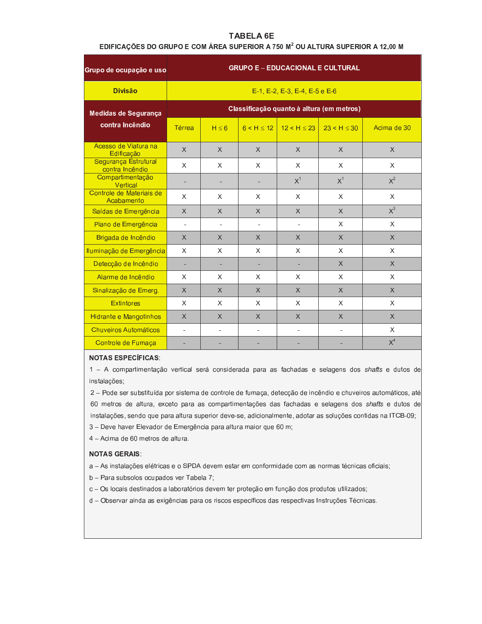# **TABELA 6E**

### EDIFICAÇÕES DO GRUPO E COM ÁREA SUPERIOR A 750 M<sup>2</sup> OU ALTURA SUPERIOR A 12,00 M

| Grupo de ocupação e uso                 | <b>GRUPO E - EDUCACIONAL E CULTURAL</b>   |                                               |                          |                            |                |             |  |  |  |  |  |
|-----------------------------------------|-------------------------------------------|-----------------------------------------------|--------------------------|----------------------------|----------------|-------------|--|--|--|--|--|
| <b>Divisão</b>                          |                                           | $E-1$ , $E-2$ , $E-3$ , $E-4$ , $E-5$ e $E-6$ |                          |                            |                |             |  |  |  |  |  |
| Medidas de Segurança                    | Classificação quanto à altura (em metros) |                                               |                          |                            |                |             |  |  |  |  |  |
| contra Incêndio                         | Térrea                                    | $H \leq 6$                                    |                          | $6 < H < 12$   12 < H < 23 | 23 < H < 30    | Acima de 30 |  |  |  |  |  |
| Acesso de Viatura na<br>Edificação      | X                                         | X                                             | $\times$                 | $\times$                   | $\chi$         | X           |  |  |  |  |  |
| Segurança Estrutural<br>contra Incêndio | X                                         | X                                             | X                        | X                          | X              | X           |  |  |  |  |  |
| Compartimentação<br>Vertical            | ۰                                         | ۰                                             |                          | $X^1$                      | $X^1$          | $X^2$       |  |  |  |  |  |
| Controle de Materiais de<br>Acabamento  | X                                         | X                                             | X                        | X                          | X              | X           |  |  |  |  |  |
| Saídas de Emergência                    | X                                         | $\times$                                      | $\times$                 | $\times$                   | $\chi$         | $X^3$       |  |  |  |  |  |
| Plano de Emergência                     | $\blacksquare$                            | ÷.                                            | $\blacksquare$           | $\blacksquare$             | X              | X           |  |  |  |  |  |
| Brigada de Incêndio                     | $\times$                                  | $\times$                                      | $\times$                 | $\chi$                     | $\chi$         | $\times$    |  |  |  |  |  |
| Iluminação de Emergência                | X                                         | X                                             | X                        | $\times$                   | X              | X           |  |  |  |  |  |
| Detecção de Incêndio                    |                                           |                                               |                          |                            | $\times$       | $\times$    |  |  |  |  |  |
| Alarme de Incêndio                      | X                                         | X                                             | X                        | X                          | X              | X           |  |  |  |  |  |
| Sinalização de Emerg.                   | $\times$                                  | $\times$                                      | $\times$                 | $\times$                   | $\times$       | X           |  |  |  |  |  |
| <b>Extintores</b>                       | X                                         | X                                             | X                        | X                          | X              | X           |  |  |  |  |  |
| Hidrante e Mangotinhos                  | X                                         | X                                             | X                        | $\times$                   | $\times$       | $\times$    |  |  |  |  |  |
| <b>Chuveiros Automáticos</b>            | $\blacksquare$                            | $\blacksquare$                                | $\overline{\phantom{a}}$ | $\blacksquare$             | $\blacksquare$ | X           |  |  |  |  |  |
| Controle de Fumaça                      |                                           |                                               |                          |                            |                | $X^4$       |  |  |  |  |  |

# **NOTAS ESPECÍFICAS:**

1 - A compartimentação vertical será considerada para as fachadas e selagens dos shafts e dutos de instalações;

2 - Pode ser substituída por sistema de controle de fumaça, detecção de incêndio e chuveiros automáticos, até 60 metros de altura, exceto para as compartimentações das fachadas e selagens dos shafts e dutos de instalações, sendo que para altura superior deve-se, adicionalmente, adotar as soluções contidas na ITCB-09;

- 3 Deve haver Elevador de Emergência para altura maior que 60 m;
- 4 Acima de 60 metros de altura.

### **NOTAS GERAIS:**

a - As instalações elétricas e o SPDA devem estar em conformidade com as normas técnicas oficiais;

b - Para subsolos ocupados ver Tabela 7;

c - Os locais destinados a laboratórios devem ter proteção em função dos produtos utilizados;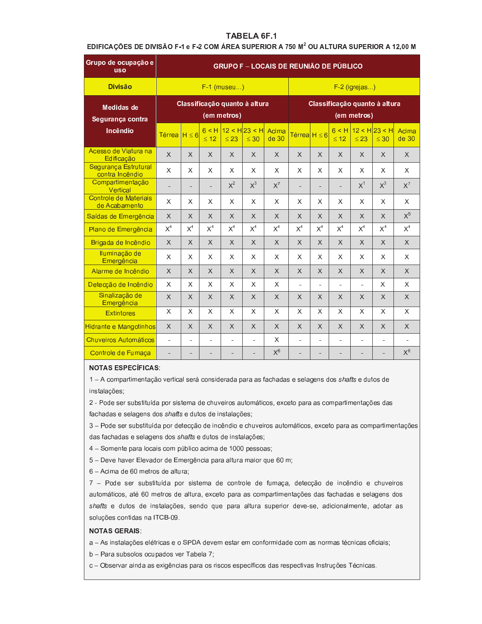EDIFICAÇÕES DE DIVISÃO F-1 e F-2 COM ÁREA SUPERIOR A 750 M<sup>2</sup> OU ALTURA SUPERIOR A 12,00 M

| Grupo de ocupação e<br><b>USO</b>       | <b>GRUPO F - LOCAIS DE REUNIÃO DE PÚBLICO</b> |          |                    |                |                               |                |                   |                |                    |                                              |                              |                |
|-----------------------------------------|-----------------------------------------------|----------|--------------------|----------------|-------------------------------|----------------|-------------------|----------------|--------------------|----------------------------------------------|------------------------------|----------------|
| <b>Divisão</b>                          |                                               |          |                    | $F-1$ (museu)  |                               |                |                   |                |                    | $F-2$ (igrejas)                              |                              |                |
| <b>Medidas de</b><br>Segurança contra   |                                               |          |                    | (em metros)    | Classificação quanto à altura |                |                   |                |                    | Classificação quanto à altura<br>(em metros) |                              |                |
| Incêndio                                | Térrea $H \leq 6$                             |          | 6 < H<br>$\leq 12$ | $\leq 23$      | $12 < H$ 23 < H<br>$\leq 30$  | Acima<br>de 30 | Térrea $H \leq 6$ |                | 6 < H<br>$\leq 12$ | $\leq 23$                                    | $12 < H$ 23 < H<br>$\leq 30$ | Acima<br>de 30 |
| Acesso de Viatura na<br>Edificação      | $\times$                                      | $\times$ | $\times$           | X              | $\times$                      | $\times$       | X                 | $\chi$         | $\chi$             | X                                            | X                            | $\chi$         |
| Segurança Estrutural<br>contra Incêndio | X                                             | X        | X                  | X              | X                             | X              | X                 | X              | X                  | X                                            | X                            | X              |
| Compartimentação<br>Vertical            | $\overline{\phantom{a}}$                      | ۰        | ٠                  | $X^2$          | $X^3$                         | $X^7$          | $\blacksquare$    |                | ۰                  | X <sup>1</sup>                               | $X^3$                        | $X^7$          |
| Controle de Materiais<br>de Acabamento  | X                                             | X        | X                  | X              | X                             | $\times$       | X                 | X              | X                  | X                                            | X                            | $\mathsf X$    |
| Saídas de Emergência                    | $\times$                                      | X        | X                  | X              | X                             | $\times$       | X                 | X              | X                  | X                                            | X                            | $X^5$          |
| Plano de Emergência                     | $X^4$                                         | $X^4$    | X <sup>4</sup>     | X <sup>4</sup> | $X^4$                         | $X^4$          | $X^4$             | X <sup>4</sup> | $X^4$              | $X^4$                                        | $X^4$                        | $X^4$          |
| Brigada de Incêndio                     | $\chi$                                        | $\chi$   | $\times$           | $\chi$         | $\times$                      | $\times$       | $\times$          | $\chi$         | $\times$           | $\times$                                     | X                            | $\times$       |
| Iluminação de<br>Emergência             | X                                             | X        | X                  | X.             | X                             | X              | X                 | X              | X                  | X                                            | X                            | X              |
| Alarme de Incêndio                      | $\chi$                                        | X        | X                  | X              | X                             | $\times$       | X                 | X              | $\times$           | X                                            | X                            | X              |
| Detecção de Incêndio                    | X                                             | X        | X                  | X              | X                             | X              | $\overline{a}$    | ÷,             | ä,                 | $\overline{a}$                               | X                            | X              |
| Sinalização de<br>Emergência            | $\times$                                      | X        | X                  | X              | X                             | $\chi$         | X                 | X              | X                  | X                                            | X                            | X              |
| <b>Extintores</b>                       | X                                             | X        | X                  | X              | X                             | X              | X                 | X              | X                  | X                                            | X                            | X              |
| Hidrante e Mangotinhos                  | $\times$                                      | $\times$ | $\times$           | X              | X                             | $\times$       | X                 | $\times$       | $\times$           | $\times$                                     | X                            | $\times$       |
| Chuveiros Automáticos                   | ä,                                            | ÷        | $\blacksquare$     | $\blacksquare$ | ä,                            | X              | $\blacksquare$    |                | ÷                  | ÷.                                           |                              |                |
| Controle de Fumaça                      | ÷                                             |          | ÷                  | ٠              |                               | $X^6$          | ٠                 |                | ÷                  |                                              |                              | $X^6$          |

#### **NOTAS ESPECÍFICAS:**

1 - A compartimentação vertical será considerada para as fachadas e selagens dos shafts e dutos de instalações;

2 - Pode ser substituída por sistema de chuveiros automáticos, exceto para as compartimentações das fachadas e selagens dos shafts e dutos de instalações;

3 - Pode ser substituída por detecção de incêndio e chuveiros automáticos, exceto para as compartimentações das fachadas e selagens dos shafts e dutos de instalações;

4 - Somente para locais com público acima de 1000 pessoas;

5 - Deve haver Elevador de Emergência para altura maior que 60 m;

6 - Acima de 60 metros de altura;

7 - Pode ser substituída por sistema de controle de fumaça, detecção de incêndio e chuveiros automáticos, até 60 metros de altura, exceto para as compartimentações das fachadas e selagens dos shafts e dutos de instalações, sendo que para altura superior deve-se, adicionalmente, adotar as soluções contidas na ITCB-09.

#### **NOTAS GERAIS:**

a - As instalações elétricas e o SPDA devem estar em conformidade com as normas técnicas oficiais;

b - Para subsolos ocupados ver Tabela 7;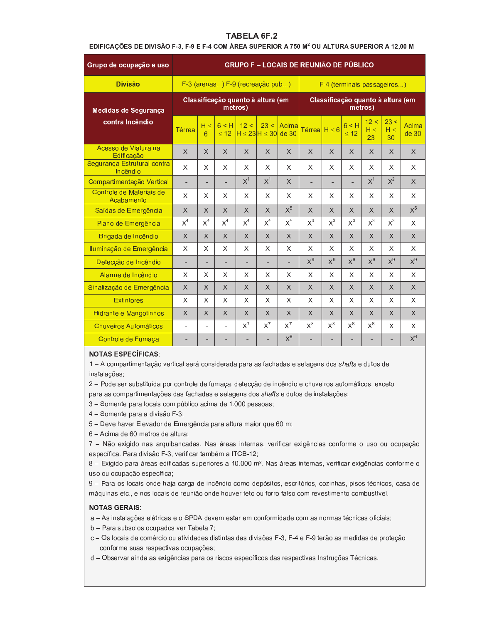# EDIFICAÇÕES DE DIVISÃO F-3, F-9 E F-4 COM ÁREA SUPERIOR A 750 M<sup>2</sup> OU ALTURA SUPERIOR A 12,00 M

| Grupo de ocupação e uso                 | <b>GRUPO F - LOCAIS DE REUNIÃO DE PÚBLICO</b> |                |                    |                                              |          |                |                   |          |                                   |                        |                        |                |
|-----------------------------------------|-----------------------------------------------|----------------|--------------------|----------------------------------------------|----------|----------------|-------------------|----------|-----------------------------------|------------------------|------------------------|----------------|
| <b>Divisão</b>                          |                                               |                |                    | F-3 (arenas) F-9 (recreação pub)             |          |                |                   |          | F-4 (terminais passageiros)       |                        |                        |                |
| Medidas de Segurança                    |                                               |                |                    | Classificação quanto à altura (em<br>metros) |          |                |                   |          | Classificação quanto à altura (em | metros)                |                        |                |
| contra Incêndio                         | Térrea                                        | $H \leq$<br>6  | 6 < H<br>$\leq$ 12 | 12 <<br>$H \leq 23H \leq 30$                 | 23 <     | Acima<br>de 30 | Térrea $H \leq 6$ |          | 6 < H<br>$\leq 12$                | 12 <<br>$H \leq$<br>23 | 23 <<br>$H \leq$<br>30 | Acima<br>de 30 |
| Acesso de Viatura na<br>Edificação      | X                                             | $\times$       | X                  | X                                            | $\times$ | $\times$       | $\times$          | X        | X                                 | $\times$               | X                      | $\times$       |
| Segurança Estrutural contra<br>Incêndio | X                                             | X              | X                  | X                                            | X        | X              | X                 | X        | X                                 | X.                     | X                      | X              |
| Compartimentação Vertical               | $\blacksquare$                                | ÷.             | ÷.                 | X <sup>1</sup>                               | $X^1$    | $\mathsf{X}$   |                   | $\sim$   | $\overline{\phantom{a}}$          | $X^1$                  | $X^2$                  | $\chi$         |
| Controle de Materiais de<br>Acabamento  | X                                             | X              | X                  | X                                            | X        | X              | X                 | X        | X                                 | X.                     | X                      | X              |
| Saídas de Emergência                    | X                                             | $\times$       | $\mathsf{X}$       | X                                            | $\times$ | $\mathsf{X}^5$ | $\times$          | $\times$ | X                                 | $\mathsf{X}$           | X                      | $X^5$          |
| Plano de Emergência                     | $X^4$                                         | X <sup>4</sup> | $X^4$              | $X^4$                                        | $X^4$    | $X^4$          | $X^3$             | $X^3$    | $X^3$                             | $X^3$                  | $X^3$                  | X              |
| Brigada de Incêndio                     | X                                             | $\times$       | $\times$           | X                                            | $\times$ | $\chi$         | $\times$          | $\times$ | X                                 | X                      | X                      | $\chi$         |
| Iluminação de Emergência                | $\times$                                      | $\chi$         | X                  | X                                            | X        | $\chi$         | X                 | X        | X                                 | X                      | X                      | X              |
| Detecção de Incêndio                    | ÷                                             |                |                    |                                              | ٠        |                | $X^9$             | $X^9$    | $X^9$                             | $X^9$                  | $X^9$                  | $X^9$          |
| Alarme de Incêndio                      | X                                             | X              | X                  | X                                            | X        | X              | X                 | X        | X                                 | X                      | X                      | X              |
| Sinalização de Emergência               | $\times$                                      | $\chi$         | $\mathsf{X}$       | $\mathsf{X}$                                 | $\times$ | $\chi$         | $\times$          | $\times$ | $\mathsf{X}$                      | $\mathsf{X}$           | X                      | $\chi$         |
| <b>Extintores</b>                       | X                                             | X              | X                  | X                                            | X        | X              | X                 | X        | X                                 | X.                     | X.                     | X              |
| <b>Hidrante e Mangotinhos</b>           | X                                             | X              | X                  | X                                            | X        | $\times$       | X                 | X        | X                                 | X                      | X                      | $\times$       |
| Chuveiros Automáticos                   | ÷.                                            |                |                    | $X^7$                                        | $X^7$    | $X^7$          | $X^8$             | $X^8$    | $X^8$                             | $X^8$                  | X                      | X              |
| Controle de Fumaça                      |                                               |                |                    |                                              |          | $X^6$          |                   | ٠        |                                   |                        |                        | $X^6$          |

#### **NOTAS ESPECÍFICAS:**

1 - A compartimentação vertical será considerada para as fachadas e selagens dos shafts e dutos de instalações;

2 - Pode ser substituída por controle de fumaça, detecção de incêndio e chuveiros automáticos, exceto para as compartimentações das fachadas e selagens dos shafts e dutos de instalações;

3 - Somente para locais com público acima de 1.000 pessoas;

4 – Somente para a divisão F-3;

5 - Deve haver Elevador de Emergência para altura maior que 60 m;

6 - Acima de 60 metros de altura;

7 - Não exigido nas arquibancadas. Nas áreas internas, verificar exigências conforme o uso ou ocupação específica. Para divisão F-3, verificar também a ITCB-12;

8 - Exigido para áreas edificadas superiores a 10.000 m<sup>2</sup>. Nas áreas internas, verificar exigências conforme o uso ou ocupação específica;

9 - Para os locais onde haja carga de incêndio como depósitos, escritórios, cozinhas, pisos técnicos, casa de máquinas etc., e nos locais de reunião onde houver teto ou forro falso com revestimento combustível.

#### **NOTAS GERAIS:**

a - As instalações elétricas e o SPDA devem estar em conformidade com as normas técnicas oficiais;

- b Para subsolos ocupados ver Tabela 7;
- c Os locais de comércio ou atividades distintas das divisões F-3, F-4 e F-9 terão as medidas de proteção conforme suas respectivas ocupações;
- d Observar ainda as exigências para os riscos específicos das respectivas Instruções Técnicas.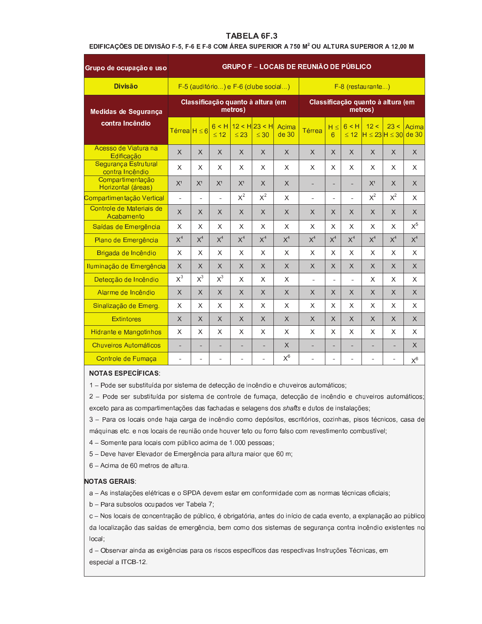# EDIFICAÇÕES DE DIVISÃO F-5, F-6 E F-8 COM ÁREA SUPERIOR A 750 M<sup>2</sup> OU ALTURA SUPERIOR A 12,00 M

| Grupo de ocupação e uso                 | <b>GRUPO F - LOCAIS DE REUNIÃO DE PÚBLICO</b> |                          |                |                                              |                |                |        |                |                |                     |                                   |                |
|-----------------------------------------|-----------------------------------------------|--------------------------|----------------|----------------------------------------------|----------------|----------------|--------|----------------|----------------|---------------------|-----------------------------------|----------------|
| <b>Divisão</b>                          |                                               |                          |                | F-5 (auditório) e F-6 (clube social)         |                |                |        |                |                | $F-8$ (restaurante) |                                   |                |
| Medidas de Segurança                    |                                               |                          |                | Classificação quanto à altura (em<br>metros) |                |                |        |                |                | metros)             | Classificação quanto à altura (em |                |
| contra Incêndio                         | Térrea $H \leq 6$                             |                          | < 12           | $6$ < H $12$ < H $23$ < H<br>< 23            | < 30           | Acima<br>de 30 | Térrea | H <<br>6       | 6 < H<br>< 12  | 12 <                | 23 <<br>$H \leq 23H \leq 30$      | Acima<br>de 30 |
| Acesso de Viatura na<br>Edificação      | X                                             | $\times$                 | $\times$       | X                                            | $\times$       | $\times$       | X.     | X              | X              | X                   | $\times$                          | $\times$       |
| Segurança Estrutural<br>contra Incêndio | X                                             | X                        | X              | X                                            | X              | X              | X      | X              | X              | X                   | X                                 | X              |
| Compartimentação<br>Horizontal (áreas)  | X <sup>1</sup>                                | X <sup>1</sup>           | X <sup>1</sup> | X <sup>1</sup>                               | $\times$       | $\chi$         | ÷,     |                |                | X <sup>1</sup>      | $\times$                          | $\times$       |
| Compartimentação Vertical               | ä,                                            | ä,                       | $\mathbf{r}$   | $X^2$                                        | $X^2$          | X              | ä,     | $\overline{a}$ | $\mathbf{r}$   | $X^2$               | $X^2$                             | X              |
| Controle de Materiais de<br>Acabamento  | X                                             | $\times$                 | X              | X                                            | $\times$       | $\chi$         | X      | X              | X              | X                   | $\times$                          | $\times$       |
| Saídas de Emergência                    | X                                             | X                        | X              | X                                            | X              | X              | X      | X              | X              | X                   | X                                 | $X^5$          |
| Plano de Emergência                     | X <sup>4</sup>                                | X <sup>4</sup>           | $X^4$          | $X^4$                                        | X <sup>4</sup> | $X^4$          | $X^4$  | X <sup>4</sup> | X <sup>4</sup> | X <sup>4</sup>      | X <sup>4</sup>                    | X <sup>4</sup> |
| Brigada de Incêndio                     | X                                             | X                        | X              | X                                            | X              | X              | X      | X              | X              | X                   | X                                 | $\times$       |
| Iluminação de Emergência                | $\times$                                      | $\times$                 | X              | X                                            | $\times$       | $\times$       | X      | $\sf X$        | $\times$       | X                   | $\times$                          | $\sf X$        |
| Detecção de Incêndio                    | $X^3$                                         | $X^3$                    | $X^3$          | X                                            | X              | X              | ÷,     | $\blacksquare$ | $\overline{a}$ | X                   | X                                 | X              |
| Alarme de Incêndio                      | $\mathsf{X}$                                  | $\times$                 | $\times$       | X                                            | X              | X              | X      | $\times$       | $\times$       | $\times$            | $\times$                          | $\times$       |
| Sinalização de Emerg.                   | X                                             | X                        | X              | X                                            | X              | X              | X      | X              | X              | X                   | X                                 | X              |
| <b>Extintores</b>                       | X                                             | X                        | X              | X                                            | $\times$       | X              | X      | $\chi$         | $\times$       | X                   | $\times$                          | X              |
| <b>Hidrante e Mangotinhos</b>           | X                                             | X                        | X              | X                                            | X              | X              | X      | X              | X              | X                   | X                                 | X              |
| <b>Chuveiros Automáticos</b>            | ÷,                                            | $\overline{\phantom{a}}$ | ÷.             | ÷                                            | ÷,             | $\times$       | ÷,     | ÷.             | ÷.             | ÷,                  | ÷,                                | $\times$       |
| Controle de Fumaça                      | $\blacksquare$                                |                          |                |                                              |                | $X^6$          |        |                |                | ÷.                  | $\blacksquare$                    | $X^6$          |

### **NOTAS ESPECÍFICAS:**

1 - Pode ser substituída por sistema de detecção de incêndio e chuveiros automáticos;

2 - Pode ser substituída por sistema de controle de fumaça, detecção de incêndio e chuveiros automáticos; exceto para as compartimentações das fachadas e selagens dos shafts e dutos de instalações;

3 - Para os locais onde haja carga de incêndio como depósitos, escritórios, cozinhas, pisos técnicos, casa de máquinas etc. e nos locais de reunião onde houver teto ou forro falso com revestimento combustível;

4 - Somente para locais com público acima de 1.000 pessoas;

5 - Deve haver Elevador de Emergência para altura maior que 60 m;

6 - Acima de 60 metros de altura.

#### **NOTAS GERAIS:**

a - As instalações elétricas e o SPDA devem estar em conformidade com as normas técnicas oficiais;

b - Para subsolos ocupados ver Tabela 7;

c - Nos locais de concentração de público, é obrigatória, antes do início de cada evento, a explanação ao público da localização das saídas de emergência, bem como dos sistemas de segurança contra incêndio existentes no local:

d - Observar ainda as exigências para os riscos específicos das respectivas Instruções Técnicas, em especial a ITCB-12.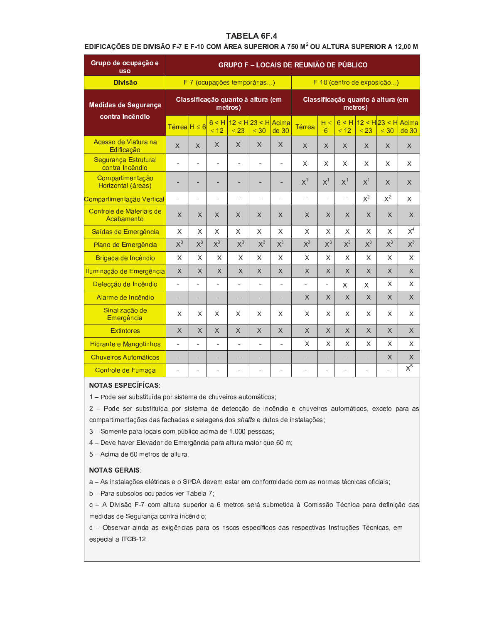EDIFICAÇÕES DE DIVISÃO F-7 E F-10 COM ÁREA SUPERIOR A 750 M<sup>2</sup> OU ALTURA SUPERIOR A 12,00 M

| Grupo de ocupação e<br><b>USO</b>              | <b>GRUPO F - LOCAIS DE REUNIÃO DE PÚBLICO</b> |                          |                    |              |                                   |                |                |                |                |           |                                          |                  |
|------------------------------------------------|-----------------------------------------------|--------------------------|--------------------|--------------|-----------------------------------|----------------|----------------|----------------|----------------|-----------|------------------------------------------|------------------|
| <b>Divisão</b>                                 |                                               |                          |                    |              | F-7 (ocupações temporárias)       |                |                |                |                |           | F-10 (centro de exposição)               |                  |
| Medidas de Segurança                           |                                               |                          |                    | metros)      | Classificação quanto à altura (em |                |                |                |                | metros)   | Classificação quanto à altura (em        |                  |
| contra Incêndio                                | Térrea <sup><math>H \leq 6</math></sup>       |                          | 6 < H<br>$\leq 12$ | $\leq 23$    | $12 < H23 < H$ Acima<br>$\leq 30$ | de 30          | Térrea         | $H \le$<br>6   | $\leq 12$      | $\leq 23$ | $6 < H$ 12 < H 23 < H Acima<br>$\leq 30$ | de 30            |
| Acesso de Viatura na<br>Edificação             | $\times$                                      | $\times$                 | X                  | $\times$     | X                                 | X              | $\times$       | $\times$       | X              | X         | $\times$                                 | X                |
| <b>Sequrança Estrutural</b><br>contra Incêndio |                                               | $\blacksquare$           |                    | ÷            | ÷                                 |                | $\times$       | X              | X              | X         | $\times$                                 | X                |
| Compartimentação<br>Horizontal (áreas)         |                                               | ä,                       |                    | ۳            | ÷.                                |                | $X^1$          | $X^1$          | $X^1$          | $X^1$     | $\times$                                 | X                |
| Compartimentação Vertical                      | ä,                                            | $\overline{\phantom{a}}$ | ÷,                 | ÷            | $\blacksquare$                    | $\overline{a}$ | $\blacksquare$ | $\overline{a}$ | $\blacksquare$ | $X^2$     | $X^2$                                    | X                |
| Controle de Materiais de<br>Acabamento         | $\times$                                      | $\times$                 | X                  | X            | X                                 | $\times$       | $\times$       | $\times$       | X              | $\times$  | $\times$                                 | $\times$         |
| Saídas de Emergência                           | $\times$                                      | X                        | X                  | X            | X                                 | $\times$       | X              | X              | X              | $\times$  | X                                        | $X^4$            |
| Plano de Emergência                            | $X^3$                                         | $X^3$                    | $X^3$              | $X^3$        | $X^3$                             | $X^3$          | $X^3$          | $X^3$          | $X^3$          | $X^3$     | $X^3$                                    | $X^3$            |
| Brigada de Incêndio                            | $\sf X$                                       | $\times$                 | X                  | $\mathsf{X}$ | X                                 | $\times$       | X              | $\times$       | $\times$       | $\sf X$   | $\times$                                 | $\mathsf{X}$     |
| Iluminação de Emergência                       | $\times$                                      | $\times$                 | X                  | X            | $\times$                          | $\times$       | $\times$       | $\times$       | X              | $\times$  | X                                        | $\times$         |
| Detecção de Incêndio                           | ä,                                            | ÷,                       | ٠                  | ÷            | $\blacksquare$                    | ٠              | ÷              | ÷              | X              | X.        | X                                        | X                |
| Alarme de Incêndio                             | ÷,                                            | ۰                        |                    | -            | ÷,                                |                | X              | X              | X              | $\times$  | X                                        | $\times$         |
| Sinalização de<br>Emergência                   | X                                             | X                        | X                  | X            | X                                 | X              | X              | X              | X.             | X         | X.                                       | X                |
| <b>Extintores</b>                              | $\times$                                      | $\times$                 | X                  | X            | X                                 | $\times$       | $\times$       | $\times$       | X              | $\times$  | X                                        | X                |
| Hidrante e Mangotinhos                         | $\overline{\phantom{a}}$                      | ٠                        | ä,                 | ÷            | $\blacksquare$                    | ÷              | X              | X              | X              | X         | X                                        | X                |
| <b>Chuveiros Automáticos</b>                   | ÷                                             | -                        |                    | -            | Ξ                                 |                |                |                | ÷              |           | X                                        | X                |
| Controle de Fumaça                             | ä,                                            | ä,                       |                    |              | ä,                                |                | ٠              | ä,             |                |           | L.                                       | $\overline{X^5}$ |

#### **NOTAS ESPECÍFÍCAS:**

1 - Pode ser substituída por sistema de chuveiros automáticos;

2 - Pode ser substituída por sistema de detecção de incêndio e chuveiros automáticos, exceto para as compartimentações das fachadas e selagens dos shafts e dutos de instalações;

3 - Somente para locais com público acima de 1.000 pessoas;

4 - Deve haver Elevador de Emergência para altura maior que 60 m;

5 - Acima de 60 metros de altura.

#### **NOTAS GERAIS:**

a - As instalações elétricas e o SPDA devem estar em conformidade com as normas técnicas oficiais;

b - Para subsolos ocupados ver Tabela 7;

c - A Divisão F-7 com altura superior a 6 metros será submetida à Comissão Técnica para definição das medidas de Segurança contra incêndio;

d - Observar ainda as exigências para os riscos específicos das respectivas Instruções Técnicas, em especial a ITCB-12.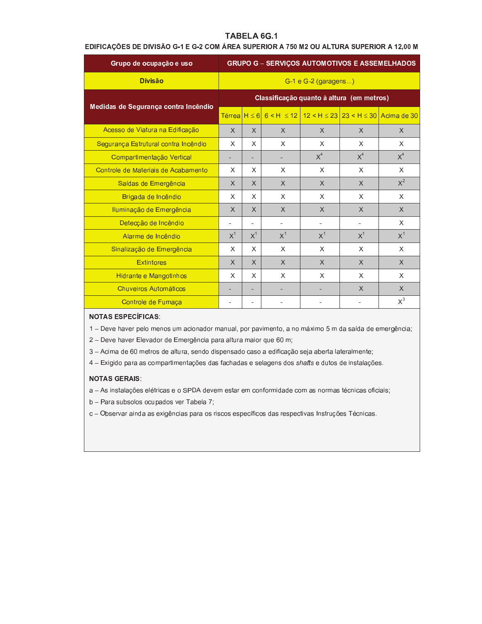# TABELA 6G.1

# EDIFICAÇÕES DE DIVISÃO G-1 E G-2 COM ÁREA SUPERIOR A 750 M2 OU ALTURA SUPERIOR A 12,00 M

| Grupo de ocupação e uso              |          |          |          |                        |                                           | <b>GRUPO G - SERVIÇOS AUTOMOTIVOS E ASSEMELHADOS</b>              |
|--------------------------------------|----------|----------|----------|------------------------|-------------------------------------------|-------------------------------------------------------------------|
| <b>Divisão</b>                       |          |          |          | $G-1 e G-2$ (garagens) |                                           |                                                                   |
| Medidas de Segurança contra Incêndio |          |          |          |                        | Classificação quanto à altura (em metros) |                                                                   |
|                                      |          |          |          |                        |                                           | Térrea H ≤ 6 6 < H ≤ 12   12 < H ≤ 23   23 < H ≤ 30   Acima de 30 |
| Acesso de Viatura na Edificação      | $\times$ | $\chi$   | $\times$ | $\times$               | $\chi$                                    | $\chi$                                                            |
| Segurança Estrutural contra Incêndio | X        | X        | X        | X                      | X                                         | X                                                                 |
| Compartimentação Vertical            |          | ۰        |          | $X^4$                  | $X^4$                                     | X <sup>4</sup>                                                    |
| Controle de Materiais de Acabamento  | X        | X        | X        | X                      | X                                         | X                                                                 |
| Saídas de Emergência                 | $\times$ | $\times$ | X        | $\times$               | $\chi$                                    | $X^2$                                                             |
| Brigada de Incêndio                  | X        | X        | X        | X                      | X                                         | $\times$                                                          |
| Iluminação de Emergência             | $\times$ | $\times$ | $\times$ | $\times$               | X                                         | $\times$                                                          |
| Detecção de Incêndio                 |          | ۰        |          |                        |                                           | $\times$                                                          |
| Alarme de Incêndio                   | $X^1$    | $X^1$    | $X^1$    | X <sup>1</sup>         | $X^1$                                     | $X^1$                                                             |
| Sinalização de Emergência            | X        | X        | X        | X                      | X                                         | X                                                                 |
| <b>Extintores</b>                    | $\times$ | $\times$ | $\times$ | X                      | X                                         | $\times$                                                          |
| Hidrante e Mangotinhos               | X        | X        | X        | X                      | X                                         | X                                                                 |
| Chuveiros Automáticos                |          |          |          |                        | X                                         | $\times$                                                          |
| Controle de Fumaça                   |          |          |          |                        |                                           | $X^3$                                                             |

# **NOTAS ESPECÍFICAS:**

1 - Deve haver pelo menos um acionador manual, por pavimento, a no máximo 5 m da saída de emergência;

2 - Deve haver Elevador de Emergência para altura maior que 60 m;

3 - Acima de 60 metros de altura, sendo dispensado caso a edificação seja aberta lateralmente;

4 - Exigido para as compartimentações das fachadas e selagens dos shafts e dutos de instalações.

#### **NOTAS GERAIS:**

a - As instalações elétricas e o SPDA devem estar em conformidade com as normas técnicas oficiais;

b - Para subsolos ocupados ver Tabela 7;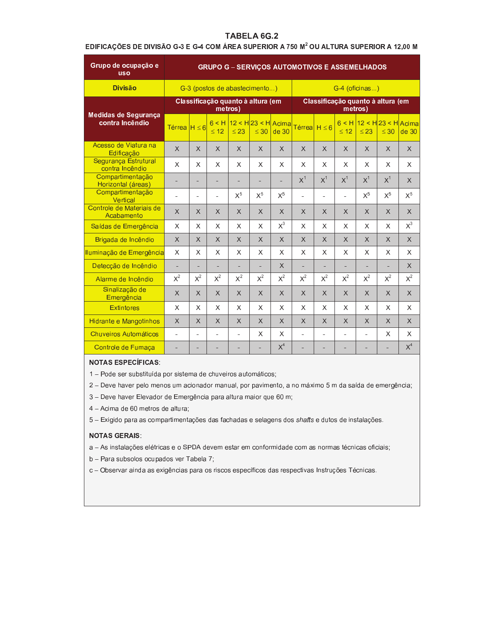# TABELA 6G.2

### EDIFICAÇÕES DE DIVISÃO G-3 E G-4 COM ÁREA SUPERIOR A 750 M<sup>2</sup> OU ALTURA SUPERIOR A 12,00 M

| Grupo de ocupação e<br><b>uso</b>              | <b>GRUPO G - SERVIÇOS AUTOMOTIVOS E ASSEMELHADOS</b> |          |               |                                   |                              |          |                |                |                |                |                                     |                  |
|------------------------------------------------|------------------------------------------------------|----------|---------------|-----------------------------------|------------------------------|----------|----------------|----------------|----------------|----------------|-------------------------------------|------------------|
| <b>Divisão</b>                                 |                                                      |          |               | G-3 (postos de abastecimento)     |                              |          |                |                |                | G-4 (oficinas) |                                     |                  |
|                                                |                                                      |          | metros)       | Classificação quanto à altura (em |                              |          |                |                | metros)        |                | Classificação quanto à altura (em   |                  |
| <b>Medidas de Segurança</b><br>contra Incêndio | Térrea $H \leq 6$                                    |          | 6 < H<br>< 12 | $\leq 23$                         | $12 < H23 < H$ Acima<br>< 30 | de 30    | Térrea H ≤ 6   |                | < 12           | $\leq 23$      | $6$ < H 12 < H 23 < H Acima<br>< 30 | de <sub>30</sub> |
| Acesso de Viatura na<br>Edificação             | $\times$                                             | X        | X             | $\times$                          | $\mathsf{X}$                 | $\times$ | $\times$       | $\mathsf{X}$   | $\mathsf{X}$   | $\mathsf{X}$   | X                                   | X                |
| Segurança Estrutural<br>contra Incêndio        | X                                                    | X        | X             | X                                 | X                            | X        | X              | $\times$       | X              | X              | X                                   | X                |
| Compartimentação<br>Horizontal (áreas)         |                                                      |          |               |                                   |                              |          | $X^1$          | X <sup>1</sup> | X <sup>1</sup> | $X^1$          | $X^1$                               | $\times$         |
| Compartimentação<br>Vertical                   | $\blacksquare$                                       | ÷        | ä,            | $X^5$                             | $X^5$                        | $X^5$    |                | ÷.             |                | $X^5$          | $X^5$                               | $X^5$            |
| Controle de Materiais de<br>Acabamento         | $\times$                                             | X        | X             | $\chi$                            | X                            | X        | $\times$       | X              | X              | $\times$       | $\times$                            | X                |
| Saídas de Emergência                           | X                                                    | X        | X             | X                                 | X                            | $X^3$    | X              | X              | X              | X              | X                                   | $X^3$            |
| Brigada de Incêndio                            | $\chi$                                               | $\times$ | X             | $\mathsf{X}$                      | $\mathsf{X}$                 | $\times$ | $\times$       | $\times$       | $\times$       | $\mathsf{X}$   | $\times$                            | X                |
| Iluminação de Emergência                       | X                                                    | X        | X             | X                                 | X                            | X        | X              | X              | X              | X              | X                                   | X                |
| Detecção de Incêndio                           | $\blacksquare$                                       | ٠        | ٠             | ÷,                                | ۰                            | X        | $\blacksquare$ | ÷,             | $\blacksquare$ |                | ٠                                   | X                |
| Alarme de Incêndio                             | $X^2$                                                | $X^2$    | $X^2$         | $X^2$                             | $X^2$                        | $X^2$    | $X^2$          | $X^2$          | $X^2$          | $X^2$          | $X^2$                               | $X^2$            |
| Sinalização de<br>Emergência                   | $\times$                                             | $\times$ | X             | $\times$                          | X                            | $\times$ | $\times$       | $\times$       | X              | X              | X                                   | $\times$         |
| <b>Extintores</b>                              | $\times$                                             | X        | X             | X                                 | X                            | X        | X              | X              | X              | X              | X                                   | X                |
| Hidrante e Mangotinhos                         | $\times$                                             | X        | X             | X                                 | X                            | X        | X              | $\times$       | X              | X              | X                                   | X                |
| <b>Chuveiros Automáticos</b>                   | ä,                                                   | ä,       | L.            | L.                                | X                            | X        | $\overline{a}$ | L.             | ÷.             |                | X                                   | X                |
| Controle de Fumaça                             |                                                      |          |               |                                   |                              | $X^4$    |                |                |                |                | ä,                                  | X <sup>4</sup>   |

### **NOTAS ESPECÍFICAS:**

- 1 Pode ser substituída por sistema de chuveiros automáticos;
- 2 Deve haver pelo menos um acionador manual, por pavimento, a no máximo 5 m da saída de emergência;
- 3 Deve haver Elevador de Emergência para altura maior que 60 m;
- 4 Acima de 60 metros de altura;
- 5 Exigido para as compartimentações das fachadas e selagens dos shafts e dutos de instalações.

### **NOTAS GERAIS:**

- a As instalações elétricas e o SPDA devem estar em conformidade com as normas técnicas oficiais;
- b Para subsolos ocupados ver Tabela 7;
- c Observar ainda as exigências para os riscos específicos das respectivas Instruções Técnicas.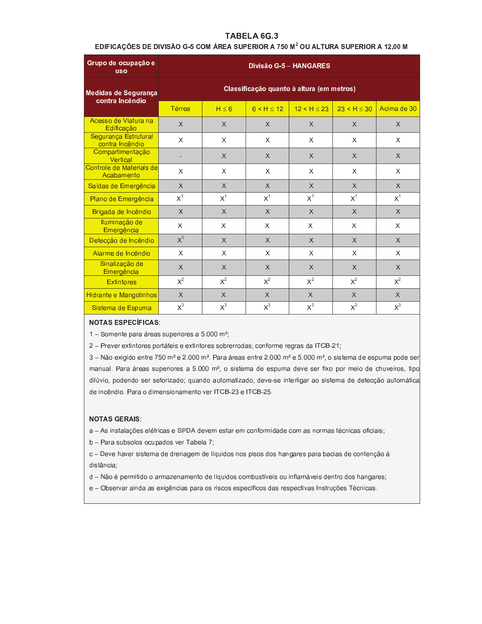# TABELA 6G.3

### EDIFICAÇÕES DE DIVISÃO G-5 COM ÁREA SUPERIOR A 750 M<sup>2</sup> OU ALTURA SUPERIOR A 12,00 M

| Grupo de ocupação e<br><b>USO</b>       | Divisão G-5 - HANGARES |                                           |              |                                           |              |             |  |  |  |  |  |  |  |
|-----------------------------------------|------------------------|-------------------------------------------|--------------|-------------------------------------------|--------------|-------------|--|--|--|--|--|--|--|
| Medidas de Segurança<br>contra Incêndio |                        |                                           |              | Classificação quanto à altura (em metros) |              |             |  |  |  |  |  |  |  |
|                                         | <b>Térrea</b>          | $H \leq 6$                                | 6 < H < 12   | 12 < H < 23                               | 23 < H < 30  | Acima de 30 |  |  |  |  |  |  |  |
| Acesso de Viatura na<br>Edificação      | $\times$               | $\times$                                  | $\times$     | X                                         | X            | X           |  |  |  |  |  |  |  |
| Segurança Estrutural<br>contra Incêndio | X                      | $\times$                                  | $\times$     | X                                         | X            | X           |  |  |  |  |  |  |  |
| Compartimentação<br>Vertical            |                        | $\chi$                                    | $\chi$       | $\times$                                  | X            | $\times$    |  |  |  |  |  |  |  |
| Controle de Materiais de<br>Acabamento  | X                      | $\mathsf{x}$                              | $\mathsf{x}$ | X                                         | X            | X           |  |  |  |  |  |  |  |
| Saídas de Emergência                    | $\times$               | $\chi$                                    | $\chi$       | X                                         | X            | $\times$    |  |  |  |  |  |  |  |
| Plano de Emergência                     | $X^1$                  | $X^1$                                     | $X^1$        | $X^1$                                     | $X^1$        | $X^1$       |  |  |  |  |  |  |  |
| Brigada de Incêndio                     | $\times$               | $\chi$                                    | $\chi$       | $\times$                                  | X            | $\times$    |  |  |  |  |  |  |  |
| Iluminação de<br>Emergência             | $\mathsf{x}$           | X                                         | $\mathsf{x}$ | X                                         | X            | $\times$    |  |  |  |  |  |  |  |
| Detecção de Incêndio                    | $X^1$                  | $\times$                                  | $\chi$       | X                                         | X            | $\times$    |  |  |  |  |  |  |  |
| Alarme de Incêndio                      | X                      | X                                         | $\times$     | X                                         | X            | X           |  |  |  |  |  |  |  |
| Sinalização de<br>Emergência            | $\chi$                 | $\mathsf{X}$                              | $\mathsf{X}$ | $\mathsf{X}$                              | $\mathsf{X}$ | $\times$    |  |  |  |  |  |  |  |
| <b>Extintores</b>                       | $X^2$                  | $X^2$                                     | $X^2$        | $X^2$                                     | $X^2$        | $X^2$       |  |  |  |  |  |  |  |
| Hidrante e Mangotinhos                  | $\times$               | $\chi$                                    | $\chi$       | $\times$                                  | $\times$     | $\sf X$     |  |  |  |  |  |  |  |
| Sistema de Espuma                       | $X^3$                  | $X^3$<br>$X^3$<br>$X^3$<br>$X^3$<br>$X^3$ |              |                                           |              |             |  |  |  |  |  |  |  |

#### **NOTAS ESPECÍFICAS:**

1 - Somente para áreas superiores a 5.000 m<sup>2</sup>;

2 - Prever extintores portáteis e extintores sobrerrodas, conforme regras da ITCB-21;

3 - Não exigido entre 750 m<sup>2</sup> e 2.000 m<sup>2</sup>. Para áreas entre 2.000 m<sup>2</sup> e 5.000 m<sup>2</sup>, o sistema de espuma pode ser manual. Para áreas superiores a 5.000 m<sup>2</sup>, o sistema de espuma deve ser fixo por meio de chuveiros, tipo dilúvio, podendo ser setorizado; quando automatizado, deve-se interligar ao sistema de detecção automática de incêndio. Para o dimensionamento ver ITCB-23 e ITCB-25.

#### **NOTAS GERAIS:**

a - As instalações elétricas e SPDA devem estar em conformidade com as normas técnicas oficiais;

b - Para subsolos ocupados ver Tabela 7;

c - Deve haver sistema de drenagem de líquidos nos pisos dos hangares para bacias de contenção à distância;

- d Não é permitido o armazenamento de líquidos combustíveis ou inflamáveis dentro dos hangares;
- e Observar ainda as exigências para os riscos específicos das respectivas Instruções Técnicas.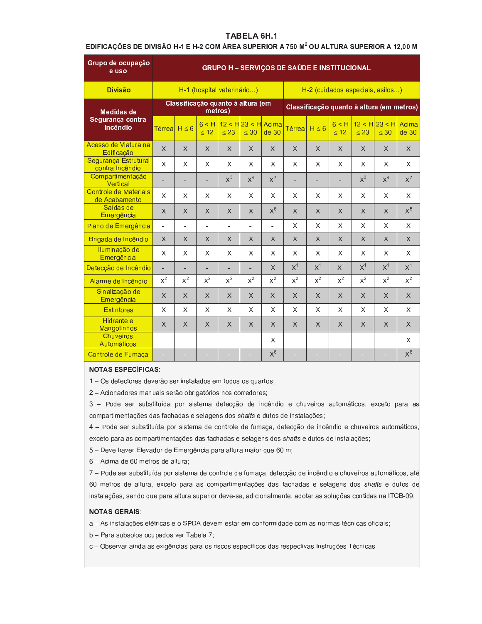# TABELA 6H.1

### EDIFICAÇÕES DE DIVISÃO H-1 E H-2 COM ÁREA SUPERIOR A 750 M<sup>2</sup> OU ALTURA SUPERIOR A 12,00 M

| Grupo de ocupação<br>e uso              | <b>GRUPO H - SERVIÇOS DE SAÚDE E INSTITUCIONAL</b> |                |                            |                          |                                     |                  |               |            |                |                |                                           |                |
|-----------------------------------------|----------------------------------------------------|----------------|----------------------------|--------------------------|-------------------------------------|------------------|---------------|------------|----------------|----------------|-------------------------------------------|----------------|
| <b>Divisão</b>                          |                                                    |                | H-1 (hospital veterinário) |                          |                                     |                  |               |            |                |                | H-2 (cuidados especiais, asilos)          |                |
| Medidas de                              |                                                    |                | metros)                    |                          | Classificação quanto à altura (em   |                  |               |            |                |                | Classificação quanto à altura (em metros) |                |
| Segurança contra<br>Incêndio            | Térreal $H \leq 6$                                 |                | < 12                       | $\leq 23$                | $6$ < H 12 < H 23 < H Acima<br>< 30 | de <sub>30</sub> | <b>Térrea</b> | $H \leq 6$ | 6 < H<br>< 12  | < 23           | $12 < H$ 23 < H<br>< 30                   | Acima<br>de 30 |
| Acesso de Viatura na<br>Edificação      | $\times$                                           | X              | X                          | $\times$                 | $\times$                            | X                | $\times$      | X.         | X              | X              | X                                         | X              |
| Segurança Estrutural<br>contra Incêndio | X                                                  | X              | X                          | X                        | X                                   | X                | X             | X.         | X              | X              | X                                         | X              |
| Compartimentação<br>Vertical            |                                                    |                | ä,                         | $X^3$                    | X <sup>4</sup>                      | $X^7$            |               |            |                | $X^3$          | X <sup>4</sup>                            | $X^7$          |
| Controle de Materiais<br>de Acabamento  | X                                                  | X              | X                          | X                        | X                                   | X                | X             | X          | X              | X              | X                                         | X              |
| Saídas de<br>Emergência                 | $\times$                                           | X              | $\times$                   | X                        | $\times$                            | $X^6$            | $\chi$        | X          | $\times$       | $\times$       | X                                         | $X^5$          |
| Plano de Emergência                     | $\blacksquare$                                     | $\blacksquare$ | ä,                         | $\overline{\phantom{a}}$ | ä,                                  | $\mathbf{r}$     | X             | X.         | X              | X              | X                                         | X              |
| Brigada de Incêndio                     | $\times$                                           | X              | $\times$                   | X                        | $\times$                            | X                | $\chi$        | X          | X              | $\times$       | X                                         | $\times$       |
| Iluminação de<br>Emergência             | $\times$                                           | X              | X                          | X                        | X                                   | X                | X             | X.         | X              | X              | X                                         | X              |
| Detecção de Incêndio                    |                                                    |                | $\overline{a}$             |                          | $\overline{a}$                      | $\times$         | $X^1$         | $X^1$      | X <sup>1</sup> | X <sup>1</sup> | $X^1$                                     | $X^1$          |
| Alarme de Incêndio                      | $X^2$                                              | $X^2$          | $X^2$                      | $X^2$                    | $X^2$                               | $X^2$            | $X^2$         | $X^2$      | $X^2$          | $X^2$          | $X^2$                                     | $X^2$          |
| Sinalização de<br>Emergência            | X                                                  | $\times$       | $\times$                   | X                        | $\times$                            | $\times$         | $\times$      | X          | $\times$       | X              | X                                         | X              |
| <b>Extintores</b>                       | X                                                  | X              | X                          | X                        | X                                   | X.               | X             | X.         | X              | X              | X                                         | X              |
| Hidrante e<br>Mangotinhos               | X                                                  | X              | X                          | $\times$                 | $\times$                            | X                | $\chi$        | X          | $\times$       | $\times$       | X                                         | X              |
| Chuveiros<br><b>Automáticos</b>         | $\overline{\phantom{a}}$                           | $\blacksquare$ |                            | $\ddot{\phantom{1}}$     |                                     | X                |               |            |                |                |                                           | X              |
| Controle de Fumaça                      |                                                    |                |                            |                          |                                     | $X^6$            |               |            |                |                |                                           | $\mathsf{X}^6$ |

### **NOTAS ESPECÍFICAS:**

1 - Os detectores deverão ser instalados em todos os quartos;

2 - Acionadores manuais serão obrigatórios nos corredores;

3 - Pode ser substituída por sistema detecção de incêndio e chuveiros automáticos, exceto para as compartimentações das fachadas e selagens dos shafts e dutos de instalações;

4 - Pode ser substituída por sistema de controle de fumaça, detecção de incêndio e chuveiros automáticos, exceto para as compartimentações das fachadas e selagens dos shafts e dutos de instalações;

5 - Deve haver Elevador de Emergência para altura maior que 60 m;

6 - Acima de 60 metros de altura;

7 - Pode ser substituída por sistema de controle de fumaça, detecção de incêndio e chuveiros automáticos, até 60 metros de altura, exceto para as compartimentações das fachadas e selagens dos shafts e dutos de instalações, sendo que para altura superior deve-se, adicionalmente, adotar as soluções contidas na ITCB-09.

#### **NOTAS GERAIS:**

a - As instalações elétricas e o SPDA devem estar em conformidade com as normas técnicas oficiais;

b - Para subsolos ocupados ver Tabela 7;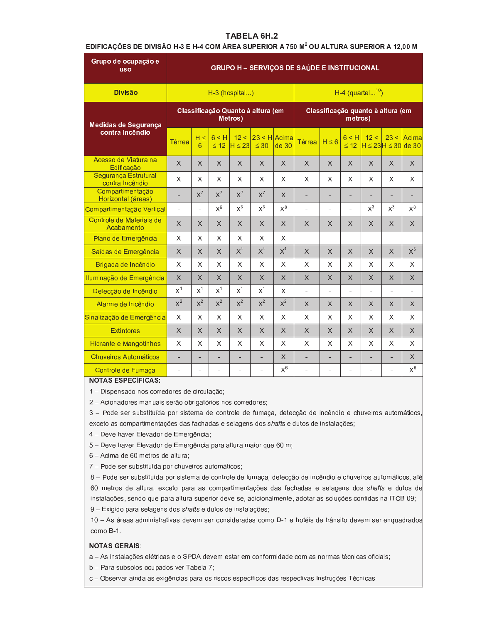# TABELA 6H.2

# EDIFICAÇÕES DE DIVISÃO H-3 E H-4 COM ÁREA SUPERIOR A 750 M<sup>2</sup> OU ALTURA SUPERIOR A 12,00 M

| Grupo de ocupação e<br><b>USO</b>              | <b>GRUPO H - SERVIÇOS DE SAÚDE E INSTITUCIONAL</b> |               |                |                          |                                   |                |                |                                   |                          |                                  |                          |          |
|------------------------------------------------|----------------------------------------------------|---------------|----------------|--------------------------|-----------------------------------|----------------|----------------|-----------------------------------|--------------------------|----------------------------------|--------------------------|----------|
| <b>Divisão</b>                                 |                                                    |               |                | $H-3$ (hospital)         |                                   |                |                |                                   |                          | $H-4$ (quartel <sup>10</sup> )   |                          |          |
| Medidas de Segurança                           |                                                    |               |                | Metros)                  | Classificação Quanto à altura (em |                |                | Classificação quanto à altura (em | metros)                  |                                  |                          |          |
| contra Incêndio                                | Térrea                                             | $H \leq$<br>6 | 6 < H<br>< 12  | 12 <<br>$H \leq 23$      | 23 < H<br>$\leq 30$               | Acima<br>de 30 | <b>Térrea</b>  | $H \leq 6$                        | 6 < H<br>< 12            | 12 <<br>$H \le 23H \le 30$ de 30 | 23 <                     | Acima    |
| Acesso de Viatura na<br>Edificação             | $\chi$                                             | $\times$      | $\times$       | X                        | $\times$                          | X              | X              | $\times$                          | $\times$                 | X                                | $\times$                 | $\times$ |
| <b>Sequrança Estrutural</b><br>contra Incêndio | X                                                  | X             | X              | X                        | X                                 | X              | X              | X                                 | X                        | X                                | X                        | X        |
| Compartimentação<br>Horizontal (áreas)         | L.                                                 | $X^7$         | $X^7$          | $X^7$                    | $X^7$                             | X              | $\overline{a}$ | L.                                |                          | ÷.                               |                          |          |
| Compartimentação Vertical                      | $\overline{\phantom{a}}$                           | ä,            | $X^9$          | $X^3$                    | $X^3$                             | $X^8$          | ä,             | ÷,                                | $\overline{\phantom{a}}$ | $X^3$                            | $X^3$                    | $X^8$    |
| Controle de Materiais de<br>Acabamento         | $\times$                                           | $\times$      | X              | $\times$                 | $\times$                          | $\times$       | X              | X                                 | X                        | $\times$                         | X                        | $\times$ |
| Plano de Emergência                            | X                                                  | X             | X              | X                        | X                                 | X              | ÷,             | $\blacksquare$                    |                          | $\overline{\phantom{a}}$         |                          | ٠        |
| Saídas de Emergência                           | $\times$                                           | X             | $\times$       | X <sup>4</sup>           | X <sup>4</sup>                    | $X^4$          | X              | X                                 | $\times$                 | X                                | $\times$                 | $X^5$    |
| Brigada de Incêndio                            | X                                                  | X             | X              | X                        | X                                 | X              | X              | X                                 | X                        | X                                | X                        | X        |
| Iluminação de Emergência                       | $\times$                                           | X             | $\times$       | $\times$                 | $\times$                          | X              | $\times$       | X                                 | $\times$                 | X                                | $\times$                 | $\times$ |
| Detecção de Incêndio                           | $X^1$                                              | $X^1$         | $X^1$          | $X^1$                    | $X^1$                             | X              | ä,             | ÷,                                | ÷.                       | $\overline{a}$                   |                          | ÷,       |
| Alarme de Incêndio                             | $X^2$                                              | $X^2$         | $X^2$          | $X^2$                    | $X^2$                             | $X^2$          | X              | X                                 | X                        | X                                | X                        | X        |
| Sinalização de Emergência                      | X                                                  | X             | X              | X                        | X                                 | X              | X              | X                                 | X                        | X                                | X                        | X        |
| <b>Extintores</b>                              | X                                                  | X             | X              | $\times$                 | $\times$                          | X              | $\times$       | X                                 | $\sf X$                  | X                                | X                        | $\times$ |
| Hidrante e Mangotinhos                         | X                                                  | X             | X              | X                        | X                                 | X              | X              | X                                 | X                        | X                                | X                        | X        |
| Chuveiros Automáticos                          | ÷,                                                 | ۰             | ÷,             | $\overline{\phantom{a}}$ | ÷,                                | X              | ÷,             | ٠                                 | ۰.                       | ÷,                               | ۰                        | X        |
| Controle de Fumaça                             | ÷,                                                 | ÷             | $\blacksquare$ | $\blacksquare$           | $\overline{\phantom{a}}$          | $X^6$          | ÷,             | $\blacksquare$                    | $\blacksquare$           | $\blacksquare$                   | $\overline{\phantom{a}}$ | $X^6$    |
| NOTAS FSPESÍFICAS.                             |                                                    |               |                |                          |                                   |                |                |                                   |                          |                                  |                          |          |

### **NOTAS ESPECIFICAS:**

1 - Dispensado nos corredores de circulação;

2 - Acionadores manuais serão obrigatórios nos corredores;

3 - Pode ser substituída por sistema de controle de fumaça, detecção de incêndio e chuveiros automáticos, exceto as compartimentações das fachadas e selagens dos shafts e dutos de instalações;

4 - Deve haver Elevador de Emergência;

5 – Deve haver Elevador de Emergência para altura maior que 60 m;

6 - Acima de 60 metros de altura;

7 - Pode ser substituída por chuveiros automáticos;

8 - Pode ser substituída por sistema de controle de fumaça, detecção de incêndio e chuveiros automáticos, até 60 metros de altura, exceto para as compartimentações das fachadas e selagens dos shafts e dutos de instalações, sendo que para altura superior deve-se, adicionalmente, adotar as soluções contidas na ITCB-09;

9 - Exigido para selagens dos shafts e dutos de instalações;

10 - As áreas administrativas devem ser consideradas como D-1 e hotéis de trânsito devem ser enquadrados como B-1.

### **NOTAS GERAIS:**

a - As instalações elétricas e o SPDA devem estar em conformidade com as normas técnicas oficiais;

b - Para subsolos ocupados ver Tabela 7;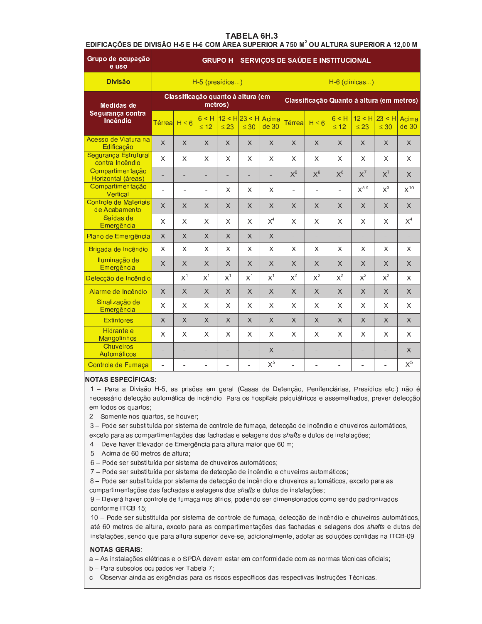### **TABELA 6H.3**

# EDIFICAÇÕES DE DIVISÃO H-5 E H-6 COM ÁREA SUPERIOR A 750 M<sup>2</sup> OU ALTURA SUPERIOR A 12,00 M

| Grupo de ocupação<br>e uso              | <b>GRUPO H - SERVIÇOS DE SAÚDE E INSTITUCIONAL</b> |                      |                          |              |                                        |          |          |                                           |                    |                     |                     |                 |
|-----------------------------------------|----------------------------------------------------|----------------------|--------------------------|--------------|----------------------------------------|----------|----------|-------------------------------------------|--------------------|---------------------|---------------------|-----------------|
| <b>Divisão</b>                          |                                                    |                      | H-5 (presídios)          |              |                                        |          |          |                                           |                    | H-6 (clínicas)      |                     |                 |
| <b>Medidas de</b>                       |                                                    |                      | metros)                  |              | Classificação quanto à altura (em      |          |          | Classificação Quanto à altura (em metros) |                    |                     |                     |                 |
| Segurança contra<br>Incêndio            | <b>Térreal</b>                                     | $H \leq 6$           | $\leq 12$                | $\leq 23$    | 6 < H 12 < H 23 < H Acima<br>$\leq 30$ | de 30    | Térrea   | $H \leq 6$                                | 6 < H<br>$\leq 12$ | 12 < H<br>$\leq 23$ | 23 < H<br>$\leq 30$ | Acimal<br>de 30 |
| Acesso de Viatura na<br>Edificação      | $\times$                                           | $\times$             | X                        | X            | $\times$                               | $\times$ | $\times$ | X                                         | $\times$           | $\times$            | $\times$            | X               |
| Segurança Estrutural<br>contra Incêndio | X                                                  | X                    | X                        | X            | X                                      | X        | X        | X                                         | X                  | X                   | X                   | X               |
| Compartimentação<br>Horizontal (áreas)  |                                                    | ÷,                   | ÷,                       |              | ٠                                      | L,       | $X^6$    | $X^6$                                     | $X^6$              | $X^7$               | $X^7$               | X               |
| Compartimentação<br>Vertical            | L.                                                 | $\ddot{\phantom{1}}$ | $\overline{\phantom{a}}$ | X            | X                                      | X        | Ĺ,       |                                           |                    | $X^{8,9}$           | $X^3$               | $X^{10}$        |
| Controle de Materiais<br>de Acabamento  | X                                                  | $\times$             | X                        | $\times$     | $\chi$                                 | $\times$ | $\times$ | $\times$                                  | $\times$           | $\times$            | $\times$            | $\times$        |
| Saídas de<br>Emergência                 | X                                                  | X                    | X                        | X            | X                                      | $X^4$    | X        | X                                         | X                  | X                   | X                   | $X^4$           |
| Plano de Emergência                     | X                                                  | $\times$             | $\times$                 | X            | $\times$                               | $\times$ |          | ٠                                         | ÷                  |                     | ÷,                  | ÷               |
| Brigada de Incêndio                     | X                                                  | X                    | X                        | X            | X                                      | X        | X        | X                                         | X                  | X                   | X                   | X               |
| Iluminação de<br>Emergência             | X                                                  | $\times$             | $\times$                 | X            | $\times$                               | $\times$ | $\times$ | $\times$                                  | $\times$           | X                   | $\times$            | X               |
| Detecção de Incêndio                    | ä,                                                 | $X^1$                | $X^1$                    | $X^1$        | $X^1$                                  | $X^1$    | $X^2$    | $X^2$                                     | $X^2$              | $X^2$               | $X^2$               | X               |
| Alarme de Incêndio                      | $\times$                                           | $\times$             | $\times$                 | $\times$     | $\chi$                                 | $\times$ | $\times$ | $\times$                                  | $\times$           | X                   | $\times$            | X               |
| Sinalização de<br>Emergência            | X                                                  | X                    | X                        | X            | X                                      | X        | X        | X                                         | X                  | X                   | X                   | X               |
| <b>Extintores</b>                       | X                                                  | X                    | $\times$                 | $\mathsf{X}$ | $\times$                               | $\times$ | $\times$ | $\times$                                  | $\mathsf{X}$       | X                   | $\times$            | X               |
| Hidrante e<br><b>Mangotinhos</b>        | X                                                  | X                    | X                        | X            | X                                      | X        | X        | X                                         | X                  | X                   | X                   | X               |
| <b>Chuveiros</b><br><b>Automáticos</b>  |                                                    |                      |                          |              |                                        | $\times$ |          |                                           |                    |                     | ÷,                  | X               |
| Controle de Fumaça                      | $\blacksquare$                                     | ٠                    |                          |              |                                        | $X^5$    |          |                                           |                    |                     |                     | $X^5$           |

#### **NOTAS ESPECÍFICAS:**

1 - Para a Divisão H-5, as prisões em geral (Casas de Detenção, Penitenciárias, Presídios etc.) não é necessário detecção automática de incêndio. Para os hospitais psiquiátricos e assemelhados, prever detecção em todos os quartos;

2 - Somente nos quartos, se houver;

3 – Pode ser substituída por sistema de controle de fumaça, detecção de incêndio e chuveiros automáticos, exceto para as compartimentações das fachadas e selagens dos shafts e dutos de instalações;

4 – Deve haver Elevador de Emergência para altura maior que 60 m;

5 - Acima de 60 metros de altura;

6 - Pode ser substituída por sistema de chuveiros automáticos;

7 - Pode ser substituída por sistema de detecção de incêndio e chuveiros automáticos;

8 - Pode ser substituída por sistema de detecção de incêndio e chuveiros automáticos, exceto para as compartimentações das fachadas e selagens dos shafts e dutos de instalações;

9 - Deverá haver controle de fumaça nos átrios, podendo ser dimensionados como sendo padronizados conforme ITCB-15;

10 – Pode ser substituída por sistema de controle de fumaça, detecção de incêndio e chuveiros automáticos até 60 metros de altura, exceto para as compartimentações das fachadas e selagens dos shafts e dutos de instalações, sendo que para altura superior deve-se, adicionalmente, adotar as soluções contidas na ITCB-09.

### **NOTAS GERAIS:**

a - As instalações elétricas e o SPDA devem estar em conformidade com as normas técnicas oficiais;

b - Para subsolos ocupados ver Tabela 7;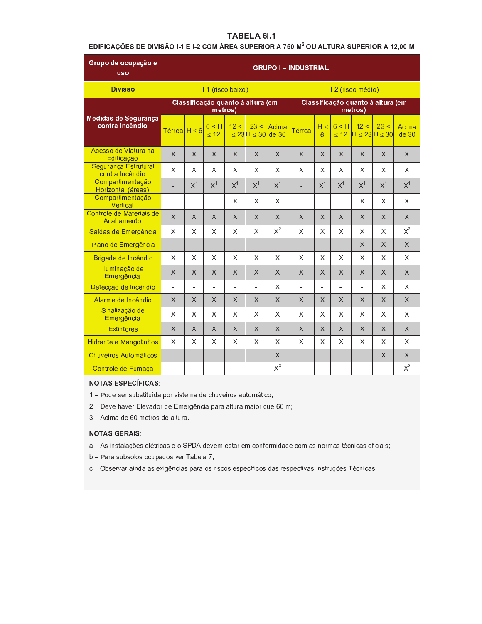# TABELA 6I.1

# EDIFICAÇÕES DE DIVISÃO 1-1 E 1-2 COM ÁREA SUPERIOR A 750 M<sup>2</sup> OU ALTURA SUPERIOR A 12,00 M

| Grupo de ocupação e<br><b>USO</b>       | <b>GRUPO I - INDUSTRIAL</b> |                |                    |                                              |                |          |              |                          |                    |                                              |              |                |
|-----------------------------------------|-----------------------------|----------------|--------------------|----------------------------------------------|----------------|----------|--------------|--------------------------|--------------------|----------------------------------------------|--------------|----------------|
| <b>Divisão</b>                          |                             |                |                    | I-1 (risco baixo)                            |                |          |              |                          |                    | I-2 (risco médio)                            |              |                |
|                                         |                             |                |                    | Classificação quanto à altura (em<br>metros) |                |          |              |                          |                    | Classificação quanto à altura (em<br>metros) |              |                |
| Medidas de Segurança<br>contra Incêndio | Térrea $H \leq 6$           |                | 6 < H<br>$\leq 12$ | 12 <<br>$H \leq 23$ H ≤ 30 de 30             | 23 <           | Acima    | Térrea       | $H \leq$<br>6            | 6 < H<br>$\leq 12$ | 12 <<br>$H \leq 23H \leq 30$                 | 23 <         | Acima<br>de 30 |
| Acesso de Viatura na<br>Edificação      | $\times$                    | $\times$       | X                  | $\times$                                     | $\times$       | X        | $\times$     | X                        | $\times$           | $\times$                                     | $\times$     | X              |
| Segurança Estrutural<br>contra Incêndio | X                           | X              | X                  | X                                            | X              | X        | X.           | X                        | X                  | X                                            | X            | X              |
| Compartimentação<br>Horizontal (áreas)  | $\overline{a}$              | $X^1$          | $X^1$              | $X^1$                                        | X <sup>1</sup> | $X^1$    | L.           | $X^1$                    | $X^1$              | $X^1$                                        | $X^1$        | $X^1$          |
| Compartimentação<br>Vertical            | $\overline{\phantom{a}}$    | $\overline{a}$ | ä,                 | X                                            | X              | X        | ÷,           | $\blacksquare$           | $\mathbf{r}$       | X                                            | X.           | X              |
| Controle de Materiais de<br>Acabamento  | X                           | X              | X.                 | X                                            | $\times$       | $\times$ | X            | X                        | X                  | $\times$                                     | X            | $\times$       |
| Saídas de Emergência                    | $\times$                    | $\mathsf{X}$   | X.                 | $\times$                                     | $\mathsf{X}$   | $X^2$    | $\mathsf{X}$ | X                        | $\mathsf{X}$       | X                                            | X            | $X^2$          |
| Plano de Emergência                     | ÷.                          |                |                    | $\overline{a}$                               | ÷,             | ÷,       | ÷,           |                          | L.                 | $\mathsf{X}$                                 | $\mathsf{X}$ | $\mathsf{X}$   |
| Brigada de Incêndio                     | X                           | X              | X                  | X                                            | X              | X        | X            | X                        | X                  | X                                            | X            | X              |
| Iluminação de<br>Emergência             | X                           | X              | X                  | X                                            | $\times$       | $\times$ | $\times$     | X                        | $\times$           | $\times$                                     | X            | $\times$       |
| Detecção de Incêndio                    | ä,                          | $\overline{a}$ | $\blacksquare$     | $\frac{1}{2}$                                | ä,             | X        | L.           | $\overline{\phantom{a}}$ | ä,                 | $\blacksquare$                               | X            | X              |
| Alarme de Incêndio                      | X                           | $\times$       | $\times$           | X                                            | $\times$       | $\times$ | X            | X                        | $\times$           | $\times$                                     | X            | $\times$       |
| Sinalização de<br>Emergência            | X                           | X              | X                  | X                                            | X              | X        | X            | X.                       | X                  | X                                            | X            | X              |
| <b>Extintores</b>                       | X                           | X              | X                  | $\times$                                     | X              | $\times$ | X            | X                        | X                  | $\times$                                     | X            | $\times$       |
| <b>Hidrante e Mangotinhos</b>           | X                           | X              | X                  | X                                            | X              | X        | X            | X                        | X                  | X                                            | X            | X              |
| <b>Chuveiros Automáticos</b>            | $\overline{a}$              | ÷,             |                    |                                              |                | $\times$ | ÷,           |                          | L,                 |                                              | $\times$     | $\times$       |
| Controle de Fumaça                      | $\overline{\phantom{a}}$    | ÷              |                    |                                              |                | $X^3$    | ÷,           |                          | L.                 | ٠                                            |              | $X^3$          |

# **NOTAS ESPECÍFICAS:**

1 - Pode ser substituída por sistema de chuveiros automático;

2 - Deve haver Elevador de Emergência para altura maior que 60 m;

3 - Acima de 60 metros de altura.

# **NOTAS GERAIS:**

a - As instalações elétricas e o SPDA devem estar em conformidade com as normas técnicas oficiais;

b - Para subsolos ocupados ver Tabela 7;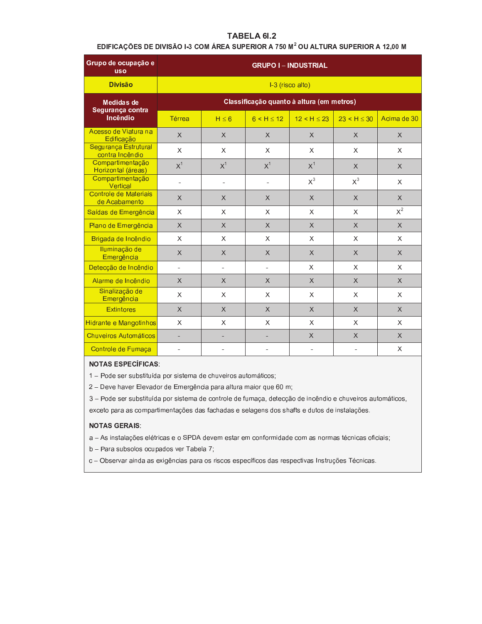# TABELA 6I.2

### EDIFICAÇÕES DE DIVISÃO I-3 COM ÁREA SUPERIOR A 750 M<sup>2</sup> OU ALTURA SUPERIOR A 12,00 M

| Grupo de ocupação e<br><b>uso</b>       | <b>GRUPO I-INDUSTRIAL</b> |                          |                |                                           |             |                           |  |  |  |  |  |  |
|-----------------------------------------|---------------------------|--------------------------|----------------|-------------------------------------------|-------------|---------------------------|--|--|--|--|--|--|
| <b>Divisão</b>                          |                           |                          |                | I-3 (risco alto)                          |             |                           |  |  |  |  |  |  |
| <b>Medidas de</b><br>Segurança contra   |                           |                          |                | Classificação quanto à altura (em metros) |             |                           |  |  |  |  |  |  |
| Incêndio                                | Térrea                    | $H \leq 6$               | $6 < H \le 12$ | 12 < H < 23                               | 23 < H < 30 | Acima de 30               |  |  |  |  |  |  |
| Acesso de Viatura na<br>Edificação      | $\sf X$                   | $\sf X$                  | $\chi$         | $\sf X$                                   | $\times$    | X                         |  |  |  |  |  |  |
| Segurança Estrutural<br>contra Incêndio | X                         | X                        | X              | X                                         | X           | X                         |  |  |  |  |  |  |
| Compartimentação<br>Horizontal (áreas)  | $X^1$                     | X <sup>1</sup>           | X <sup>1</sup> | $X^1$                                     | X           | $\times$                  |  |  |  |  |  |  |
| Compartimentação<br>Vertical            | $\ddot{\phantom{1}}$      | $\blacksquare$           | $\blacksquare$ | $X^3$                                     | $X^3$       | X                         |  |  |  |  |  |  |
| Controle de Materiais<br>de Acabamento  | $\times$                  | $\chi$                   | $\chi$         | $\chi$                                    | $\times$    | $\times$                  |  |  |  |  |  |  |
| Saídas de Emergência                    | $\mathsf{X}$              | $\mathsf{X}$             | X              | X                                         | $\times$    | $\mathsf{X}^2$            |  |  |  |  |  |  |
| Plano de Emergência                     | $\chi$                    | $\chi$                   | $\times$       | $\times$                                  | $\chi$      | $\times$                  |  |  |  |  |  |  |
| Brigada de Incêndio                     | X                         | X                        | X              | X                                         | X           | X                         |  |  |  |  |  |  |
| Iluminação de<br>Emergência             | $\chi$                    | $\chi$                   | $\times$       | $\chi$                                    | $\times$    | $\times$                  |  |  |  |  |  |  |
| Detecção de Incêndio                    | ÷,                        | $\overline{\phantom{a}}$ | $\blacksquare$ | X                                         | X           | X                         |  |  |  |  |  |  |
| Alarme de Incêndio                      | $\mathsf{X}$              | $\mathsf{X}$             | $\times$       | $\times$                                  | $\times$    | $\times$                  |  |  |  |  |  |  |
| Sinalização de<br>Emergência            | $\times$                  | X                        | X              | X                                         | X           | X                         |  |  |  |  |  |  |
| <b>Extintores</b>                       | $\chi$                    | $\chi$                   | $\times$       | $\times$                                  | X           | $\times$                  |  |  |  |  |  |  |
| Hidrante e Mangotinhos                  | X                         | X                        | X              | X                                         | X           | X                         |  |  |  |  |  |  |
| <b>Chuveiros Automáticos</b>            | ÷,                        | ÷,                       | ÷              | X                                         | $\times$    | $\times$                  |  |  |  |  |  |  |
| Controle de Fumaça                      |                           |                          |                |                                           |             | $\boldsymbol{\mathsf{X}}$ |  |  |  |  |  |  |

# **NOTAS ESPECÍFICAS:**

1 - Pode ser substituída por sistema de chuveiros automáticos;

2 - Deve haver Elevador de Emergência para altura maior que 60 m;

3 - Pode ser substituída por sistema de controle de fumaça, detecção de incêndio e chuveiros automáticos,

exceto para as compartimentações das fachadas e selagens dos shafts e dutos de instalações.

### **NOTAS GERAIS:**

a - As instalações elétricas e o SPDA devem estar em conformidade com as normas técnicas oficiais;

b - Para subsolos ocupados ver Tabela 7;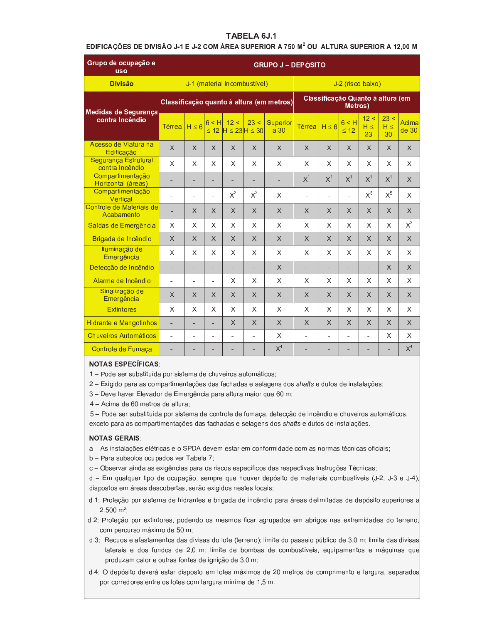# TABELA 6J.1

### EDIFICAÇÕES DE DIVISÃO J-1 E J-2 COM ÁREA SUPERIOR A 750 M<sup>2</sup> OU ALTURA SUPERIOR A 12,00 M

| Grupo de ocupação e<br><b>USO</b>       | <b>GRUPO J – DEPÓSITO</b>                 |                              |                |                                      |                |                                    |                                              |                |                    |                   |                        |                |
|-----------------------------------------|-------------------------------------------|------------------------------|----------------|--------------------------------------|----------------|------------------------------------|----------------------------------------------|----------------|--------------------|-------------------|------------------------|----------------|
| <b>Divisão</b>                          |                                           | J-1 (material incombustivel) |                |                                      |                |                                    | J-2 (risco baixo)                            |                |                    |                   |                        |                |
| Medidas de Segurança                    | Classificação quanto à altura (em metros) |                              |                |                                      |                |                                    | Classificação Quanto à altura (em<br>Metros) |                |                    |                   |                        |                |
| contra Incêndio                         | Térrea                                    | $H \leq 6$                   | $\leq 12$      | $6 < H$ 12 <<br>$H \leq 23H \leq 30$ | 23 <           | <b>Superior</b><br>a <sub>30</sub> | <b>Térrea</b>                                | $H \leq 6$     | 6 < H<br>$\leq 12$ | 12 <<br>H <<br>23 | 23 <<br>$H \leq$<br>30 | Acima<br>de 30 |
| Acesso de Viatura na<br>Edificação      | X                                         | X                            | $\times$       | $\times$                             | $\times$       | X                                  | X                                            | $\chi$         | $\times$           | $\mathsf{X}$      | $\times$               | $\times$       |
| Segurança Estrutural<br>contra Incêndio | X                                         | X                            | X              | X                                    | X              | X                                  | X                                            | X              | X                  | X                 | X                      | X              |
| Compartimentação<br>Horizontal (áreas)  |                                           | Ξ                            | ٠              |                                      |                | ÷,                                 | X <sup>1</sup>                               | X <sup>1</sup> | $X^1$              | $X^1$             | $X^1$                  | X              |
| Compartimentação<br>Vertical            | $\blacksquare$                            | $\blacksquare$               | $\blacksquare$ | $X^2$                                | $X^2$          | X                                  | $\blacksquare$                               | $\blacksquare$ | $\sim$             | $X^5$             | $X^5$                  | X              |
| Controle de Materiais de<br>Acabamento  |                                           | X                            | X              | $\times$                             | X              | $\times$                           | X                                            | $\times$       | X                  | $\times$          | $\times$               | X              |
| Saídas de Emergência                    | X                                         | X                            | X              | X                                    | X              | X                                  | X                                            | X              | X                  | $\mathsf{X}$      | X                      | $X^3$          |
| Brigada de Incêndio                     | $\times$                                  | $\times$                     | X              | X                                    | X              | $\times$                           | $\times$                                     | X              | X                  | X                 | $\times$               | X              |
| Iluminação de<br>Emergência             | X                                         | X                            | X              | $\mathsf{X}$                         | X              | X                                  | X                                            | X              | X                  | X                 | X                      | X              |
| Detecção de Incêndio                    | L.                                        | ÷,                           | $\overline{a}$ |                                      |                | $\times$                           | ÷.                                           | ÷.             | $\overline{a}$     | $\overline{a}$    | $\times$               | X              |
| Alarme de Incêndio                      | $\overline{a}$                            | ÷.                           | $\sim$         | X                                    | X              | X                                  | X                                            | X              | X                  | X                 | X                      | X              |
| Sinalização de<br>Emergência            | X                                         | X                            | X              | $\times$                             | X              | $\times$                           | $\times$                                     | $\times$       | X                  | $\times$          | X                      | X              |
| <b>Extintores</b>                       | X                                         | X                            | X              | X                                    | X              | X                                  | X                                            | X              | X                  | X                 | X                      | X              |
| Hidrante e Mangotinhos                  | ÷                                         | ÷,                           | ٠              | X                                    | X              | $\times$                           | X                                            | $\chi$         | $\times$           | X                 | $\times$               | X              |
| <b>Chuveiros Automáticos</b>            | ä,                                        | $\blacksquare$               |                |                                      | $\overline{a}$ | X                                  | ä,                                           | ÷.             |                    |                   | X                      | X              |
| Controle de Fumaça                      | ÷                                         |                              |                |                                      |                | $X^4$                              |                                              |                |                    |                   | ۰                      | $X^4$          |

# **NOTAS ESPECÍFICAS:**

- 1 Pode ser substituída por sistema de chuveiros automáticos;
- 2 Exigido para as compartimentações das fachadas e selagens dos shafts e dutos de instalações;
- 3 Deve haver Elevador de Emergência para altura maior que 60 m;
- 4 Acima de 60 metros de altura;
- 5 Pode ser substituída por sistema de controle de fumaça, detecção de incêndio e chuveiros automáticos, exceto para as compartimentações das fachadas e selagens dos shafts e dutos de instalações.

#### **NOTAS GERAIS:**

- a As instalações elétricas e o SPDA devem estar em conformidade com as normas técnicas oficiais;
- b Para subsolos ocupados ver Tabela 7;
- c Observar ainda as exigências para os riscos específicos das respectivas Instruções Técnicas;
- d Em qualquer tipo de ocupação, sempre que houver depósito de materiais combustíveis (J-2, J-3 e J-4), dispostos em áreas descobertas, serão exigidos nestes locais:
- d.1: Proteção por sistema de hidrantes e brigada de incêndio para áreas delimitadas de depósito superiores a  $2.500 \text{ m}^2$ ;
- d.2: Proteção por extintores, podendo os mesmos ficar agrupados em abrigos nas extremidades do terreno, com percurso máximo de 50 m;
- d.3: Recuos e afastamentos das divisas do lote (terreno): limite do passeio público de 3,0 m; limite das divisas laterais e dos fundos de 2,0 m; limite de bombas de combustíveis, equipamentos e máquinas que produzam calor e outras fontes de ignição de 3,0 m;
- d.4: O depósito deverá estar disposto em lotes máximos de 20 metros de comprimento e largura, separados por corredores entre os lotes com largura mínima de 1,5 m.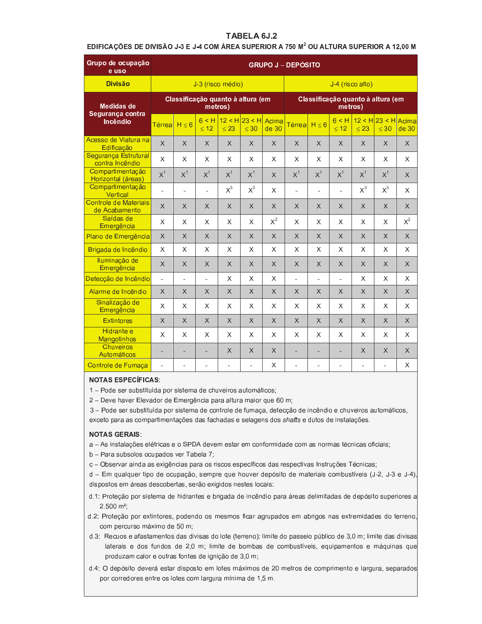# TABELA 6J.2

### EDIFICAÇÕES DE DIVISÃO J-3 E J-4 COM ÁREA SUPERIOR A 750 M<sup>2</sup> OU ALTURA SUPERIOR A 12,00 M

| Grupo de ocupação<br>e uso              | <b>GRUPO J – DEPÓSITO</b>                    |                   |                          |                     |                     |                |                                              |                          |                    |                     |                             |          |
|-----------------------------------------|----------------------------------------------|-------------------|--------------------------|---------------------|---------------------|----------------|----------------------------------------------|--------------------------|--------------------|---------------------|-----------------------------|----------|
| <b>Divisão</b>                          |                                              | J-3 (risco médio) |                          |                     |                     |                |                                              | J-4 (risco alto)         |                    |                     |                             |          |
| <b>Medidas de</b><br>Segurança contra   | Classificação quanto à altura (em<br>metros) |                   |                          |                     |                     |                | Classificação quanto à altura (em<br>metros) |                          |                    |                     |                             |          |
| Incêndio                                | Térrea                                       | $H \leq 6$        | 6 < H<br>$\leq 12$       | 12 < H<br>$\leq 23$ | 23 < H<br>$\leq 30$ | Acima<br>de 30 | <b>Térrea</b>                                | $H \leq 6$               | 6 < H<br>$\leq 12$ | 12 < H<br>$\leq 23$ | $23 < H$ Acima<br>$\leq 30$ | de 30    |
| Acesso de Viatura na<br>Edificação      | $\times$                                     | X                 | $\times$                 | $\times$            | $\times$            | X              | $\times$                                     | $\times$                 | $\times$           | X                   | $\times$                    | $\times$ |
| Segurança Estrutural<br>contra Incêndio | X                                            | X                 | X                        | X                   | X                   | X              | X                                            | X                        | X                  | X                   | X                           | X        |
| Compartimentação<br>Horizontal (áreas)  | $X^1$                                        | $X^1$             | $X^1$                    | $X^1$               | $X^1$               | X              | $X^1$                                        | $X^1$                    | X <sup>1</sup>     | X <sup>1</sup>      | $X^1$                       | $\times$ |
| Compartimentação<br>Vertical            | ä,                                           | ÷,                | ä,                       | $X^3$               | $X^3$               | X              | ä,                                           | ä,                       | ä,                 | $X^3$               | $X^3$                       | X        |
| Controle de Materiais<br>de Acabamento  | X                                            | X                 | X                        | $\times$            | $\times$            | X              | $\times$                                     | X                        | $\times$           | $\times$            | $\times$                    | X        |
| Saídas de<br>Emergência                 | X                                            | X                 | X                        | X                   | X                   | $X^2$          | X                                            | X                        | X                  | X                   | X                           | $X^2$    |
| Plano de Emergência                     | $\times$                                     | $\times$          | $\times$                 | $\times$            | $\times$            | $\times$       | $\times$                                     | $\times$                 | $\times$           | $\times$            | $\times$                    | $\times$ |
| Brigada de Incêndio                     | X                                            | X                 | X                        | X                   | X                   | X              | X                                            | X                        | X                  | X                   | X                           | X        |
| Iluminação de<br>Emergência             | $\times$                                     | X                 | X                        | $\times$            | X                   | X              | X                                            | $\times$                 | X                  | X                   | $\times$                    | X        |
| Detecção de Incêndio                    | $\overline{\phantom{a}}$                     | $\blacksquare$    | $\overline{\phantom{a}}$ | X                   | X                   | X              | $\overline{\phantom{a}}$                     | $\overline{\phantom{a}}$ | $\blacksquare$     | X                   | X                           | X        |
| Alarme de Incêndio                      | $\times$                                     | $\times$          | $\times$                 | $\times$            | $\times$            | $\times$       | $\times$                                     | $\times$                 | $\times$           | $\times$            | $\times$                    | $\times$ |
| Sinalização de<br>Emergência            | X                                            | X                 | X                        | X                   | X                   | X              | X                                            | X                        | X                  | X                   | X                           | X        |
| <b>Extintores</b>                       | X                                            | X                 | $\times$                 | $\times$            | $\times$            | $\times$       | $\times$                                     | X                        | $\times$           | X                   | $\times$                    | X        |
| Hidrante e<br><b>Mangotinhos</b>        | X                                            | X                 | X                        | X                   | X                   | X              | X                                            | X                        | X                  | X                   | X                           | X        |
| <b>Chuveiros</b><br>Automáticos         | ÷,                                           |                   | ÷,                       | $\sf X$             | $\times$            | $\times$       | $\blacksquare$                               |                          | ÷,                 | $\times$            | $\sf X$                     | X        |
| Controle de Fumaça                      | ÷                                            |                   |                          | ÷                   | ÷                   | X              | ä,                                           |                          |                    |                     | ÷,                          | X        |

#### **NOTAS ESPECÍFICAS:**

1 - Pode ser substituída por sistema de chuveiros automáticos;

2 - Deve haver Elevador de Emergência para altura maior que 60 m;

3 - Pode ser substituída por sistema de controle de fumaça, detecção de incêndio e chuveiros automáticos, exceto para as compartimentações das fachadas e selagens dos shafts e dutos de instalações.

#### **NOTAS GERAIS:**

- a As instalações elétricas e o SPDA devem estar em conformidade com as normas técnicas oficiais;
- b Para subsolos ocupados ver Tabela 7;
- c Observar ainda as exigências para os riscos específicos das respectivas Instruções Técnicas;

d - Em qualquer tipo de ocupação, sempre que houver depósito de materiais combustíveis (J-2, J-3 e J-4), dispostos em áreas descobertas, serão exigidos nestes locais:

- d.1: Proteção por sistema de hidrantes e brigada de incêndio para áreas delimitadas de depósito superiores a  $2.500 \text{ m}^2$ ;
- d.2: Proteção por extintores, podendo os mesmos ficar agrupados em abrigos nas extremidades do terreno, com percurso máximo de 50 m;
- d.3: Recuos e afastamentos das divisas do lote (terreno): limite do passeio público de 3,0 m; limite das divisas laterais e dos fundos de 2,0 m; limite de bombas de combustíveis, equipamentos e máquinas que produzam calor e outras fontes de ignição de 3,0 m;
- d.4: O depósito deverá estar disposto em lotes máximos de 20 metros de comprimento e largura, separados por corredores entre os lotes com largura mínima de 1,5 m.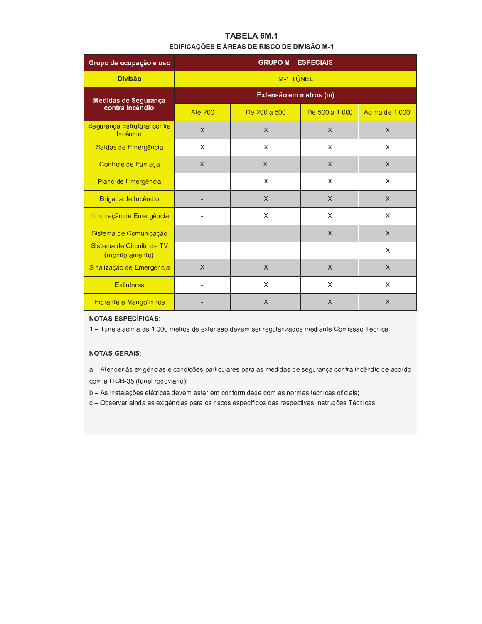# TABELA 6M.1 EDIFICAÇÕES E ÁREAS DE RISCO DE DIVISÃO M-1

| Grupo de ocupação e uso                      | <b>GRUPO M - ESPECIAIS</b> |              |                |                 |  |  |  |  |  |
|----------------------------------------------|----------------------------|--------------|----------------|-----------------|--|--|--|--|--|
| <b>Divisão</b>                               |                            | M-1 TÚNEL    |                |                 |  |  |  |  |  |
| Medidas de Segurança                         | Extensão em metros (m)     |              |                |                 |  |  |  |  |  |
| contra Incêndio                              | <b>Até 200</b>             | De 200 a 500 | De 500 a 1.000 | Acima de 1.0001 |  |  |  |  |  |
| Segurança Estrutural contra<br>Incêndio      | $\chi$                     | $\chi$       | $\times$       | $\chi$          |  |  |  |  |  |
| Saídas de Emergência                         | X                          | X            | X              | X               |  |  |  |  |  |
| Controle de Fumaça                           | $\chi$                     | $\times$     | $\times$       | $\chi$          |  |  |  |  |  |
| Plano de Emergência                          |                            | X            | X              | X               |  |  |  |  |  |
| Brigada de Incêndio                          |                            | $\chi$       | $\times$       | $\times$        |  |  |  |  |  |
| Iluminação de Emergência                     |                            | $\mathsf{X}$ | X              | $\times$        |  |  |  |  |  |
| Sistema de Comunicação                       |                            |              | $\mathsf{X}$   | $\mathsf{X}$    |  |  |  |  |  |
| Sistema de Circuito de TV<br>(monitoramento) |                            |              |                | X               |  |  |  |  |  |
| Sinalização de Emergência                    | $\times$                   | $\chi$       | $\times$       | $\times$        |  |  |  |  |  |
| <b>Extintores</b>                            |                            | X            | X              | $\mathsf{X}$    |  |  |  |  |  |
| Hidrante e Mangotinhos                       |                            | X            | X              | X               |  |  |  |  |  |

### **NOTAS ESPECÍFICAS:**

1 - Túneis acima de 1.000 metros de extensão devem ser regularizados mediante Comissão Técnica.

### **NOTAS GERAIS:**

a - Atender às exigências e condições particulares para as medidas de segurança contra incêndio de acordo com a ITCB-35 (túnel rodoviário);

b - As instalações elétricas devem estar em conformidade com as normas técnicas oficiais;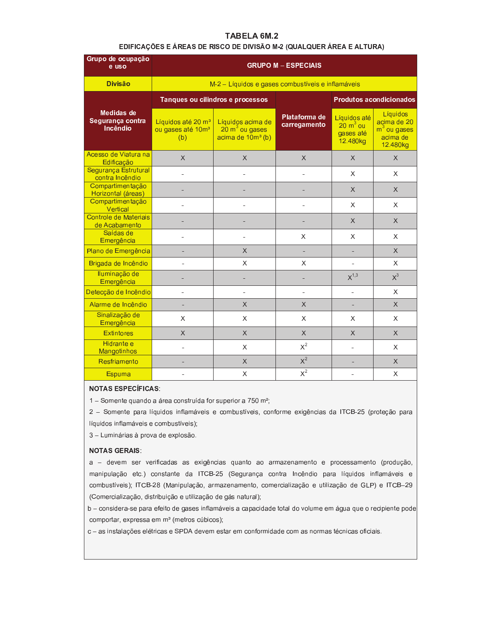# TABELA 6M.2

### EDIFICAÇÕES E ÁREAS DE RISCO DE DIVISÃO M-2 (QUALQUER ÁREA E ALTURA)

| Grupo de ocupação<br>e uso                        | <b>GRUPO M - ESPECIAIS</b>                                             |                                                                                 |                               |                                                     |                                                                  |  |  |  |
|---------------------------------------------------|------------------------------------------------------------------------|---------------------------------------------------------------------------------|-------------------------------|-----------------------------------------------------|------------------------------------------------------------------|--|--|--|
| <b>Divisão</b>                                    | M-2 - Líquidos e gases combustíveis e inflamáveis                      |                                                                                 |                               |                                                     |                                                                  |  |  |  |
|                                                   |                                                                        | Tanques ou cilindros e processos                                                |                               | Produtos acondicionados                             |                                                                  |  |  |  |
| <b>Medidas de</b><br>Segurança contra<br>Incêndio | Líquidos até 20 m <sup>3</sup><br>ou gases até 10m <sup>3</sup><br>(b) | Líquidos acima de<br>$20 \text{ m}^3$ ou gases<br>acima de 10m <sup>3</sup> (b) | Plataforma de<br>carregamento | Líquidos até<br>$20 m3$ ou<br>gases até<br>12.480kg | Líquidos<br>acima de 20<br>$m3$ ou gases<br>acima de<br>12.480kg |  |  |  |
| Acesso de Viatura na<br>Edificação                | X                                                                      | X                                                                               | $\times$                      | $\times$                                            | $\times$                                                         |  |  |  |
| Segurança Estrutural<br>contra Incêndio           |                                                                        |                                                                                 |                               | X                                                   | X                                                                |  |  |  |
| Compartimentação<br>Horizontal (áreas)            |                                                                        |                                                                                 |                               | X                                                   | $\sf X$                                                          |  |  |  |
| Compartimentação<br>Vertical                      |                                                                        |                                                                                 | $\overline{a}$                | X                                                   | X                                                                |  |  |  |
| Controle de Materiais<br>de Acabamento            |                                                                        |                                                                                 |                               | $\times$                                            | $\times$                                                         |  |  |  |
| Saídas de<br>Emergência                           |                                                                        |                                                                                 | X                             | X                                                   | X                                                                |  |  |  |
| Plano de Emergência                               |                                                                        | $\times$                                                                        | ÷.                            |                                                     | $\mathsf{X}$                                                     |  |  |  |
| Brigada de Incêndio                               |                                                                        | X                                                                               | X                             |                                                     | X                                                                |  |  |  |
| Iluminação de<br>Emergência                       |                                                                        |                                                                                 |                               | $X^{1,3}$                                           | $X^3$                                                            |  |  |  |
| Detecção de Incêndio                              | $\overline{\phantom{a}}$                                               | ÷,                                                                              | $\blacksquare$                | $\overline{a}$                                      | X                                                                |  |  |  |
| Alarme de Incêndio                                | ٠                                                                      | $\times$                                                                        | $\chi$                        | ۰                                                   | $\chi$                                                           |  |  |  |
| Sinalização de<br>Emergência                      | X                                                                      | X                                                                               | $\times$                      | X                                                   | X                                                                |  |  |  |
| <b>Extintores</b>                                 | $\overline{X}$                                                         | $\overline{\mathsf{X}}$                                                         | $\mathsf{X}$                  | $\times$                                            | $\mathsf{X}$                                                     |  |  |  |
| Hidrante e<br>Mangotinhos                         |                                                                        | X                                                                               | $X^2$                         |                                                     | X                                                                |  |  |  |
| Resfriamento                                      |                                                                        | X                                                                               | $X^2$                         |                                                     | $\times$                                                         |  |  |  |
| <b>Espuma</b>                                     |                                                                        | X                                                                               | $X^2$                         |                                                     | X                                                                |  |  |  |

# **NOTAS ESPECÍFICAS:**

1 - Somente quando a área construída for superior a 750 m<sup>2</sup>;

2 - Somente para líquidos inflamáveis e combustíveis, conforme exigências da ITCB-25 (proteção para líquidos inflamáveis e combustíveis);

3 - Luminárias à prova de explosão.

#### **NOTAS GERAIS:**

a - devem ser verificadas as exigências quanto ao armazenamento e processamento (produção, manipulação etc.) constante da ITCB-25 (Segurança contra Incêndio para líquidos inflamáveis e combustíveis); ITCB-28 (Manipulação, armazenamento, comercialização e utilização de GLP) e ITCB-29 (Comercialização, distribuição e utilização de gás natural);

b - considera-se para efeito de gases inflamáveis a capacidade total do volume em água que o recipiente pode comportar, expressa em m<sup>3</sup> (metros cúbicos);

c - as instalações elétricas e SPDA devem estar em conformidade com as normas técnicas oficiais.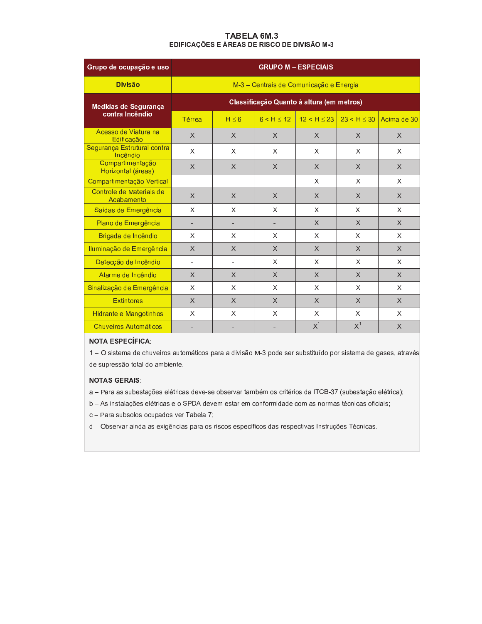### TABELA 6M.3 EDIFICAÇÕES E ÁREAS DE RISCO DE DIVISÃO M-3

| Grupo de ocupação e uso                 | <b>GRUPO M - ESPECIAIS</b>                |                                         |                |                |                |             |  |  |
|-----------------------------------------|-------------------------------------------|-----------------------------------------|----------------|----------------|----------------|-------------|--|--|
| <b>Divisão</b>                          |                                           | M-3 - Centrais de Comunicação e Energia |                |                |                |             |  |  |
| Medidas de Segurança                    | Classificação Quanto à altura (em metros) |                                         |                |                |                |             |  |  |
| contra Incêndio                         | Térrea                                    | $H \leq 6$                              | 6 < H < 12     | 12 < H < 23    | 23 < H < 30    | Acima de 30 |  |  |
| Acesso de Viatura na<br>Edificação      | X                                         | $\mathsf{X}$                            | $\times$       | $\times$       | $\mathsf{X}$   | X           |  |  |
| Segurança Estrutural contra<br>Incêndio | X                                         | X                                       | X              | X              | X              | X           |  |  |
| Compartimentação<br>Horizontal (áreas)  | X                                         | X                                       | X              | $\times$       | X              | X           |  |  |
| Compartimentação Vertical               | ÷                                         | $\sim$                                  | $\blacksquare$ | X              | X              | X           |  |  |
| Controle de Materiais de<br>Acabamento  | X                                         | $\times$                                | $\times$       | $\times$       | $\chi$         | X           |  |  |
| Saídas de Emergência                    | X                                         | X                                       | X              | X              | X              | X           |  |  |
| Plano de Emergência                     |                                           |                                         |                | $\times$       | $\mathsf{X}$   | X           |  |  |
| Brigada de Incêndio                     | X                                         | X                                       | X              | X              | X              | X           |  |  |
| Iluminação de Emergência                | $\times$                                  | $\times$                                | $\times$       | $\times$       | $\chi$         | X           |  |  |
| Detecção de Incêndio                    | $\sim$                                    | $\sim$                                  | X              | X              | X              | X           |  |  |
| Alarme de Incêndio                      | X                                         | $\times$                                | $\times$       | X              | $\times$       | X           |  |  |
| Sinalização de Emergência               | X                                         | X                                       | X              | X              | X              | X           |  |  |
| <b>Extintores</b>                       | X                                         | X                                       | $\times$       | $\times$       | $\times$       | X           |  |  |
| Hidrante e Mangotinhos                  | X                                         | X                                       | X              | X              | X              | X           |  |  |
| Chuveiros Automáticos                   |                                           |                                         |                | X <sup>1</sup> | X <sup>1</sup> | $\times$    |  |  |

### **NOTA ESPECÍFICA:**

1 - O sistema de chuveiros automáticos para a divisão M-3 pode ser substituído por sistema de gases, através de supressão total do ambiente.

### **NOTAS GERAIS:**

a - Para as subestações elétricas deve-se observar também os critérios da ITCB-37 (subestação elétrica);

b - As instalações elétricas e o SPDA devem estar em conformidade com as normas técnicas oficiais;

c - Para subsolos ocupados ver Tabela 7;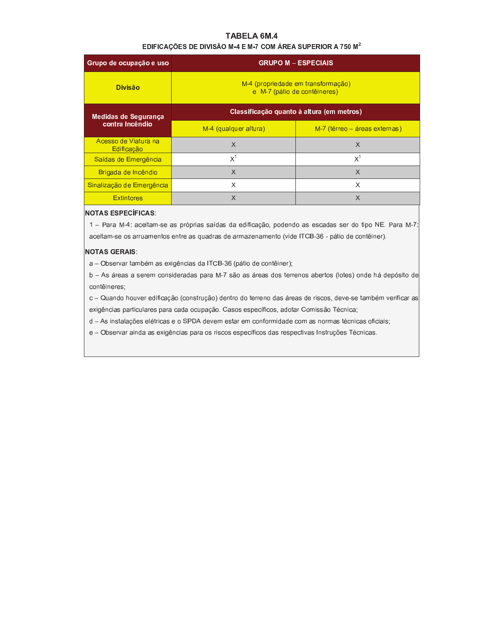# TABELA 6M.4

### EDIFICAÇÕES DE DIVISÃO M-4 E M-7 COM ÁREA SUPERIOR A 750 M<sup>2</sup>

| Grupo de ocupação e uso            | <b>GRUPO M - ESPECIAIS</b>                                         |                               |  |  |  |  |  |
|------------------------------------|--------------------------------------------------------------------|-------------------------------|--|--|--|--|--|
| <b>Divisão</b>                     | M-4 (propriedade em transformação)<br>e M-7 (pátio de contêineres) |                               |  |  |  |  |  |
| Medidas de Segurança               | Classificação quanto à altura (em metros)                          |                               |  |  |  |  |  |
| contra Incêndio                    | M-4 (qualquer altura)                                              | M-7 (térreo – áreas externas) |  |  |  |  |  |
| Acesso de Viatura na<br>Edificação | X                                                                  | X                             |  |  |  |  |  |
| Saídas de Emergência               | $X^1$                                                              | $X^1$                         |  |  |  |  |  |
| Brigada de Incêndio                | X                                                                  | $\times$                      |  |  |  |  |  |
| Sinalização de Emergência          | X                                                                  | X                             |  |  |  |  |  |
| <b>Extintores</b>                  | X                                                                  | X                             |  |  |  |  |  |

### **NOTAS ESPECÍFICAS:**

1 - Para M-4: aceitam-se as próprias saídas da edificação, podendo as escadas ser do tipo NE. Para M-7: aceitam-se os arruamentos entre as quadras de armazenamento (vide ITCB-36 - pátio de contêiner).

#### **NOTAS GERAIS:**

a - Observar também as exigências da ITCB-36 (pátio de contêiner);

b - As áreas a serem consideradas para M-7 são as áreas dos terrenos abertos (lotes) onde há depósito de contêineres;

c - Quando houver edificação (construção) dentro do terreno das áreas de riscos, deve-se também verificar as exigências particulares para cada ocupação. Casos específicos, adotar Comissão Técnica;

d - As instalações elétricas e o SPDA devem estar em conformidade com as normas técnicas oficiais;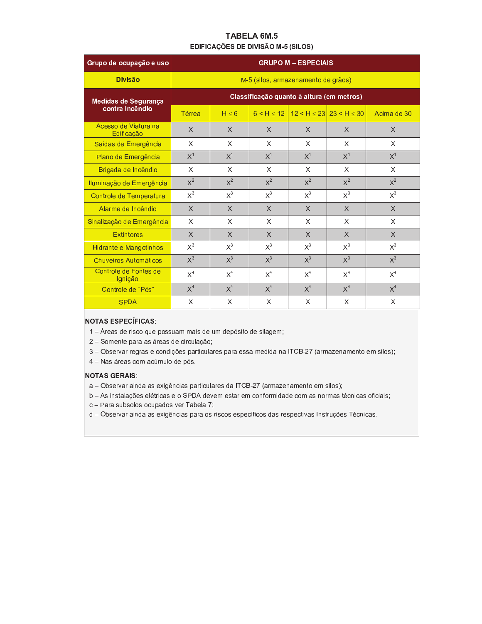# TABELA 6M.5 EDIFICAÇÕES DE DIVISÃO M-5 (SILOS)

| Grupo de ocupação e uso            | <b>GRUPO M - ESPECIAIS</b>                |            |                                     |              |                                 |             |  |  |
|------------------------------------|-------------------------------------------|------------|-------------------------------------|--------------|---------------------------------|-------------|--|--|
| <b>Divisão</b>                     |                                           |            | M-5 (silos, armazenamento de grãos) |              |                                 |             |  |  |
| Medidas de Segurança               | Classificação quanto à altura (em metros) |            |                                     |              |                                 |             |  |  |
| contra Incêndio                    | Térrea                                    | $H \leq 6$ | 6 < H < 12                          |              | $12 < H \le 23$ 23 < H $\le$ 30 | Acima de 30 |  |  |
| Acesso de Viatura na<br>Edificação | $\chi$                                    | $\times$   | $\times$                            | $\times$     | X                               | $\times$    |  |  |
| Saídas de Emergência               | $\times$                                  | X          | X                                   | $\times$     | X                               | X           |  |  |
| Plano de Emergência                | $X^1$                                     | $X^1$      | $X^1$                               | $X^1$        | $X^1$                           | $X^1$       |  |  |
| Brigada de Incêndio                | $\times$                                  | X          | X                                   | X            | X                               | X           |  |  |
| Iluminação de Emergência           | $X^2$                                     | $X^2$      | $X^2$                               | $X^2$        | $X^2$                           | $X^2$       |  |  |
| Controle de Temperatura            | $X^3$                                     | $X^3$      | $X^3$                               | $X^3$        | $X^3$                           | $X^3$       |  |  |
| Alarme de Incêndio                 | $\times$                                  | $\chi$     | $\times$                            | $\chi$       | $\mathsf{X}$                    | $\chi$      |  |  |
| Sinalização de Emergência          | X                                         | X          | X                                   | X            | X                               | X           |  |  |
| <b>Extintores</b>                  | $\mathsf{X}$                              | $\times$   | $\mathsf{X}$                        | $\mathsf{X}$ | $\times$                        | $\chi$      |  |  |
| <b>Hidrante e Mangotinhos</b>      | $X^3$                                     | $X^3$      | $X^3$                               | $X^3$        | $X^3$                           | $X^3$       |  |  |
| Chuveiros Automáticos              | $X^3$                                     | $X^3$      | $X^3$                               | $X^3$        | $X^3$                           | $X^3$       |  |  |
| Controle de Fontes de<br>Ignição   | X <sup>4</sup>                            | $X^4$      | $X^4$                               | $X^4$        | $X^4$                           | $X^4$       |  |  |
| Controle de "Pós"                  | X <sup>4</sup>                            | $X^4$      | $X^4$                               | $X^4$        | $X^4$                           | $X^4$       |  |  |
| <b>SPDA</b>                        | X                                         | X          | X                                   | X            | X                               | X           |  |  |

# **NOTAS ESPECÍFICAS:**

- 1 Áreas de risco que possuam mais de um depósito de silagem;
- 2 Somente para as áreas de circulação;
- 3 Observar regras e condições particulares para essa medida na ITCB-27 (armazenamento em silos);
- 4 Nas áreas com acúmulo de pós.

### **NOTAS GERAIS:**

- a Observar ainda as exigências particulares da ITCB-27 (armazenamento em silos);
- b As instalações elétricas e o SPDA devem estar em conformidade com as normas técnicas oficiais;
- c Para subsolos ocupados ver Tabela 7;
- d Observar ainda as exigências para os riscos específicos das respectivas Instruções Técnicas.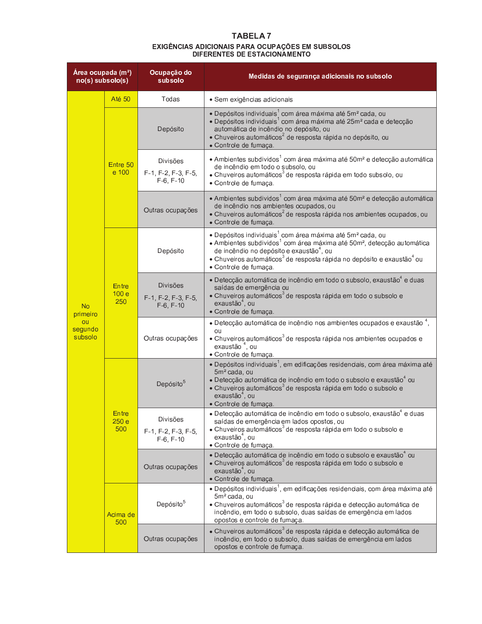# **TABELA7** EXIGÊNCIAS ADICIONAIS PARA OCUPAÇÕES EM SUBSOLOS<br>DIFERENTES DE ESTACIONAMENTO

| Área ocupada (m <sup>2</sup> )<br>$no(s)$ subsolo(s) |                                  | Ocupação do<br>subsolo                                               | Medidas de segurança adicionais no subsolo                                                                                                                                                                                                                                                                                                                             |
|------------------------------------------------------|----------------------------------|----------------------------------------------------------------------|------------------------------------------------------------------------------------------------------------------------------------------------------------------------------------------------------------------------------------------------------------------------------------------------------------------------------------------------------------------------|
|                                                      | Até 50                           | Todas                                                                | · Sem exigências adicionais                                                                                                                                                                                                                                                                                                                                            |
|                                                      |                                  | Depósito                                                             | • Depósitos individuais <sup>1</sup> com área máxima até 5m <sup>2</sup> cada, ou<br>• Depósitos individuais <sup>1</sup> com área máxima até 25m <sup>2</sup> cada e detecção<br>automática de incêndio no depósito, ou<br>• Chuveiros automáticos <sup>2</sup> de resposta rápida no depósito, ou<br>· Controle de fumaça.                                           |
|                                                      | Entre 50<br>e 100                | Divisões<br>$F-1$ , $F-2$ , $F-3$ , $F-5$ ,<br>$F-6, F-10$           | • Ambientes subdividos <sup>1</sup> com área máxima até 50m <sup>2</sup> e detecção automática<br>de incêndio em todo o subsolo, ou<br>• Chuveiros automáticos <sup>3</sup> de resposta rápida em todo subsolo, ou<br>· Controle de fumaça.                                                                                                                            |
|                                                      |                                  | Outras ocupações                                                     | • Ambientes subdividos <sup>1</sup> com área máxima até 50m <sup>2</sup> e detecção automática<br>de incêndio nos ambientes ocupados, ou<br>• Chuveiros automáticos <sup>2</sup> de resposta rápida nos ambientes ocupados, ou<br>· Controle de fumaça.                                                                                                                |
|                                                      | Depósito                         |                                                                      | • Depósitos individuais <sup>1</sup> com área máxima até 5m <sup>2</sup> cada, ou<br>• Ambientes subdividos <sup>1</sup> com área máxima até 50m <sup>2</sup> , detecção automática<br>de incêndio no depósito e exaustão <sup>4</sup> , ou<br>• Chuveiros automáticos <sup>3</sup> de resposta rápida no depósito e exaustão <sup>4</sup> ou<br>· Controle de fumaça. |
| <b>No</b><br>primeiro<br>ou<br>segundo<br>subsolo    | Entre<br>100 <sub>e</sub><br>250 | <b>Divisões</b><br>$F-1$ , $F-2$ , $F-3$ , $F-5$ ,<br>$F-6$ , $F-10$ | · Detecção automática de incêndio em todo o subsolo, exaustão <sup>4</sup> e duas<br>saídas de emergência ou<br>• Chuveiros automáticos <sup>3</sup> de resposta rápida em todo o subsolo e<br>exaustão <sup>4</sup> , ou<br>· Controle de fumaça.                                                                                                                     |
|                                                      |                                  | Outras ocupações                                                     | $\bullet$ Detecção automática de incêndio nos ambientes ocupados e exaustão $^4$ ,<br>ou<br>• Chuveiros automáticos <sup>3</sup> de resposta rápida nos ambientes ocupados e<br>exaustão <sup>4</sup> , ou<br>· Controle de fumaça.                                                                                                                                    |
|                                                      |                                  | Depósito <sup>5</sup>                                                | • Depósitos individuais <sup>1</sup> , em edificações residenciais, com área máxima até<br>5m <sup>2</sup> cada, ou<br>· Detecção automática de incêndio em todo o subsolo e exaustão <sup>4</sup> ou<br>• Chuveiros automáticos <sup>3</sup> de resposta rápida em todo o subsolo e<br>exaustão <sup>4</sup> , ou<br>• Controle de fumaça.                            |
|                                                      | Entre<br>250 e<br>500            | Divisoes<br>$F-1$ , $F-2$ , $F-3$ , $F-5$ ,<br>$F-6, F-10$           | $\bullet$ Detecção automática de incêndio em todo o subsolo, exaustão $^4$ e duas<br>saídas de emergência em lados opostos, ou<br>• Chuveiros automáticos <sup>3</sup> de resposta rápida em todo o subsolo e<br>exaustão <sup>4</sup> , ou<br>· Controle de fumaça.                                                                                                   |
|                                                      |                                  | Outras ocupações                                                     | • Detecção automática de incêndio em todo o subsolo e exaustão <sup>4</sup> ou<br>• Chuveiros automáticos <sup>3</sup> de resposta rápida em todo o subsolo e<br>exaustão <sup>4</sup> , ou<br>• Controle de fumaça.                                                                                                                                                   |
|                                                      | Acima de<br>500                  | Depósito <sup>5</sup>                                                | • Depósitos individuais <sup>1</sup> , em edificações residenciais, com área máxima até<br>5m <sup>2</sup> cada, ou<br>$\bullet$ Chuveiros automáticos <sup>3</sup> de resposta rápida e detecção automática de<br>incêndio, em todo o subsolo, duas saídas de emergência em lados<br>opostos e controle de fumaça.                                                    |
|                                                      |                                  | Outras ocupações                                                     | • Chuveiros automáticos $3$ de resposta rápida e detecção automática de<br>incêndio, em todo o subsolo, duas saídas de emergência em lados<br>opostos e controle de fumaça.                                                                                                                                                                                            |